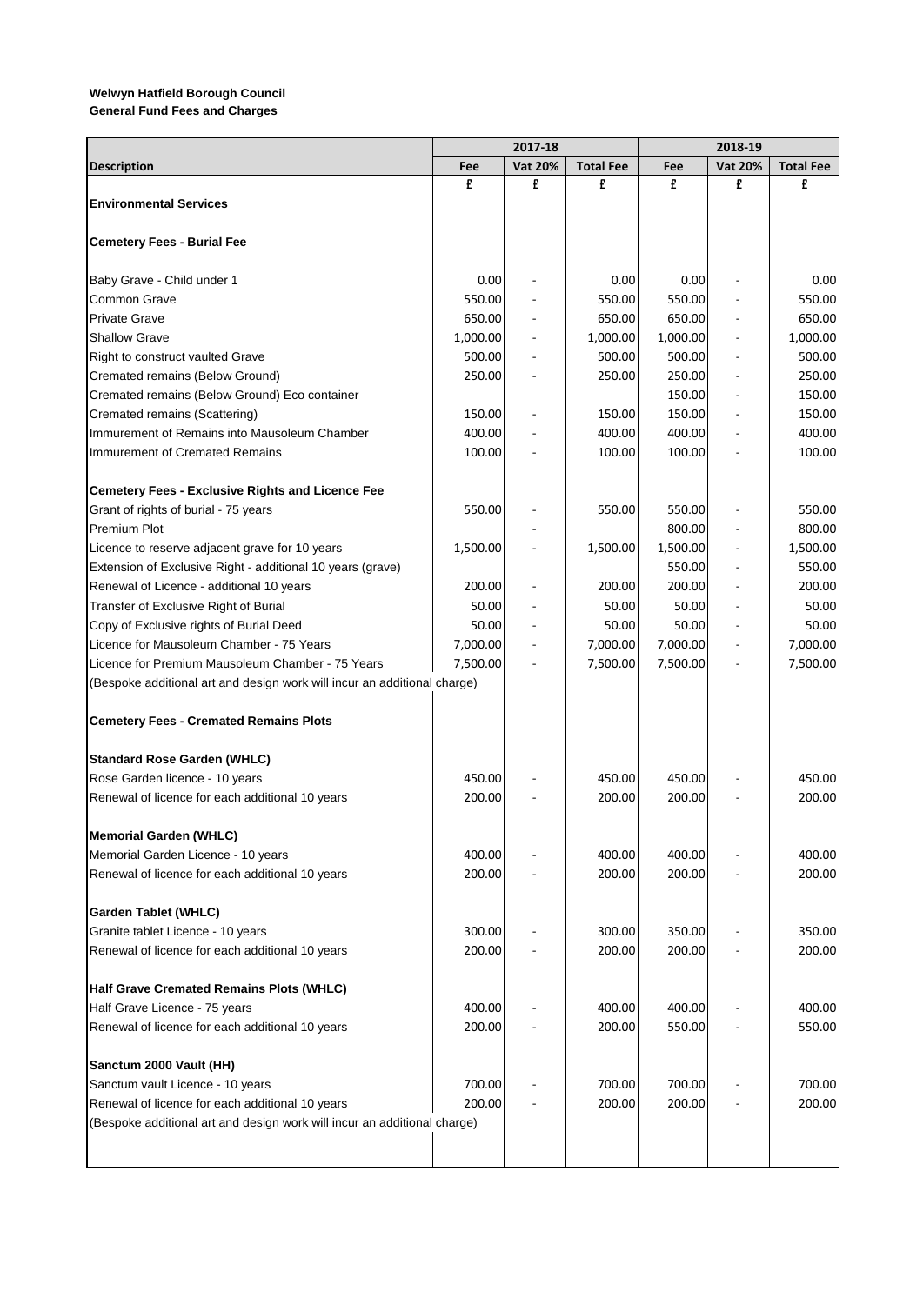**General Fund Fees and Charges**

|                                                                          | 2017-18          |                          |                  |                  |                          |                  |
|--------------------------------------------------------------------------|------------------|--------------------------|------------------|------------------|--------------------------|------------------|
| <b>Description</b>                                                       | Fee              | <b>Vat 20%</b>           | <b>Total Fee</b> | Fee              | <b>Vat 20%</b>           | <b>Total Fee</b> |
|                                                                          | £                | £                        | £                | £                | £                        | £                |
| <b>Environmental Services</b>                                            |                  |                          |                  |                  |                          |                  |
|                                                                          |                  |                          |                  |                  |                          |                  |
| <b>Cemetery Fees - Burial Fee</b>                                        |                  |                          |                  |                  |                          |                  |
| Baby Grave - Child under 1                                               | 0.00             |                          | 0.00             | 0.00             |                          | 0.00             |
| Common Grave                                                             | 550.00           |                          | 550.00           | 550.00           |                          | 550.00           |
| <b>Private Grave</b>                                                     | 650.00           |                          | 650.00           | 650.00           |                          | 650.00           |
| <b>Shallow Grave</b>                                                     | 1,000.00         | $\overline{\phantom{a}}$ | 1,000.00         | 1,000.00         | L,                       | 1,000.00         |
| Right to construct vaulted Grave                                         | 500.00           | ÷,                       | 500.00           | 500.00           | $\overline{\phantom{a}}$ | 500.00           |
| Cremated remains (Below Ground)                                          | 250.00           |                          | 250.00           | 250.00           | $\overline{\phantom{a}}$ | 250.00           |
| Cremated remains (Below Ground) Eco container                            |                  |                          |                  | 150.00           | ÷,                       | 150.00           |
| Cremated remains (Scattering)                                            | 150.00           |                          | 150.00           | 150.00           | L,                       | 150.00           |
| Immurement of Remains into Mausoleum Chamber                             | 400.00           |                          | 400.00           | 400.00           |                          | 400.00           |
| Immurement of Cremated Remains                                           | 100.00           |                          | 100.00           | 100.00           |                          | 100.00           |
| <b>Cemetery Fees - Exclusive Rights and Licence Fee</b>                  |                  |                          |                  |                  |                          |                  |
| Grant of rights of burial - 75 years                                     | 550.00           |                          | 550.00           | 550.00           |                          | 550.00           |
| <b>Premium Plot</b>                                                      |                  |                          |                  | 800.00           |                          | 800.00           |
| Licence to reserve adjacent grave for 10 years                           | 1,500.00         |                          | 1,500.00         | 1,500.00         |                          | 1,500.00         |
| Extension of Exclusive Right - additional 10 years (grave)               |                  |                          |                  | 550.00           |                          | 550.00           |
| Renewal of Licence - additional 10 years                                 | 200.00           |                          | 200.00           | 200.00           | $\overline{\phantom{a}}$ | 200.00           |
| Transfer of Exclusive Right of Burial                                    | 50.00            |                          | 50.00            | 50.00            | ÷,                       | 50.00            |
| Copy of Exclusive rights of Burial Deed                                  | 50.00            |                          | 50.00            | 50.00            |                          | 50.00            |
| Licence for Mausoleum Chamber - 75 Years                                 | 7,000.00         | $\overline{a}$           | 7,000.00         | 7,000.00         | $\overline{\phantom{a}}$ | 7,000.00         |
| Licence for Premium Mausoleum Chamber - 75 Years                         | 7,500.00         |                          | 7,500.00         | 7,500.00         |                          | 7,500.00         |
| (Bespoke additional art and design work will incur an additional charge) |                  |                          |                  |                  |                          |                  |
| <b>Cemetery Fees - Cremated Remains Plots</b>                            |                  |                          |                  |                  |                          |                  |
| <b>Standard Rose Garden (WHLC)</b>                                       |                  |                          |                  |                  |                          |                  |
| Rose Garden licence - 10 years                                           | 450.00           |                          | 450.00           | 450.00           |                          | 450.00           |
| Renewal of licence for each additional 10 years                          | 200.00           |                          | 200.00           | 200.00           |                          | 200.00           |
|                                                                          |                  |                          |                  |                  |                          |                  |
| Memorial Garden (WHLC)                                                   |                  |                          |                  |                  |                          |                  |
| Memorial Garden Licence - 10 years                                       | 400.00<br>200.00 |                          | 400.00<br>200.00 | 400.00<br>200.00 |                          | 400.00<br>200.00 |
| Renewal of licence for each additional 10 years                          |                  |                          |                  |                  |                          |                  |
| Garden Tablet (WHLC)                                                     |                  |                          |                  |                  |                          |                  |
| Granite tablet Licence - 10 years                                        | 300.00           |                          | 300.00           | 350.00           |                          | 350.00           |
| Renewal of licence for each additional 10 years                          | 200.00           |                          | 200.00           | 200.00           |                          | 200.00           |
| Half Grave Cremated Remains Plots (WHLC)                                 |                  |                          |                  |                  |                          |                  |
| Half Grave Licence - 75 years                                            | 400.00           |                          | 400.00           | 400.00           |                          | 400.00           |
| Renewal of licence for each additional 10 years                          | 200.00           |                          | 200.00           | 550.00           |                          | 550.00           |
| Sanctum 2000 Vault (HH)                                                  |                  |                          |                  |                  |                          |                  |
| Sanctum vault Licence - 10 years                                         | 700.00           |                          | 700.00           | 700.00           |                          | 700.00           |
| Renewal of licence for each additional 10 years                          | 200.00           |                          | 200.00           | 200.00           |                          | 200.00           |
| (Bespoke additional art and design work will incur an additional charge) |                  |                          |                  |                  |                          |                  |
|                                                                          |                  |                          |                  |                  |                          |                  |
|                                                                          |                  |                          |                  |                  |                          |                  |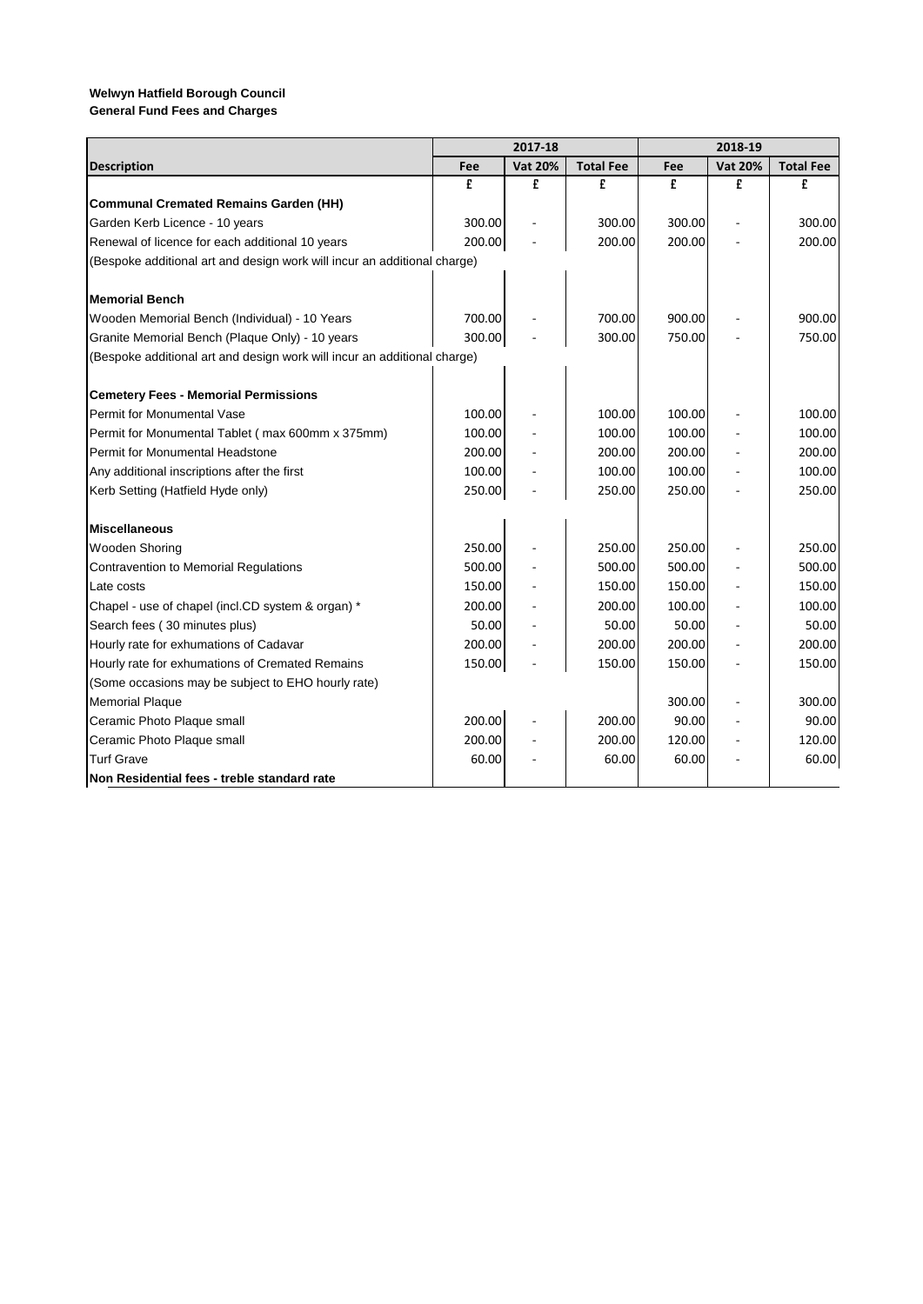| <b>General Fund Fees and Charges</b> |  |  |  |
|--------------------------------------|--|--|--|
|--------------------------------------|--|--|--|

|                                                                          |        | 2017-18        |                  |        | 2018-19        |                  |
|--------------------------------------------------------------------------|--------|----------------|------------------|--------|----------------|------------------|
| <b>Description</b>                                                       | Fee    | <b>Vat 20%</b> | <b>Total Fee</b> | Fee    | <b>Vat 20%</b> | <b>Total Fee</b> |
|                                                                          | £      | £              | £                | £      | £              | £                |
| <b>Communal Cremated Remains Garden (HH)</b>                             |        |                |                  |        |                |                  |
| Garden Kerb Licence - 10 years                                           | 300.00 |                | 300.00           | 300.00 |                | 300.00           |
| Renewal of licence for each additional 10 years                          | 200.00 |                | 200.00           | 200.00 |                | 200.00           |
| (Bespoke additional art and design work will incur an additional charge) |        |                |                  |        |                |                  |
|                                                                          |        |                |                  |        |                |                  |
| <b>Memorial Bench</b>                                                    |        |                |                  |        |                |                  |
| Wooden Memorial Bench (Individual) - 10 Years                            | 700.00 |                | 700.00           | 900.00 |                | 900.00           |
| Granite Memorial Bench (Plaque Only) - 10 years                          | 300.00 |                | 300.00           | 750.00 |                | 750.00           |
| (Bespoke additional art and design work will incur an additional charge) |        |                |                  |        |                |                  |
|                                                                          |        |                |                  |        |                |                  |
| <b>Cemetery Fees - Memorial Permissions</b>                              |        |                |                  |        |                |                  |
| <b>Permit for Monumental Vase</b>                                        | 100.00 |                | 100.00           | 100.00 |                | 100.00           |
| Permit for Monumental Tablet (max 600mm x 375mm)                         | 100.00 |                | 100.00           | 100.00 |                | 100.00           |
| <b>Permit for Monumental Headstone</b>                                   | 200.00 |                | 200.00           | 200.00 |                | 200.00           |
| Any additional inscriptions after the first                              | 100.00 |                | 100.00           | 100.00 |                | 100.00           |
| Kerb Setting (Hatfield Hyde only)                                        | 250.00 |                | 250.00           | 250.00 |                | 250.00           |
|                                                                          |        |                |                  |        |                |                  |
| <b>Miscellaneous</b>                                                     |        |                |                  |        |                |                  |
| <b>Wooden Shoring</b>                                                    | 250.00 |                | 250.00           | 250.00 |                | 250.00           |
| <b>Contravention to Memorial Regulations</b>                             | 500.00 |                | 500.00           | 500.00 |                | 500.00           |
| Late costs                                                               | 150.00 |                | 150.00           | 150.00 |                | 150.00           |
| Chapel - use of chapel (incl.CD system & organ) *                        | 200.00 |                | 200.00           | 100.00 |                | 100.00           |
| Search fees (30 minutes plus)                                            | 50.00  |                | 50.00            | 50.00  |                | 50.00            |
| Hourly rate for exhumations of Cadavar                                   | 200.00 |                | 200.00           | 200.00 |                | 200.00           |
| Hourly rate for exhumations of Cremated Remains                          | 150.00 |                | 150.00           | 150.00 |                | 150.00           |
| (Some occasions may be subject to EHO hourly rate)                       |        |                |                  |        |                |                  |
| <b>Memorial Plaque</b>                                                   |        |                |                  | 300.00 |                | 300.00           |
| Ceramic Photo Plaque small                                               | 200.00 |                | 200.00           | 90.00  |                | 90.00            |
| Ceramic Photo Plaque small                                               | 200.00 |                | 200.00           | 120.00 |                | 120.00           |
| <b>Turf Grave</b>                                                        | 60.00  |                | 60.00            | 60.00  |                | 60.00            |
| Non Residential fees - treble standard rate                              |        |                |                  |        |                |                  |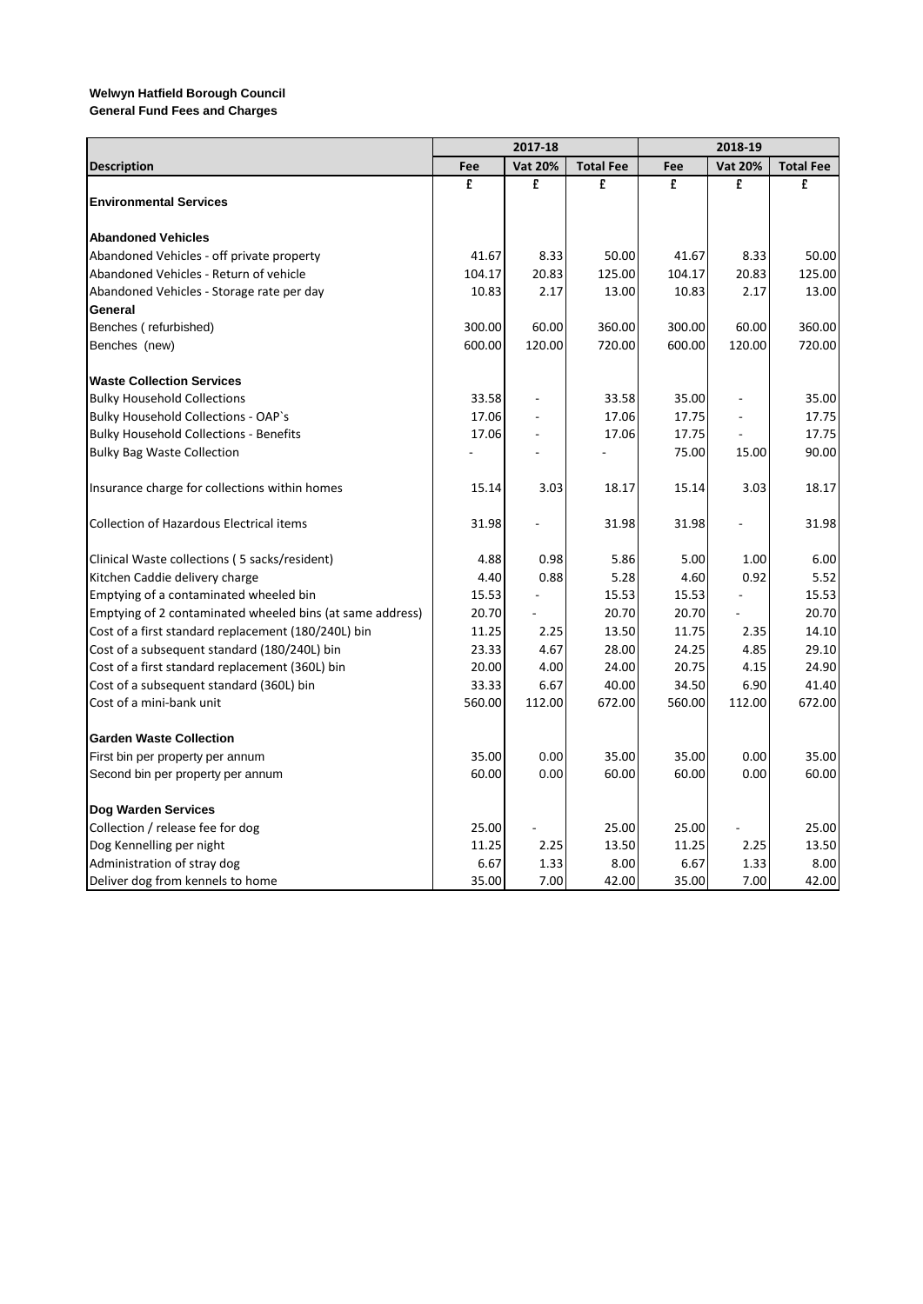**General Fund Fees and Charges**

|                                                           | 2017-18 |                |                  | 2018-19 |                |                  |  |
|-----------------------------------------------------------|---------|----------------|------------------|---------|----------------|------------------|--|
| <b>Description</b>                                        | Fee     | <b>Vat 20%</b> | <b>Total Fee</b> | Fee     | <b>Vat 20%</b> | <b>Total Fee</b> |  |
|                                                           | £       | £              | £                | £       | £              | £                |  |
| <b>Environmental Services</b>                             |         |                |                  |         |                |                  |  |
|                                                           |         |                |                  |         |                |                  |  |
| <b>Abandoned Vehicles</b>                                 |         |                |                  |         |                |                  |  |
| Abandoned Vehicles - off private property                 | 41.67   | 8.33           | 50.00            | 41.67   | 8.33           | 50.00            |  |
| Abandoned Vehicles - Return of vehicle                    | 104.17  | 20.83          | 125.00           | 104.17  | 20.83          | 125.00           |  |
| Abandoned Vehicles - Storage rate per day                 | 10.83   | 2.17           | 13.00            | 10.83   | 2.17           | 13.00            |  |
| General                                                   |         |                |                  |         |                |                  |  |
| Benches (refurbished)                                     | 300.00  | 60.00          | 360.00           | 300.00  | 60.00          | 360.00           |  |
| Benches (new)                                             | 600.00  | 120.00         | 720.00           | 600.00  | 120.00         | 720.00           |  |
| <b>Waste Collection Services</b>                          |         |                |                  |         |                |                  |  |
| <b>Bulky Household Collections</b>                        | 33.58   |                | 33.58            | 35.00   |                | 35.00            |  |
| <b>Bulky Household Collections - OAP's</b>                | 17.06   | $\overline{a}$ | 17.06            | 17.75   |                | 17.75            |  |
| <b>Bulky Household Collections - Benefits</b>             | 17.06   | ä,             | 17.06            | 17.75   |                | 17.75            |  |
| <b>Bulky Bag Waste Collection</b>                         |         |                |                  | 75.00   | 15.00          | 90.00            |  |
| Insurance charge for collections within homes             | 15.14   | 3.03           | 18.17            | 15.14   | 3.03           | 18.17            |  |
| <b>Collection of Hazardous Electrical items</b>           | 31.98   |                | 31.98            | 31.98   |                | 31.98            |  |
| Clinical Waste collections (5 sacks/resident)             | 4.88    | 0.98           | 5.86             | 5.00    | 1.00           | 6.00             |  |
| Kitchen Caddie delivery charge                            | 4.40    | 0.88           | 5.28             | 4.60    | 0.92           | 5.52             |  |
| Emptying of a contaminated wheeled bin                    | 15.53   |                | 15.53            | 15.53   |                | 15.53            |  |
| Emptying of 2 contaminated wheeled bins (at same address) | 20.70   |                | 20.70            | 20.70   |                | 20.70            |  |
| Cost of a first standard replacement (180/240L) bin       | 11.25   | 2.25           | 13.50            | 11.75   | 2.35           | 14.10            |  |
| Cost of a subsequent standard (180/240L) bin              | 23.33   | 4.67           | 28.00            | 24.25   | 4.85           | 29.10            |  |
| Cost of a first standard replacement (360L) bin           | 20.00   | 4.00           | 24.00            | 20.75   | 4.15           | 24.90            |  |
| Cost of a subsequent standard (360L) bin                  | 33.33   | 6.67           | 40.00            | 34.50   | 6.90           | 41.40            |  |
| Cost of a mini-bank unit                                  | 560.00  | 112.00         | 672.00           | 560.00  | 112.00         | 672.00           |  |
| <b>Garden Waste Collection</b>                            |         |                |                  |         |                |                  |  |
| First bin per property per annum                          | 35.00   | 0.00           | 35.00            | 35.00   | 0.00           | 35.00            |  |
| Second bin per property per annum                         | 60.00   | 0.00           | 60.00            | 60.00   | 0.00           | 60.00            |  |
| <b>Dog Warden Services</b>                                |         |                |                  |         |                |                  |  |
| Collection / release fee for dog                          | 25.00   |                | 25.00            | 25.00   |                | 25.00            |  |
| Dog Kennelling per night                                  | 11.25   | 2.25           | 13.50            | 11.25   | 2.25           | 13.50            |  |
| Administration of stray dog                               | 6.67    | 1.33           | 8.00             | 6.67    | 1.33           | 8.00             |  |
| Deliver dog from kennels to home                          | 35.00   | 7.00           | 42.00            | 35.00   | 7.00           | 42.00            |  |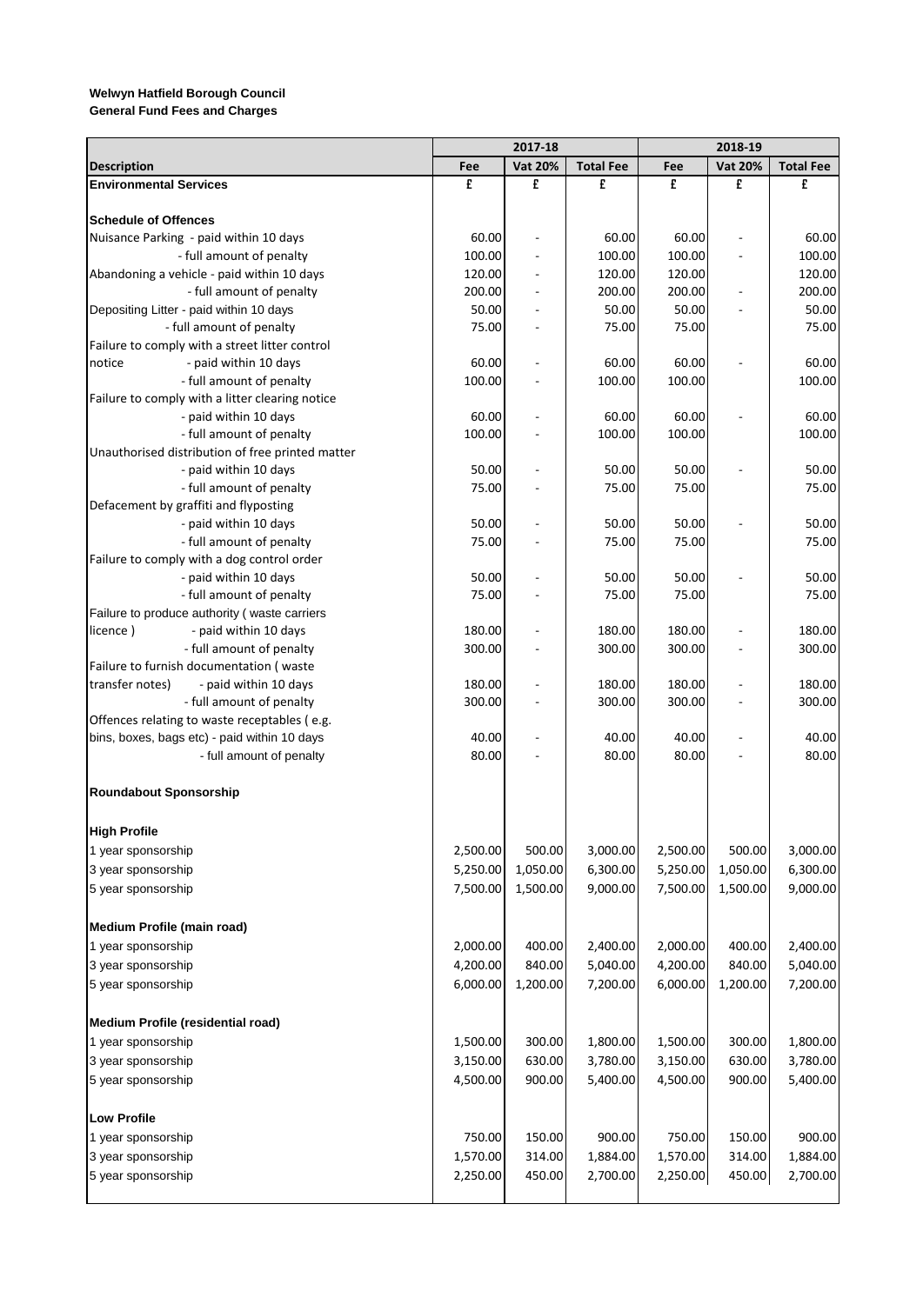|  |  |  |  | <b>General Fund Fees and Charges</b> |
|--|--|--|--|--------------------------------------|
|--|--|--|--|--------------------------------------|

|                                                  |          | 2017-18        |                  |          | 2018-19        |                  |
|--------------------------------------------------|----------|----------------|------------------|----------|----------------|------------------|
| <b>Description</b>                               | Fee      | <b>Vat 20%</b> | <b>Total Fee</b> | Fee      | <b>Vat 20%</b> | <b>Total Fee</b> |
| <b>Environmental Services</b>                    | £        | £              | £                | £        | £              | £                |
|                                                  |          |                |                  |          |                |                  |
| <b>Schedule of Offences</b>                      |          |                |                  |          |                |                  |
| Nuisance Parking - paid within 10 days           | 60.00    | ÷,             | 60.00            | 60.00    | ÷,             | 60.00            |
| - full amount of penalty                         | 100.00   |                | 100.00           | 100.00   |                | 100.00           |
| Abandoning a vehicle - paid within 10 days       | 120.00   |                | 120.00           | 120.00   |                | 120.00           |
| - full amount of penalty                         | 200.00   |                | 200.00           | 200.00   |                | 200.00           |
| Depositing Litter - paid within 10 days          | 50.00    |                | 50.00            | 50.00    |                | 50.00            |
| - full amount of penalty                         | 75.00    |                | 75.00            | 75.00    |                | 75.00            |
| Failure to comply with a street litter control   |          |                |                  |          |                |                  |
| - paid within 10 days<br>notice                  | 60.00    |                | 60.00            | 60.00    |                | 60.00            |
| - full amount of penalty                         | 100.00   |                | 100.00           | 100.00   |                | 100.00           |
| Failure to comply with a litter clearing notice  |          |                |                  |          |                |                  |
| - paid within 10 days                            | 60.00    |                | 60.00            | 60.00    |                | 60.00            |
| - full amount of penalty                         | 100.00   |                | 100.00           | 100.00   |                | 100.00           |
| Unauthorised distribution of free printed matter |          |                |                  |          |                |                  |
| - paid within 10 days                            | 50.00    |                | 50.00            | 50.00    |                | 50.00            |
| - full amount of penalty                         | 75.00    |                | 75.00            | 75.00    |                | 75.00            |
| Defacement by graffiti and flyposting            |          |                |                  |          |                |                  |
| - paid within 10 days                            | 50.00    |                | 50.00            | 50.00    |                | 50.00            |
| - full amount of penalty                         | 75.00    |                | 75.00            | 75.00    |                | 75.00            |
| Failure to comply with a dog control order       |          |                |                  |          |                |                  |
| - paid within 10 days                            | 50.00    |                | 50.00            | 50.00    |                | 50.00            |
| - full amount of penalty                         | 75.00    |                | 75.00            | 75.00    |                | 75.00            |
| Failure to produce authority (waste carriers     |          |                |                  |          |                |                  |
| - paid within 10 days<br>licence)                | 180.00   |                | 180.00           | 180.00   |                | 180.00           |
| - full amount of penalty                         | 300.00   |                | 300.00           | 300.00   |                | 300.00           |
| Failure to furnish documentation (waste          |          |                |                  |          |                |                  |
| transfer notes)<br>- paid within 10 days         | 180.00   |                | 180.00           | 180.00   |                | 180.00           |
| - full amount of penalty                         | 300.00   |                | 300.00           | 300.00   |                | 300.00           |
| Offences relating to waste receptables (e.g.     |          |                |                  |          |                |                  |
| bins, boxes, bags etc) - paid within 10 days     | 40.00    |                | 40.00            | 40.00    |                | 40.00            |
| - full amount of penalty                         | 80.00    |                | 80.00            | 80.00    |                | 80.00            |
|                                                  |          |                |                  |          |                |                  |
| Roundabout Sponsorship                           |          |                |                  |          |                |                  |
| <b>High Profile</b>                              |          |                |                  |          |                |                  |
| 1 year sponsorship                               | 2,500.00 | 500.00         | 3,000.00         | 2,500.00 | 500.00         | 3,000.00         |
| 3 year sponsorship                               | 5,250.00 | 1,050.00       | 6,300.00         | 5,250.00 | 1,050.00       | 6,300.00         |
| 5 year sponsorship                               | 7,500.00 | 1,500.00       | 9,000.00         | 7,500.00 | 1,500.00       | 9,000.00         |
| Medium Profile (main road)                       |          |                |                  |          |                |                  |
| 1 year sponsorship                               | 2,000.00 | 400.00         | 2,400.00         | 2,000.00 | 400.00         | 2,400.00         |
| 3 year sponsorship                               | 4,200.00 | 840.00         | 5,040.00         | 4,200.00 | 840.00         | 5,040.00         |
|                                                  |          |                |                  |          |                |                  |
| 5 year sponsorship                               | 6,000.00 | 1,200.00       | 7,200.00         | 6,000.00 | 1,200.00       | 7,200.00         |
| <b>Medium Profile (residential road)</b>         |          |                |                  |          |                |                  |
| 1 year sponsorship                               | 1,500.00 | 300.00         | 1,800.00         | 1,500.00 | 300.00         | 1,800.00         |
| 3 year sponsorship                               | 3,150.00 | 630.00         | 3,780.00         | 3,150.00 | 630.00         | 3,780.00         |
| 5 year sponsorship                               | 4,500.00 | 900.00         | 5,400.00         | 4,500.00 | 900.00         | 5,400.00         |
| <b>Low Profile</b>                               |          |                |                  |          |                |                  |
| 1 year sponsorship                               | 750.00   | 150.00         | 900.00           | 750.00   | 150.00         | 900.00           |
| 3 year sponsorship                               | 1,570.00 | 314.00         | 1,884.00         | 1,570.00 | 314.00         | 1,884.00         |
| 5 year sponsorship                               | 2,250.00 | 450.00         | 2,700.00         | 2,250.00 | 450.00         | 2,700.00         |
|                                                  |          |                |                  |          |                |                  |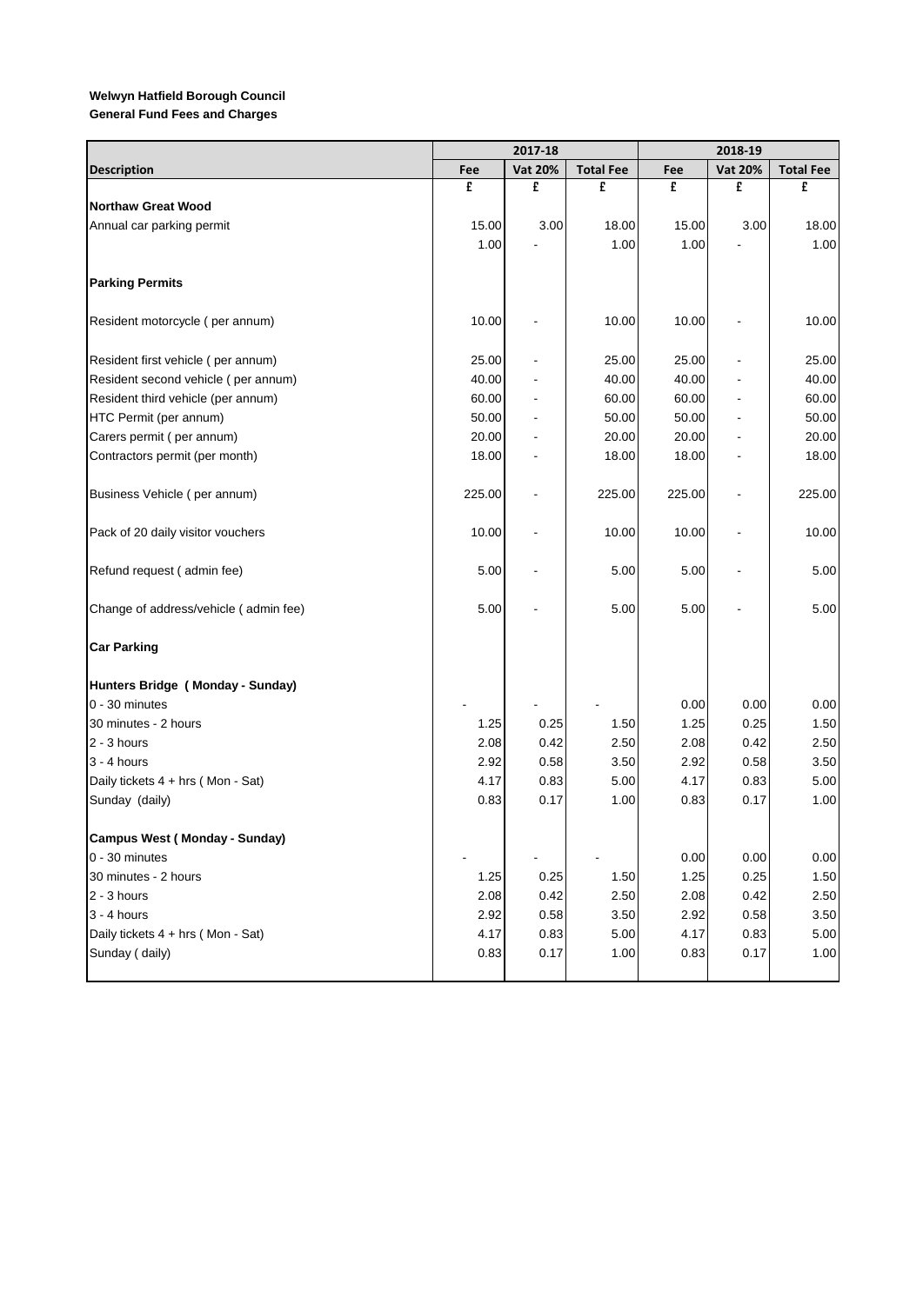|                                       |        | 2017-18                  | 2018-19          |        |                              |                  |
|---------------------------------------|--------|--------------------------|------------------|--------|------------------------------|------------------|
| <b>Description</b>                    | Fee    | <b>Vat 20%</b>           | <b>Total Fee</b> | Fee    | <b>Vat 20%</b>               | <b>Total Fee</b> |
|                                       | £      | £                        | £                | £      | £                            | £                |
| <b>Northaw Great Wood</b>             |        |                          |                  |        |                              |                  |
| Annual car parking permit             | 15.00  | 3.00                     | 18.00            | 15.00  | 3.00                         | 18.00            |
|                                       | 1.00   |                          | 1.00             | 1.00   |                              | 1.00             |
| <b>Parking Permits</b>                |        |                          |                  |        |                              |                  |
| Resident motorcycle (per annum)       | 10.00  |                          | 10.00            | 10.00  |                              | 10.00            |
| Resident first vehicle (per annum)    | 25.00  |                          | 25.00            | 25.00  |                              | 25.00            |
| Resident second vehicle (per annum)   | 40.00  |                          | 40.00            | 40.00  |                              | 40.00            |
| Resident third vehicle (per annum)    | 60.00  |                          | 60.00            | 60.00  |                              | 60.00            |
| HTC Permit (per annum)                | 50.00  | $\overline{\phantom{a}}$ | 50.00            | 50.00  | $\qquad \qquad \blacksquare$ | 50.00            |
| Carers permit (per annum)             | 20.00  | $\blacksquare$           | 20.00            | 20.00  |                              | 20.00            |
| Contractors permit (per month)        | 18.00  |                          | 18.00            | 18.00  |                              | 18.00            |
| Business Vehicle (per annum)          | 225.00 |                          | 225.00           | 225.00 |                              | 225.00           |
| Pack of 20 daily visitor vouchers     | 10.00  |                          | 10.00            | 10.00  |                              | 10.00            |
| Refund request (admin fee)            | 5.00   |                          | 5.00             | 5.00   |                              | 5.00             |
| Change of address/vehicle (admin fee) | 5.00   |                          | 5.00             | 5.00   |                              | 5.00             |
| <b>Car Parking</b>                    |        |                          |                  |        |                              |                  |
| Hunters Bridge (Monday - Sunday)      |        |                          |                  |        |                              |                  |
| 0 - 30 minutes                        |        |                          |                  | 0.00   | 0.00                         | 0.00             |
| 30 minutes - 2 hours                  | 1.25   | 0.25                     | 1.50             | 1.25   | 0.25                         | 1.50             |
| $2 - 3$ hours                         | 2.08   | 0.42                     | 2.50             | 2.08   | 0.42                         | 2.50             |
| $3 - 4$ hours                         | 2.92   | 0.58                     | 3.50             | 2.92   | 0.58                         | 3.50             |
| Daily tickets $4 + hrs$ (Mon - Sat)   | 4.17   | 0.83                     | 5.00             | 4.17   | 0.83                         | 5.00             |
| Sunday (daily)                        | 0.83   | 0.17                     | 1.00             | 0.83   | 0.17                         | 1.00             |
| <b>Campus West (Monday - Sunday)</b>  |        |                          |                  |        |                              |                  |
| $0 - 30$ minutes                      |        |                          |                  | 0.00   | 0.00                         | 0.00             |
| 30 minutes - 2 hours                  | 1.25   | 0.25                     | 1.50             | 1.25   | 0.25                         | 1.50             |
| $2 - 3$ hours                         | 2.08   | 0.42                     | 2.50             | 2.08   | 0.42                         | 2.50             |
| $3 - 4$ hours                         | 2.92   | 0.58                     | 3.50             | 2.92   | 0.58                         | 3.50             |
| Daily tickets 4 + hrs (Mon - Sat)     | 4.17   | 0.83                     | 5.00             | 4.17   | 0.83                         | 5.00             |
| Sunday (daily)                        | 0.83   | 0.17                     | 1.00             | 0.83   | 0.17                         | 1.00             |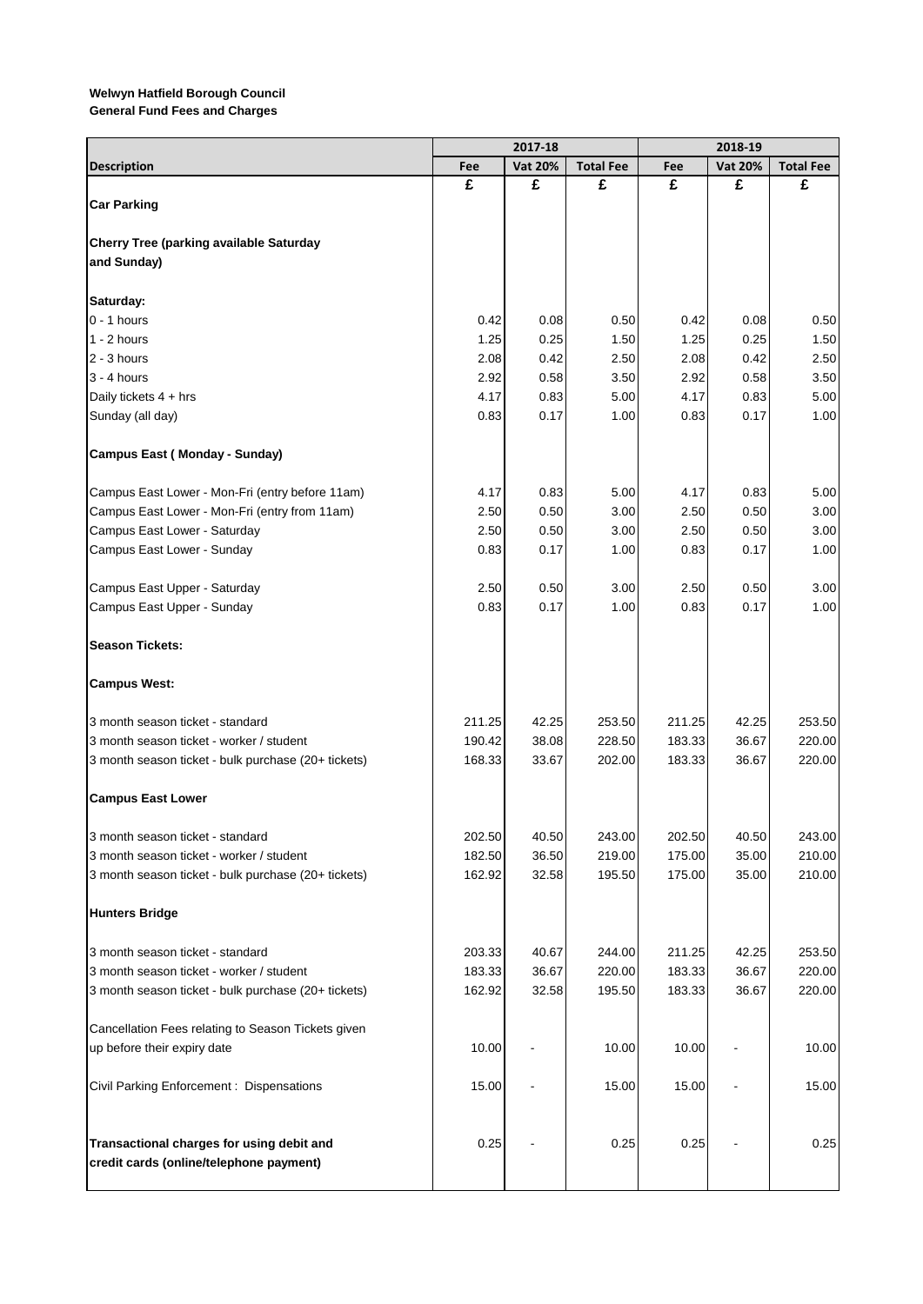**General Fund Fees and Charges**

|                                                                                                  |              | 2017-18        |                  |              | 2018-19        |                  |
|--------------------------------------------------------------------------------------------------|--------------|----------------|------------------|--------------|----------------|------------------|
| <b>Description</b>                                                                               | Fee          | <b>Vat 20%</b> | <b>Total Fee</b> | Fee          | <b>Vat 20%</b> | <b>Total Fee</b> |
|                                                                                                  | £            | £              | £                | £            | £              | £                |
| <b>Car Parking</b>                                                                               |              |                |                  |              |                |                  |
|                                                                                                  |              |                |                  |              |                |                  |
| Cherry Tree (parking available Saturday                                                          |              |                |                  |              |                |                  |
| and Sunday)                                                                                      |              |                |                  |              |                |                  |
| Saturday:                                                                                        |              |                |                  |              |                |                  |
| $0 - 1$ hours                                                                                    | 0.42         | 0.08           | 0.50             | 0.42         | 0.08           | 0.50             |
| $1 - 2$ hours                                                                                    | 1.25         | 0.25           | 1.50             | 1.25         | 0.25           | 1.50             |
| $2 - 3$ hours                                                                                    | 2.08         | 0.42           | 2.50             | 2.08         | 0.42           | 2.50             |
| $3 - 4$ hours                                                                                    | 2.92         | 0.58           | 3.50             | 2.92         | 0.58           | 3.50             |
| Daily tickets 4 + hrs                                                                            | 4.17         | 0.83           | 5.00             | 4.17         | 0.83           | 5.00             |
| Sunday (all day)                                                                                 | 0.83         | 0.17           | 1.00             | 0.83         | 0.17           | 1.00             |
| Campus East (Monday - Sunday)                                                                    |              |                |                  |              |                |                  |
|                                                                                                  |              |                |                  |              |                |                  |
| Campus East Lower - Mon-Fri (entry before 11am)<br>Campus East Lower - Mon-Fri (entry from 11am) | 4.17<br>2.50 | 0.83<br>0.50   | 5.00<br>3.00     | 4.17<br>2.50 | 0.83<br>0.50   | 5.00<br>3.00     |
| Campus East Lower - Saturday                                                                     | 2.50         | 0.50           | 3.00             | 2.50         | 0.50           | 3.00             |
| Campus East Lower - Sunday                                                                       | 0.83         | 0.17           | 1.00             | 0.83         | 0.17           | 1.00             |
|                                                                                                  |              |                |                  |              |                |                  |
| Campus East Upper - Saturday                                                                     | 2.50         | 0.50           | 3.00             | 2.50         | 0.50           | 3.00             |
| Campus East Upper - Sunday                                                                       | 0.83         | 0.17           | 1.00             | 0.83         | 0.17           | 1.00             |
| <b>Season Tickets:</b>                                                                           |              |                |                  |              |                |                  |
| <b>Campus West:</b>                                                                              |              |                |                  |              |                |                  |
| 3 month season ticket - standard                                                                 | 211.25       | 42.25          | 253.50           | 211.25       | 42.25          | 253.50           |
| 3 month season ticket - worker / student                                                         | 190.42       | 38.08          | 228.50           | 183.33       | 36.67          | 220.00           |
| 3 month season ticket - bulk purchase (20+ tickets)                                              | 168.33       | 33.67          | 202.00           | 183.33       | 36.67          | 220.00           |
| <b>Campus East Lower</b>                                                                         |              |                |                  |              |                |                  |
|                                                                                                  |              |                |                  |              |                |                  |
| 3 month season ticket - standard                                                                 | 202.50       | 40.50          | 243.00           | 202.50       | 40.50          | 243.00           |
| 3 month season ticket - worker / student                                                         | 182.50       | 36.50          | 219.00           | 175.00       | 35.00          | 210.00           |
| 3 month season ticket - bulk purchase (20+ tickets)                                              | 162.92       | 32.58          | 195.50           | 175.00       | 35.00          | 210.00           |
| <b>Hunters Bridge</b>                                                                            |              |                |                  |              |                |                  |
| 3 month season ticket - standard                                                                 | 203.33       | 40.67          | 244.00           | 211.25       | 42.25          | 253.50           |
| 3 month season ticket - worker / student                                                         | 183.33       | 36.67          | 220.00           | 183.33       | 36.67          | 220.00           |
| 3 month season ticket - bulk purchase (20+ tickets)                                              | 162.92       | 32.58          | 195.50           | 183.33       | 36.67          | 220.00           |
|                                                                                                  |              |                |                  |              |                |                  |
| Cancellation Fees relating to Season Tickets given                                               |              |                |                  |              |                |                  |
| up before their expiry date                                                                      | 10.00        |                | 10.00            | 10.00        |                | 10.00            |
| Civil Parking Enforcement : Dispensations                                                        | 15.00        |                | 15.00            | 15.00        |                | 15.00            |
| Transactional charges for using debit and<br>credit cards (online/telephone payment)             | 0.25         |                | 0.25             | 0.25         |                | 0.25             |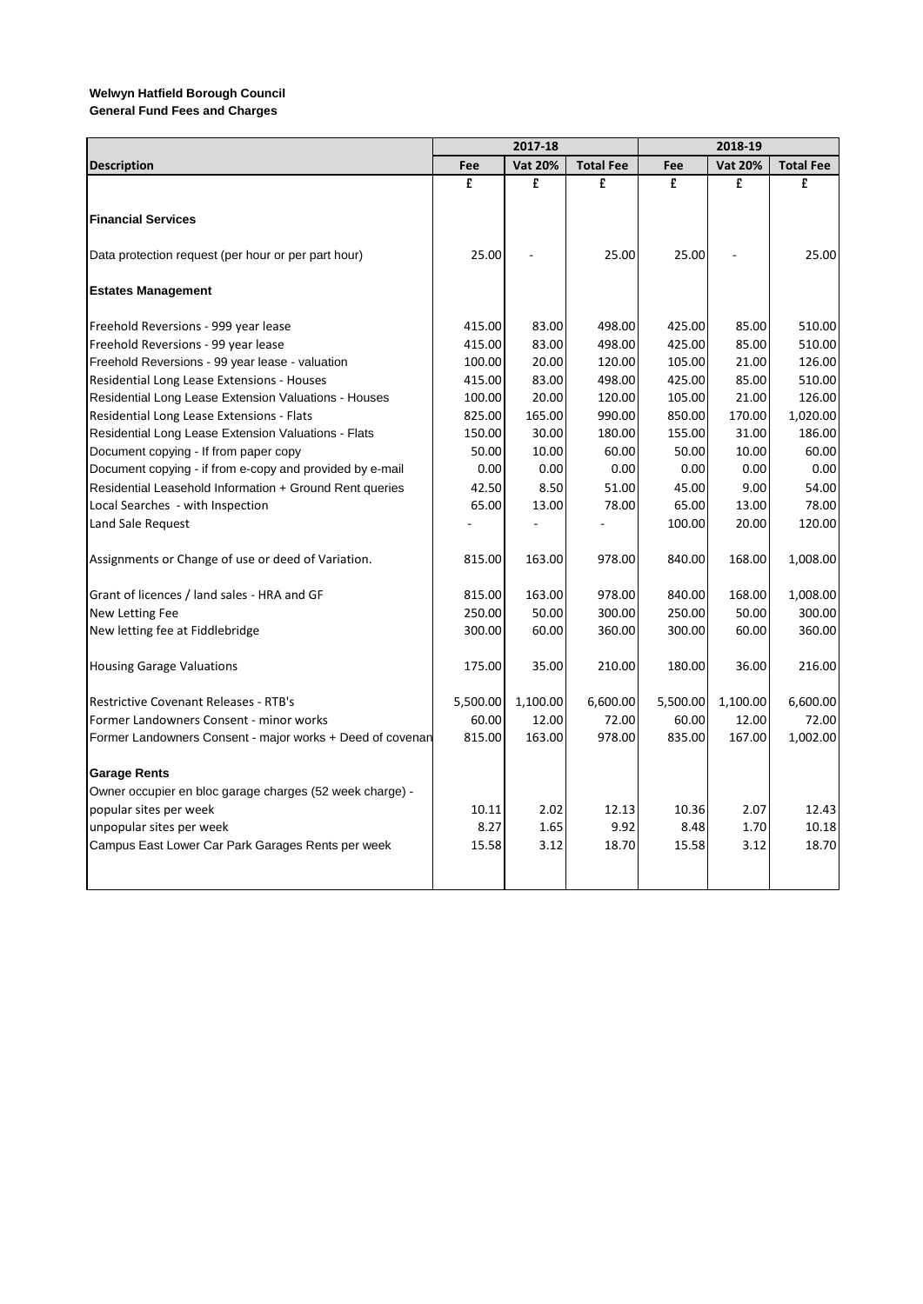|                                                           | 2017-18  |                |                  |          | 2018-19        |                  |  |  |
|-----------------------------------------------------------|----------|----------------|------------------|----------|----------------|------------------|--|--|
| <b>Description</b>                                        | Fee      | <b>Vat 20%</b> | <b>Total Fee</b> | Fee      | <b>Vat 20%</b> | <b>Total Fee</b> |  |  |
|                                                           | £        | £              | £                | £        | £              | £                |  |  |
|                                                           |          |                |                  |          |                |                  |  |  |
| <b>Financial Services</b>                                 |          |                |                  |          |                |                  |  |  |
|                                                           |          |                |                  |          |                |                  |  |  |
| Data protection request (per hour or per part hour)       | 25.00    |                | 25.00            | 25.00    |                | 25.00            |  |  |
| <b>Estates Management</b>                                 |          |                |                  |          |                |                  |  |  |
|                                                           |          |                |                  |          |                |                  |  |  |
| Freehold Reversions - 999 year lease                      | 415.00   | 83.00          | 498.00           | 425.00   | 85.00          | 510.00           |  |  |
| Freehold Reversions - 99 year lease                       | 415.00   | 83.00          | 498.00           | 425.00   | 85.00          | 510.00           |  |  |
| Freehold Reversions - 99 year lease - valuation           | 100.00   | 20.00          | 120.00           | 105.00   | 21.00          | 126.00           |  |  |
| Residential Long Lease Extensions - Houses                | 415.00   | 83.00          | 498.00           | 425.00   | 85.00          | 510.00           |  |  |
| Residential Long Lease Extension Valuations - Houses      | 100.00   | 20.00          | 120.00           | 105.00   | 21.00          | 126.00           |  |  |
| Residential Long Lease Extensions - Flats                 | 825.00   | 165.00         | 990.00           | 850.00   | 170.00         | 1,020.00         |  |  |
| Residential Long Lease Extension Valuations - Flats       | 150.00   | 30.00          | 180.00           | 155.00   | 31.00          | 186.00           |  |  |
| Document copying - If from paper copy                     | 50.00    | 10.00          | 60.00            | 50.00    | 10.00          | 60.00            |  |  |
| Document copying - if from e-copy and provided by e-mail  | 0.00     | 0.00           | 0.00             | 0.00     | 0.00           | 0.00             |  |  |
| Residential Leasehold Information + Ground Rent queries   | 42.50    | 8.50           | 51.00            | 45.00    | 9.00           | 54.00            |  |  |
| Local Searches - with Inspection                          | 65.00    | 13.00          | 78.00            | 65.00    | 13.00          | 78.00            |  |  |
| Land Sale Request                                         |          |                |                  | 100.00   | 20.00          | 120.00           |  |  |
|                                                           |          |                |                  |          |                |                  |  |  |
| Assignments or Change of use or deed of Variation.        | 815.00   | 163.00         | 978.00           | 840.00   | 168.00         | 1,008.00         |  |  |
|                                                           |          |                |                  |          |                |                  |  |  |
| Grant of licences / land sales - HRA and GF               | 815.00   | 163.00         | 978.00           | 840.00   | 168.00         | 1,008.00         |  |  |
| New Letting Fee                                           | 250.00   | 50.00          | 300.00           | 250.00   | 50.00          | 300.00           |  |  |
| New letting fee at Fiddlebridge                           | 300.00   | 60.00          | 360.00           | 300.00   | 60.00          | 360.00           |  |  |
|                                                           |          |                |                  |          |                |                  |  |  |
| <b>Housing Garage Valuations</b>                          | 175.00   | 35.00          | 210.00           | 180.00   | 36.00          | 216.00           |  |  |
| <b>Restrictive Covenant Releases - RTB's</b>              | 5,500.00 | 1,100.00       | 6,600.00         | 5,500.00 | 1,100.00       | 6,600.00         |  |  |
| Former Landowners Consent - minor works                   | 60.00    | 12.00          | 72.00            | 60.00    | 12.00          | 72.00            |  |  |
| Former Landowners Consent - major works + Deed of covenan | 815.00   | 163.00         | 978.00           | 835.00   | 167.00         | 1,002.00         |  |  |
|                                                           |          |                |                  |          |                |                  |  |  |
| <b>Garage Rents</b>                                       |          |                |                  |          |                |                  |  |  |
| Owner occupier en bloc garage charges (52 week charge) -  |          |                |                  |          |                |                  |  |  |
| popular sites per week                                    | 10.11    | 2.02           | 12.13            | 10.36    | 2.07           | 12.43            |  |  |
| unpopular sites per week                                  | 8.27     | 1.65           | 9.92             | 8.48     | 1.70           | 10.18            |  |  |
| Campus East Lower Car Park Garages Rents per week         | 15.58    | 3.12           | 18.70            | 15.58    | 3.12           | 18.70            |  |  |
|                                                           |          |                |                  |          |                |                  |  |  |
|                                                           |          |                |                  |          |                |                  |  |  |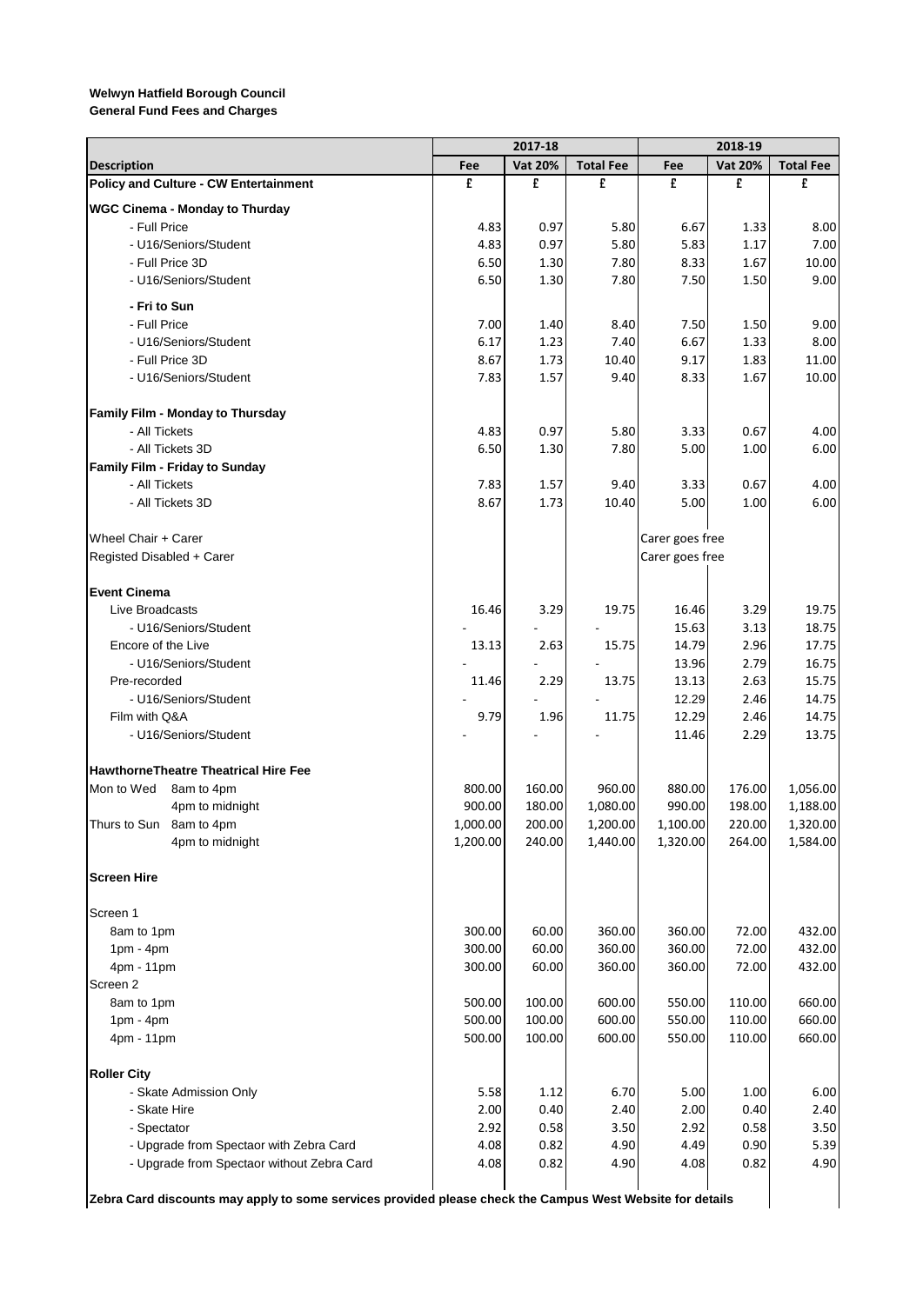**General Fund Fees and Charges**

|                                                                                                           |          | 2017-18        |                  |                 | 2018-19        |                  |
|-----------------------------------------------------------------------------------------------------------|----------|----------------|------------------|-----------------|----------------|------------------|
| <b>Description</b>                                                                                        | Fee      | <b>Vat 20%</b> | <b>Total Fee</b> | Fee             | <b>Vat 20%</b> | <b>Total Fee</b> |
| <b>Policy and Culture - CW Entertainment</b>                                                              | £        | £              | £                | £               | £              | £                |
| <b>WGC Cinema - Monday to Thurday</b>                                                                     |          |                |                  |                 |                |                  |
| - Full Price                                                                                              | 4.83     | 0.97           | 5.80             | 6.67            | 1.33           | 8.00             |
| - U16/Seniors/Student                                                                                     | 4.83     | 0.97           | 5.80             | 5.83            | 1.17           | 7.00             |
| - Full Price 3D                                                                                           | 6.50     | 1.30           | 7.80             | 8.33            | 1.67           | 10.00            |
| - U16/Seniors/Student                                                                                     | 6.50     | 1.30           | 7.80             | 7.50            | 1.50           | 9.00             |
| - Fri to Sun                                                                                              |          |                |                  |                 |                |                  |
| - Full Price                                                                                              | 7.00     | 1.40           | 8.40             | 7.50            | 1.50           | 9.00             |
| - U16/Seniors/Student                                                                                     | 6.17     | 1.23           | 7.40             | 6.67            | 1.33           | 8.00             |
| - Full Price 3D                                                                                           | 8.67     | 1.73           | 10.40            | 9.17            | 1.83           | 11.00            |
| - U16/Seniors/Student                                                                                     | 7.83     | 1.57           | 9.40             | 8.33            | 1.67           | 10.00            |
| Family Film - Monday to Thursday                                                                          |          |                |                  |                 |                |                  |
| - All Tickets                                                                                             | 4.83     | 0.97           | 5.80             | 3.33            | 0.67           | 4.00             |
| - All Tickets 3D                                                                                          | 6.50     | 1.30           | 7.80             | 5.00            | 1.00           | 6.00             |
| Family Film - Friday to Sunday                                                                            |          |                |                  |                 |                |                  |
| - All Tickets                                                                                             | 7.83     | 1.57           | 9.40             | 3.33            | 0.67           | 4.00             |
| - All Tickets 3D                                                                                          | 8.67     | 1.73           | 10.40            | 5.00            | 1.00           | 6.00             |
| Wheel Chair + Carer                                                                                       |          |                |                  | Carer goes free |                |                  |
| Registed Disabled + Carer                                                                                 |          |                |                  | Carer goes free |                |                  |
|                                                                                                           |          |                |                  |                 |                |                  |
| <b>Event Cinema</b>                                                                                       |          |                |                  |                 |                |                  |
| Live Broadcasts                                                                                           | 16.46    | 3.29           | 19.75            | 16.46           | 3.29           | 19.75            |
| - U16/Seniors/Student                                                                                     |          |                |                  | 15.63           | 3.13           | 18.75            |
| Encore of the Live                                                                                        | 13.13    | 2.63           | 15.75            | 14.79           | 2.96           | 17.75            |
| - U16/Seniors/Student                                                                                     |          |                |                  | 13.96           | 2.79           | 16.75            |
| Pre-recorded                                                                                              | 11.46    | 2.29           | 13.75            | 13.13           | 2.63           | 15.75            |
| - U16/Seniors/Student<br>Film with Q&A                                                                    | 9.79     |                | 11.75            | 12.29<br>12.29  | 2.46           | 14.75<br>14.75   |
| - U16/Seniors/Student                                                                                     |          | 1.96           |                  | 11.46           | 2.46<br>2.29   | 13.75            |
|                                                                                                           |          |                |                  |                 |                |                  |
| <b>HawthorneTheatre Theatrical Hire Fee</b>                                                               |          |                |                  |                 |                |                  |
| Mon to Wed<br>8am to 4pm                                                                                  | 800.00   | 160.00         | 960.00           | 880.00          | 176.00         | 1,056.00         |
| 4pm to midnight                                                                                           | 900.00   | 180.00         | 1,080.00         | 990.00          | 198.00         | 1,188.00         |
| Thurs to Sun 8am to 4pm                                                                                   | 1,000.00 | 200.00         | 1,200.00         | 1,100.00        | 220.00         | 1,320.00         |
| 4pm to midnight                                                                                           | 1,200.00 | 240.00         | 1,440.00         | 1,320.00        | 264.00         | 1,584.00         |
| <b>Screen Hire</b>                                                                                        |          |                |                  |                 |                |                  |
| Screen 1                                                                                                  |          |                |                  |                 |                |                  |
| 8am to 1pm                                                                                                | 300.00   | 60.00          | 360.00           | 360.00          | 72.00          | 432.00           |
| $1pm - 4pm$                                                                                               | 300.00   | 60.00          | 360.00           | 360.00          | 72.00          | 432.00           |
| 4pm - 11pm                                                                                                | 300.00   | 60.00          | 360.00           | 360.00          | 72.00          | 432.00           |
| Screen <sub>2</sub>                                                                                       |          |                |                  |                 |                |                  |
| 8am to 1pm                                                                                                | 500.00   | 100.00         | 600.00           | 550.00          | 110.00         | 660.00           |
| $1pm - 4pm$                                                                                               | 500.00   | 100.00         | 600.00           | 550.00          | 110.00         | 660.00           |
| 4pm - 11pm                                                                                                | 500.00   | 100.00         | 600.00           | 550.00          | 110.00         | 660.00           |
| <b>Roller City</b>                                                                                        |          |                |                  |                 |                |                  |
| - Skate Admission Only                                                                                    | 5.58     | 1.12           | 6.70             | 5.00            | 1.00           | 6.00             |
| - Skate Hire                                                                                              | 2.00     | 0.40           | 2.40             | 2.00            | 0.40           | 2.40             |
| - Spectator                                                                                               | 2.92     | 0.58           | 3.50             | 2.92            | 0.58           | 3.50             |
| - Upgrade from Spectaor with Zebra Card                                                                   | 4.08     | 0.82           | 4.90             | 4.49            | 0.90           | 5.39             |
| - Upgrade from Spectaor without Zebra Card                                                                | 4.08     | 0.82           | 4.90             | 4.08            | 0.82           | 4.90             |
| Zebra Card discounts may apply to some services provided please check the Campus West Website for details |          |                |                  |                 |                |                  |
|                                                                                                           |          |                |                  |                 |                |                  |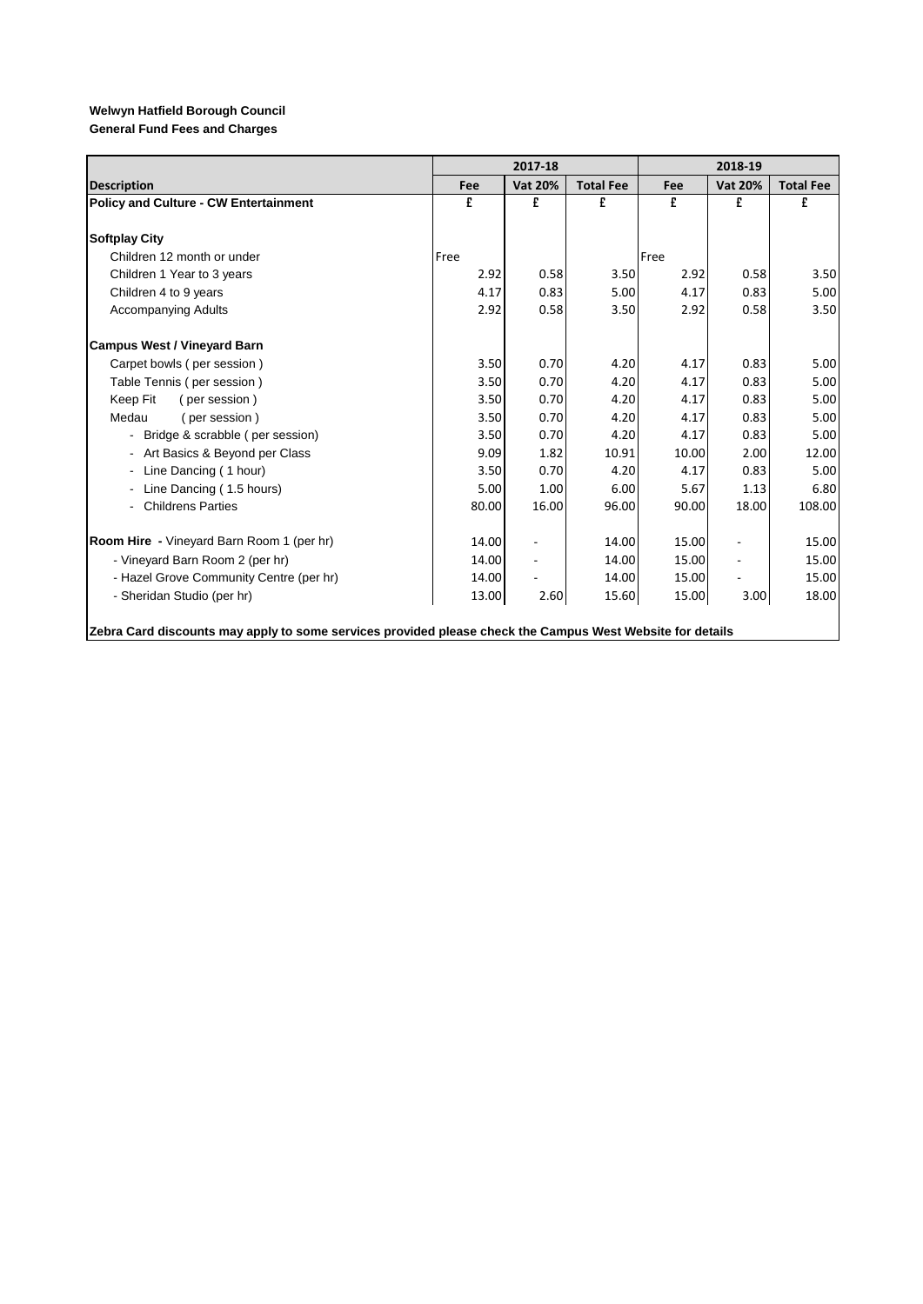**General Fund Fees and Charges**

|                                                                                                           |       | 2017-18        |                  |       | 2018-19                  |                  |
|-----------------------------------------------------------------------------------------------------------|-------|----------------|------------------|-------|--------------------------|------------------|
| <b>Description</b>                                                                                        | Fee   | <b>Vat 20%</b> | <b>Total Fee</b> | Fee   | <b>Vat 20%</b>           | <b>Total Fee</b> |
| <b>Policy and Culture - CW Entertainment</b>                                                              | £     | £              | £                | £     | £                        | £                |
|                                                                                                           |       |                |                  |       |                          |                  |
| <b>Softplay City</b>                                                                                      |       |                |                  |       |                          |                  |
| Children 12 month or under                                                                                | Free  |                |                  | Free  |                          |                  |
| Children 1 Year to 3 years                                                                                | 2.92  | 0.58           | 3.50             | 2.92  | 0.58                     | 3.50             |
| Children 4 to 9 years                                                                                     | 4.17  | 0.83           | 5.00             | 4.17  | 0.83                     | 5.00             |
| <b>Accompanying Adults</b>                                                                                | 2.92  | 0.58           | 3.50             | 2.92  | 0.58                     | 3.50             |
| <b>Campus West / Vineyard Barn</b>                                                                        |       |                |                  |       |                          |                  |
| Carpet bowls (per session)                                                                                | 3.50  | 0.70           | 4.20             | 4.17  | 0.83                     | 5.00             |
| Table Tennis (per session)                                                                                | 3.50  | 0.70           | 4.20             | 4.17  | 0.83                     | 5.00             |
| Keep Fit<br>(per session)                                                                                 | 3.50  | 0.70           | 4.20             | 4.17  | 0.83                     | 5.00             |
| Medau<br>(per session)                                                                                    | 3.50  | 0.70           | 4.20             | 4.17  | 0.83                     | 5.00             |
| - Bridge & scrabble (per session)                                                                         | 3.50  | 0.70           | 4.20             | 4.17  | 0.83                     | 5.00             |
| - Art Basics & Beyond per Class                                                                           | 9.09  | 1.82           | 10.91            | 10.00 | 2.00                     | 12.00            |
| - Line Dancing (1 hour)                                                                                   | 3.50  | 0.70           | 4.20             | 4.17  | 0.83                     | 5.00             |
| - Line Dancing (1.5 hours)                                                                                | 5.00  | 1.00           | 6.00             | 5.67  | 1.13                     | 6.80             |
| - Childrens Parties                                                                                       | 80.00 | 16.00          | 96.00            | 90.00 | 18.00                    | 108.00           |
| <b>Room Hire</b> - Vineyard Barn Room 1 (per hr)                                                          | 14.00 |                | 14.00            | 15.00 |                          | 15.00            |
| - Vineyard Barn Room 2 (per hr)                                                                           | 14.00 |                | 14.00            | 15.00 | $\overline{\phantom{a}}$ | 15.00            |
| - Hazel Grove Community Centre (per hr)                                                                   | 14.00 |                | 14.00            | 15.00 |                          | 15.00            |
| - Sheridan Studio (per hr)                                                                                | 13.00 | 2.60           | 15.60            | 15.00 | 3.00                     | 18.00            |
| Zebra Card discounts may apply to some services provided please check the Campus West Website for details |       |                |                  |       |                          |                  |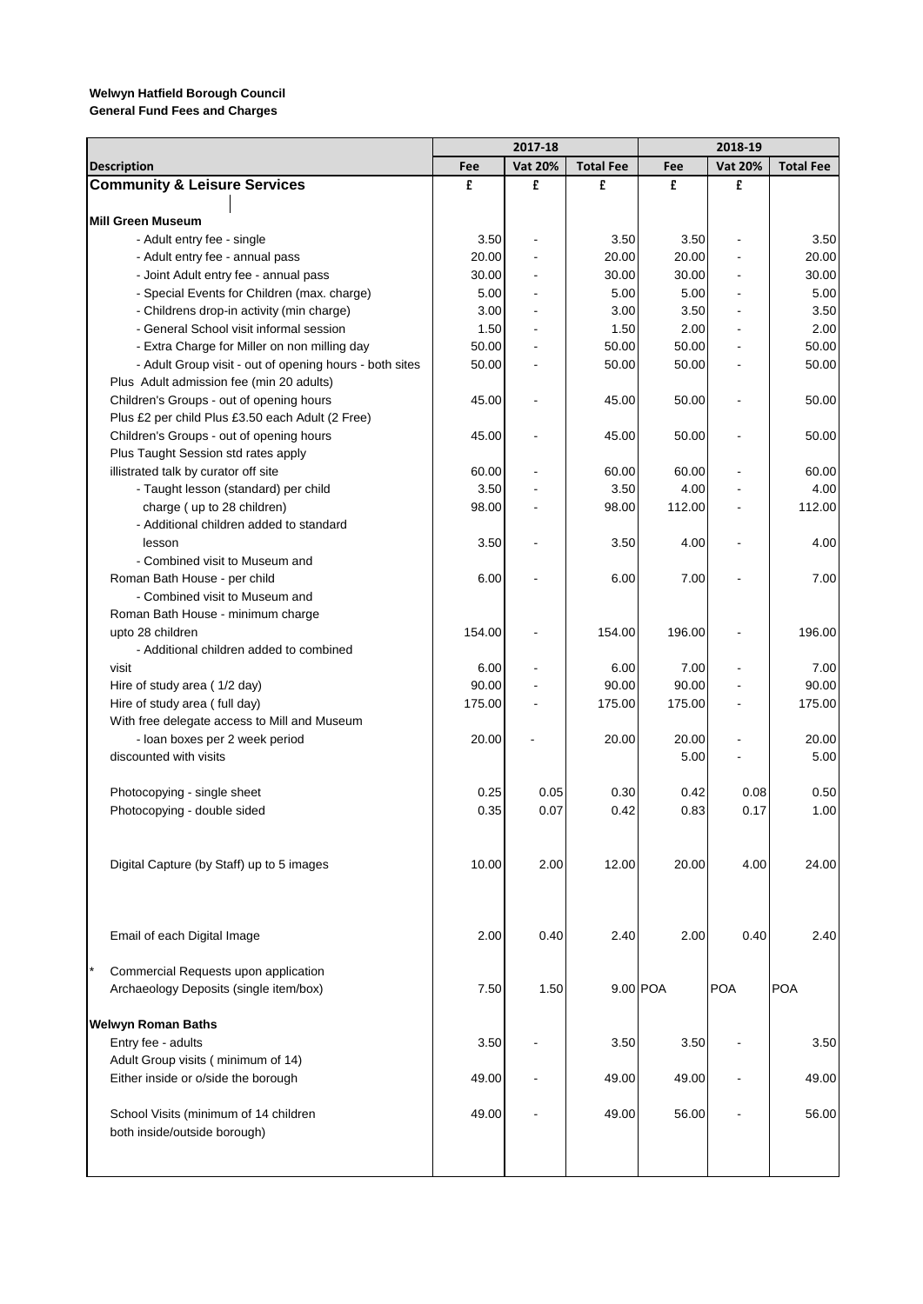|                                                         |        | 2017-18                  |                  |          | 2018-19        |                  |
|---------------------------------------------------------|--------|--------------------------|------------------|----------|----------------|------------------|
| <b>Description</b>                                      | Fee    | <b>Vat 20%</b>           | <b>Total Fee</b> | Fee      | <b>Vat 20%</b> | <b>Total Fee</b> |
| <b>Community &amp; Leisure Services</b>                 | £      | £                        | £                | £        | £              |                  |
|                                                         |        |                          |                  |          |                |                  |
| <b>Mill Green Museum</b>                                |        |                          |                  |          |                |                  |
| - Adult entry fee - single                              | 3.50   | ÷,                       | 3.50             | 3.50     |                | 3.50             |
| - Adult entry fee - annual pass                         | 20.00  |                          | 20.00            | 20.00    |                | 20.00            |
| - Joint Adult entry fee - annual pass                   | 30.00  |                          | 30.00            | 30.00    |                | 30.00            |
| - Special Events for Children (max. charge)             | 5.00   |                          | 5.00             | 5.00     |                | 5.00             |
| - Childrens drop-in activity (min charge)               | 3.00   |                          | 3.00             | 3.50     |                | 3.50             |
| - General School visit informal session                 | 1.50   | $\blacksquare$           | 1.50             | 2.00     |                | 2.00             |
| - Extra Charge for Miller on non milling day            | 50.00  |                          | 50.00            | 50.00    |                | 50.00            |
| - Adult Group visit - out of opening hours - both sites | 50.00  |                          | 50.00            | 50.00    |                | 50.00            |
| Plus Adult admission fee (min 20 adults)                |        |                          |                  |          |                |                  |
| Children's Groups - out of opening hours                | 45.00  |                          | 45.00            | 50.00    |                | 50.00            |
| Plus £2 per child Plus £3.50 each Adult (2 Free)        |        |                          |                  |          |                |                  |
| Children's Groups - out of opening hours                | 45.00  |                          | 45.00            | 50.00    |                | 50.00            |
| Plus Taught Session std rates apply                     |        |                          |                  |          |                |                  |
| illistrated talk by curator off site                    | 60.00  |                          | 60.00            | 60.00    |                | 60.00            |
| - Taught lesson (standard) per child                    | 3.50   |                          | 3.50             | 4.00     |                | 4.00             |
| charge (up to 28 children)                              | 98.00  |                          | 98.00            | 112.00   |                | 112.00           |
| - Additional children added to standard                 |        |                          |                  |          |                |                  |
| lesson                                                  | 3.50   | $\overline{\phantom{a}}$ | 3.50             | 4.00     |                | 4.00             |
| - Combined visit to Museum and                          |        |                          |                  |          |                |                  |
| Roman Bath House - per child                            | 6.00   |                          | 6.00             | 7.00     |                | 7.00             |
| - Combined visit to Museum and                          |        |                          |                  |          |                |                  |
| Roman Bath House - minimum charge                       |        |                          |                  |          |                |                  |
| upto 28 children                                        | 154.00 |                          | 154.00           | 196.00   |                | 196.00           |
| - Additional children added to combined                 |        |                          |                  |          |                |                  |
| visit                                                   | 6.00   | $\blacksquare$           | 6.00             | 7.00     |                | 7.00             |
| Hire of study area (1/2 day)                            | 90.00  |                          | 90.00            | 90.00    |                | 90.00            |
| Hire of study area (full day)                           | 175.00 |                          | 175.00           | 175.00   |                | 175.00           |
| With free delegate access to Mill and Museum            |        |                          |                  |          |                |                  |
| - loan boxes per 2 week period                          | 20.00  |                          | 20.00            | 20.00    |                | 20.00            |
| discounted with visits                                  |        |                          |                  | 5.00     |                | 5.00             |
|                                                         |        |                          |                  |          |                |                  |
| Photocopying - single sheet                             | 0.25   | 0.05                     | 0.30             | 0.42     | 0.08           | 0.50             |
| Photocopying - double sided                             | 0.35   | 0.07                     | 0.42             | 0.83     | 0.17           | 1.00             |
|                                                         |        |                          |                  |          |                |                  |
|                                                         |        |                          |                  |          |                |                  |
| Digital Capture (by Staff) up to 5 images               | 10.00  | 2.00                     | 12.00            | 20.00    | 4.00           | 24.00            |
|                                                         |        |                          |                  |          |                |                  |
|                                                         |        |                          |                  |          |                |                  |
|                                                         |        |                          |                  |          |                |                  |
| Email of each Digital Image                             | 2.00   | 0.40                     | 2.40             | 2.00     | 0.40           | 2.40             |
|                                                         |        |                          |                  |          |                |                  |
| Commercial Requests upon application                    |        |                          |                  | 9.00 POA |                | <b>POA</b>       |
| Archaeology Deposits (single item/box)                  | 7.50   | 1.50                     |                  |          | <b>POA</b>     |                  |
| <b>Welwyn Roman Baths</b>                               |        |                          |                  |          |                |                  |
| Entry fee - adults                                      | 3.50   |                          | 3.50             | 3.50     |                | 3.50             |
| Adult Group visits (minimum of 14)                      |        |                          |                  |          |                |                  |
| Either inside or o/side the borough                     | 49.00  |                          | 49.00            | 49.00    |                | 49.00            |
|                                                         |        |                          |                  |          |                |                  |
| School Visits (minimum of 14 children                   | 49.00  |                          | 49.00            | 56.00    |                | 56.00            |
| both inside/outside borough)                            |        |                          |                  |          |                |                  |
|                                                         |        |                          |                  |          |                |                  |
|                                                         |        |                          |                  |          |                |                  |
|                                                         |        |                          |                  |          |                |                  |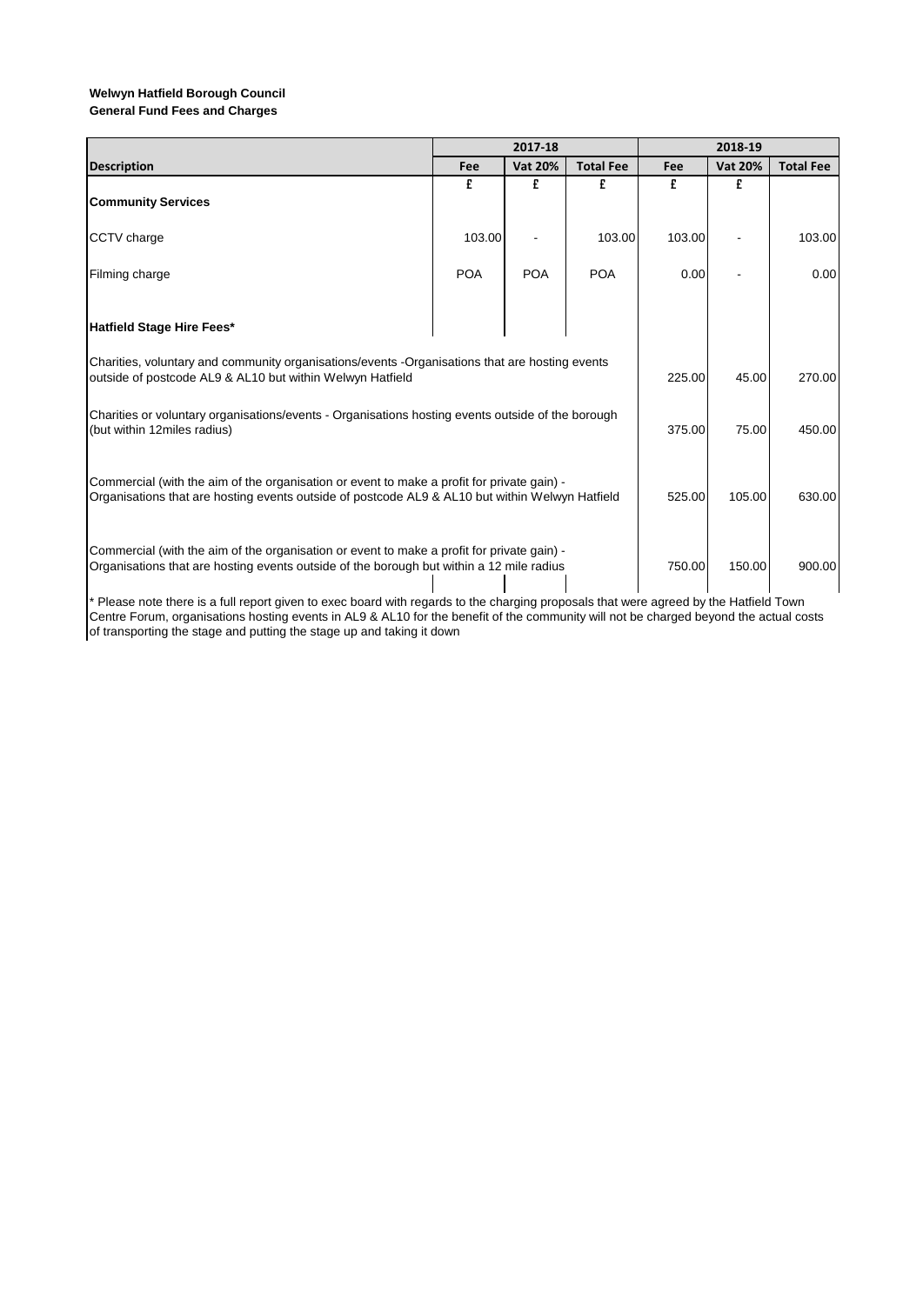|                                                                                                                                                                                               |            | 2017-18        |                  | 2018-19 |                |                  |
|-----------------------------------------------------------------------------------------------------------------------------------------------------------------------------------------------|------------|----------------|------------------|---------|----------------|------------------|
| <b>Description</b>                                                                                                                                                                            | Fee        | <b>Vat 20%</b> | <b>Total Fee</b> | Fee     | <b>Vat 20%</b> | <b>Total Fee</b> |
| <b>Community Services</b>                                                                                                                                                                     | £          | £              | £                | £       | £              |                  |
| <b>CCTV</b> charge                                                                                                                                                                            | 103.00     |                | 103.00           | 103.00  |                | 103.00           |
| Filming charge                                                                                                                                                                                | <b>POA</b> | <b>POA</b>     | <b>POA</b>       | 0.00    |                | 0.00             |
| Hatfield Stage Hire Fees*                                                                                                                                                                     |            |                |                  |         |                |                  |
| Charities, voluntary and community organisations/events -Organisations that are hosting events<br>outside of postcode AL9 & AL10 but within Welwyn Hatfield                                   | 225.00     | 45.00          | 270.00           |         |                |                  |
| Charities or voluntary organisations/events - Organisations hosting events outside of the borough<br>(but within 12miles radius)                                                              |            |                |                  | 375.00  | 75.00          | 450.00           |
| Commercial (with the aim of the organisation or event to make a profit for private gain) -<br>Organisations that are hosting events outside of postcode AL9 & AL10 but within Welwyn Hatfield | 525.00     | 105.00         | 630.00           |         |                |                  |
| Commercial (with the aim of the organisation or event to make a profit for private gain) -<br>Organisations that are hosting events outside of the borough but within a 12 mile radius        |            |                |                  | 750.00  | 150.00         | 900.00           |

\* Please note there is a full report given to exec board with regards to the charging proposals that were agreed by the Hatfield Town Centre Forum, organisations hosting events in AL9 & AL10 for the benefit of the community will not be charged beyond the actual costs of transporting the stage and putting the stage up and taking it down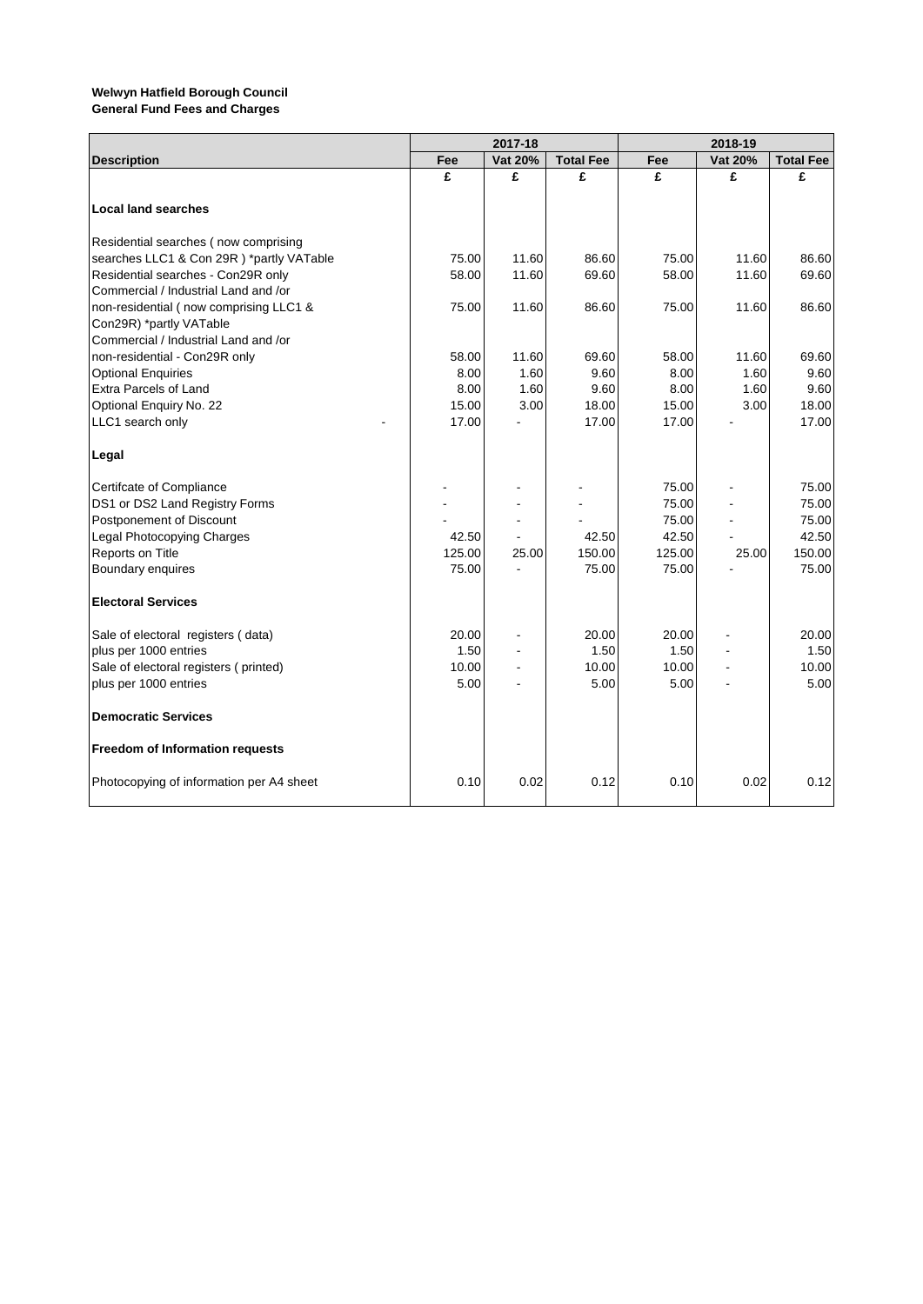|                                          |        | 2017-18 |                  | 2018-19 |         |                  |  |
|------------------------------------------|--------|---------|------------------|---------|---------|------------------|--|
| <b>Description</b>                       | Fee    | Vat 20% | <b>Total Fee</b> | Fee     | Vat 20% | <b>Total Fee</b> |  |
|                                          | £      | £       | £                | £       | £       | £                |  |
| <b>Local land searches</b>               |        |         |                  |         |         |                  |  |
| Residential searches (now comprising     |        |         |                  |         |         |                  |  |
| searches LLC1 & Con 29R) *partly VATable | 75.00  | 11.60   | 86.60            | 75.00   | 11.60   | 86.60            |  |
| Residential searches - Con29R only       | 58.00  | 11.60   | 69.60            | 58.00   | 11.60   | 69.60            |  |
| Commercial / Industrial Land and /or     |        |         |                  |         |         |                  |  |
| non-residential (now comprising LLC1 &   | 75.00  | 11.60   | 86.60            | 75.00   | 11.60   | 86.60            |  |
| Con29R) *partly VATable                  |        |         |                  |         |         |                  |  |
| Commercial / Industrial Land and /or     |        |         |                  |         |         |                  |  |
| non-residential - Con29R only            | 58.00  | 11.60   | 69.60            | 58.00   | 11.60   | 69.60            |  |
| <b>Optional Enquiries</b>                | 8.00   | 1.60    | 9.60             | 8.00    | 1.60    | 9.60             |  |
| Extra Parcels of Land                    | 8.00   | 1.60    | 9.60             | 8.00    | 1.60    | 9.60             |  |
| Optional Enquiry No. 22                  | 15.00  | 3.00    | 18.00            | 15.00   | 3.00    | 18.00            |  |
| LLC1 search only                         | 17.00  |         | 17.00            | 17.00   |         | 17.00            |  |
| Legal                                    |        |         |                  |         |         |                  |  |
| Certifcate of Compliance                 |        |         |                  | 75.00   |         | 75.00            |  |
| DS1 or DS2 Land Registry Forms           |        |         |                  | 75.00   |         | 75.00            |  |
| Postponement of Discount                 |        |         |                  | 75.00   |         | 75.00            |  |
| Legal Photocopying Charges               | 42.50  |         | 42.50            | 42.50   |         | 42.50            |  |
| Reports on Title                         | 125.00 | 25.00   | 150.00           | 125.00  | 25.00   | 150.00           |  |
| Boundary enquires                        | 75.00  |         | 75.00            | 75.00   |         | 75.00            |  |
| <b>Electoral Services</b>                |        |         |                  |         |         |                  |  |
| Sale of electoral registers (data)       | 20.00  |         | 20.00            | 20.00   |         | 20.00            |  |
| plus per 1000 entries                    | 1.50   |         | 1.50             | 1.50    |         | 1.50             |  |
| Sale of electoral registers (printed)    | 10.00  |         | 10.00            | 10.00   |         | 10.00            |  |
| plus per 1000 entries                    | 5.00   |         | 5.00             | 5.00    |         | 5.00             |  |
| <b>Democratic Services</b>               |        |         |                  |         |         |                  |  |
| Freedom of Information requests          |        |         |                  |         |         |                  |  |
| Photocopying of information per A4 sheet | 0.10   | 0.02    | 0.12             | 0.10    | 0.02    | 0.12             |  |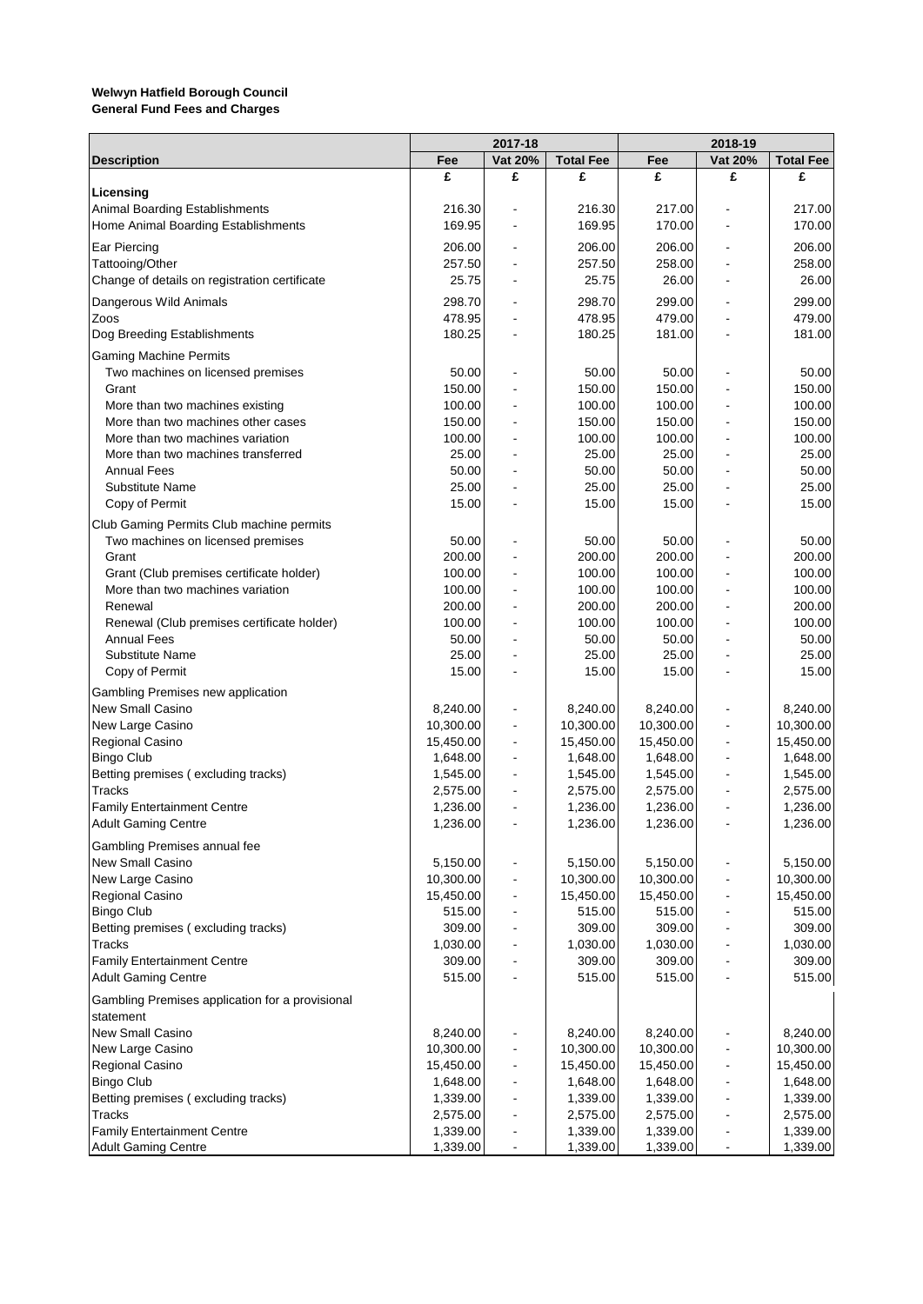|                                                                        | 2017-18         |                          |                  |                 |         |                  |
|------------------------------------------------------------------------|-----------------|--------------------------|------------------|-----------------|---------|------------------|
| <b>Description</b>                                                     | Fee             | Vat 20%                  | <b>Total Fee</b> | Fee             | Vat 20% | <b>Total Fee</b> |
|                                                                        | £               | £                        | £                | £               | £       | £                |
| Licensing                                                              |                 |                          |                  |                 |         |                  |
| Animal Boarding Establishments                                         | 216.30          |                          | 216.30           | 217.00          |         | 217.00           |
| Home Animal Boarding Establishments                                    | 169.95          |                          | 169.95           | 170.00          |         | 170.00           |
| Ear Piercing                                                           | 206.00          |                          | 206.00           | 206.00          |         | 206.00           |
| Tattooing/Other                                                        | 257.50          |                          | 257.50           | 258.00          |         | 258.00           |
| Change of details on registration certificate                          | 25.75           |                          | 25.75            | 26.00           |         | 26.00            |
| Dangerous Wild Animals                                                 | 298.70          |                          | 298.70           | 299.00          |         | 299.00           |
| Zoos                                                                   | 478.95          |                          | 478.95           | 479.00          |         | 479.00           |
| Dog Breeding Establishments                                            | 180.25          |                          | 180.25           | 181.00          |         | 181.00           |
| <b>Gaming Machine Permits</b>                                          |                 |                          |                  |                 |         |                  |
| Two machines on licensed premises                                      | 50.00           |                          | 50.00            | 50.00           |         | 50.00            |
| Grant                                                                  | 150.00          |                          | 150.00           | 150.00          |         | 150.00           |
| More than two machines existing                                        | 100.00          | $\blacksquare$           | 100.00           | 100.00          |         | 100.00           |
| More than two machines other cases<br>More than two machines variation | 150.00          |                          | 150.00           | 150.00          |         | 150.00           |
| More than two machines transferred                                     | 100.00<br>25.00 |                          | 100.00<br>25.00  | 100.00<br>25.00 |         | 100.00<br>25.00  |
| <b>Annual Fees</b>                                                     | 50.00           |                          | 50.00            | 50.00           |         | 50.00            |
| <b>Substitute Name</b>                                                 | 25.00           |                          | 25.00            | 25.00           |         | 25.00            |
| Copy of Permit                                                         | 15.00           |                          | 15.00            | 15.00           |         | 15.00            |
|                                                                        |                 |                          |                  |                 |         |                  |
| Club Gaming Permits Club machine permits                               |                 |                          |                  |                 |         |                  |
| Two machines on licensed premises<br>Grant                             | 50.00<br>200.00 |                          | 50.00<br>200.00  | 50.00<br>200.00 |         | 50.00<br>200.00  |
| Grant (Club premises certificate holder)                               | 100.00          |                          | 100.00           | 100.00          |         | 100.00           |
| More than two machines variation                                       | 100.00          |                          | 100.00           | 100.00          |         | 100.00           |
| Renewal                                                                | 200.00          |                          | 200.00           | 200.00          |         | 200.00           |
| Renewal (Club premises certificate holder)                             | 100.00          |                          | 100.00           | 100.00          |         | 100.00           |
| <b>Annual Fees</b>                                                     | 50.00           |                          | 50.00            | 50.00           |         | 50.00            |
| <b>Substitute Name</b>                                                 | 25.00           |                          | 25.00            | 25.00           |         | 25.00            |
| Copy of Permit                                                         | 15.00           |                          | 15.00            | 15.00           |         | 15.00            |
| Gambling Premises new application                                      |                 |                          |                  |                 |         |                  |
| <b>New Small Casino</b>                                                | 8,240.00        | $\overline{a}$           | 8,240.00         | 8,240.00        |         | 8,240.00         |
| New Large Casino                                                       | 10,300.00       | $\blacksquare$           | 10,300.00        | 10,300.00       |         | 10,300.00        |
| Regional Casino                                                        | 15,450.00       | $\overline{\phantom{a}}$ | 15,450.00        | 15,450.00       |         | 15,450.00        |
| <b>Bingo Club</b>                                                      | 1,648.00        | $\overline{\phantom{a}}$ | 1,648.00         | 1,648.00        |         | 1,648.00         |
| Betting premises (excluding tracks)                                    | 1,545.00        |                          | 1,545.00         | 1,545.00        |         | 1,545.00         |
| Tracks                                                                 | 2,575.00        |                          | 2,575.00         | 2,575.00        |         | 2,575.00         |
| <b>Family Entertainment Centre</b>                                     | 1,236.00        | $\overline{\phantom{a}}$ | 1,236.00         | 1,236.00        |         | 1,236.00         |
| <b>Adult Gaming Centre</b>                                             | 1,236.00        |                          | 1,236.00         | 1,236.00        |         | 1,236.00         |
| Gambling Premises annual fee                                           |                 |                          |                  |                 |         |                  |
| New Small Casino                                                       | 5,150.00        |                          | 5,150.00         | 5,150.00        |         | 5,150.00         |
| New Large Casino                                                       | 10,300.00       |                          | 10,300.00        | 10,300.00       |         | 10,300.00        |
| Regional Casino                                                        | 15,450.00       |                          | 15,450.00        | 15,450.00       |         | 15,450.00        |
| <b>Bingo Club</b>                                                      | 515.00          |                          | 515.00           | 515.00          |         | 515.00           |
| Betting premises (excluding tracks)                                    | 309.00          |                          | 309.00           | 309.00          |         | 309.00           |
| <b>Tracks</b>                                                          | 1,030.00        |                          | 1,030.00         | 1,030.00        |         | 1,030.00         |
| <b>Family Entertainment Centre</b>                                     | 309.00          |                          | 309.00           | 309.00          |         | 309.00           |
| <b>Adult Gaming Centre</b>                                             | 515.00          |                          | 515.00           | 515.00          |         | 515.00           |
| Gambling Premises application for a provisional<br>statement           |                 |                          |                  |                 |         |                  |
| <b>New Small Casino</b>                                                | 8,240.00        |                          | 8,240.00         | 8,240.00        |         | 8,240.00         |
| New Large Casino                                                       | 10,300.00       | $\overline{\phantom{a}}$ | 10,300.00        | 10,300.00       |         | 10,300.00        |
| Regional Casino                                                        | 15,450.00       | $\overline{\phantom{a}}$ | 15,450.00        | 15,450.00       |         | 15,450.00        |
| <b>Bingo Club</b>                                                      | 1,648.00        |                          | 1,648.00         | 1,648.00        |         | 1,648.00         |
| Betting premises (excluding tracks)                                    | 1,339.00        | $\overline{\phantom{a}}$ | 1,339.00         | 1,339.00        |         | 1,339.00         |
| <b>Tracks</b>                                                          | 2,575.00        |                          | 2,575.00         | 2,575.00        |         | 2,575.00         |
| <b>Family Entertainment Centre</b>                                     | 1,339.00        |                          | 1,339.00         | 1,339.00        |         | 1,339.00         |
| <b>Adult Gaming Centre</b>                                             | 1,339.00        |                          | 1,339.00         | 1,339.00        |         | 1,339.00         |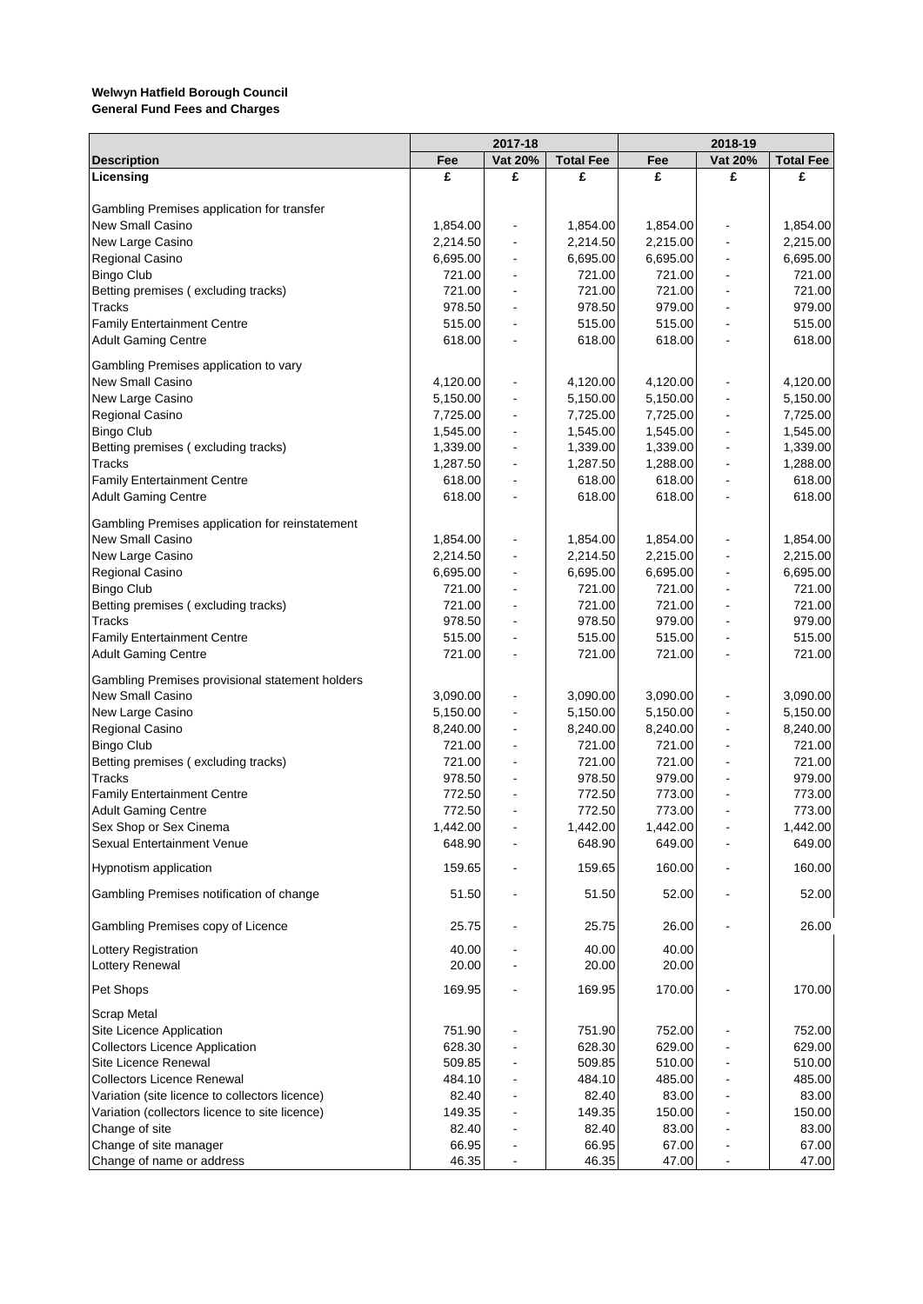|                                                     | 2017-18          |                              |                  |                  | 2018-19                  |                  |  |
|-----------------------------------------------------|------------------|------------------------------|------------------|------------------|--------------------------|------------------|--|
| <b>Description</b>                                  | Fee              | Vat 20%                      | <b>Total Fee</b> | Fee              | Vat 20%                  | <b>Total Fee</b> |  |
| Licensing                                           | £                | £                            | £                | £                | £                        | £                |  |
|                                                     |                  |                              |                  |                  |                          |                  |  |
| Gambling Premises application for transfer          |                  |                              |                  |                  |                          |                  |  |
| New Small Casino                                    | 1,854.00         | $\qquad \qquad \blacksquare$ | 1,854.00         | 1,854.00         |                          | 1,854.00         |  |
| New Large Casino                                    | 2,214.50         |                              | 2,214.50         | 2,215.00         |                          | 2,215.00         |  |
| Regional Casino                                     | 6,695.00         | $\blacksquare$               | 6,695.00         | 6,695.00         |                          | 6,695.00         |  |
| <b>Bingo Club</b>                                   | 721.00           | $\overline{\phantom{a}}$     | 721.00           | 721.00           |                          | 721.00           |  |
| Betting premises (excluding tracks)                 | 721.00           | $\overline{\phantom{a}}$     | 721.00           | 721.00           |                          | 721.00           |  |
| <b>Tracks</b><br><b>Family Entertainment Centre</b> | 978.50<br>515.00 |                              | 978.50<br>515.00 | 979.00<br>515.00 |                          | 979.00<br>515.00 |  |
| <b>Adult Gaming Centre</b>                          | 618.00           |                              | 618.00           | 618.00           |                          | 618.00           |  |
|                                                     |                  |                              |                  |                  |                          |                  |  |
| Gambling Premises application to vary               |                  |                              |                  |                  |                          |                  |  |
| New Small Casino                                    | 4,120.00         | $\blacksquare$               | 4,120.00         | 4,120.00         |                          | 4,120.00         |  |
| New Large Casino                                    | 5,150.00         | $\overline{\phantom{a}}$     | 5,150.00         | 5,150.00         |                          | 5,150.00         |  |
| Regional Casino                                     | 7,725.00         | $\overline{\phantom{a}}$     | 7,725.00         | 7,725.00         |                          | 7,725.00         |  |
| <b>Bingo Club</b>                                   | 1,545.00         | $\blacksquare$               | 1,545.00         | 1,545.00         |                          | 1,545.00         |  |
| Betting premises (excluding tracks)                 | 1,339.00         |                              | 1,339.00         | 1,339.00         |                          | 1,339.00         |  |
| <b>Tracks</b>                                       | 1,287.50         | $\overline{\phantom{a}}$     | 1,287.50         | 1,288.00         |                          | 1,288.00         |  |
| <b>Family Entertainment Centre</b>                  | 618.00           | $\blacksquare$               | 618.00           | 618.00           |                          | 618.00           |  |
| <b>Adult Gaming Centre</b>                          | 618.00           | $\overline{\phantom{a}}$     | 618.00           | 618.00           | $\blacksquare$           | 618.00           |  |
| Gambling Premises application for reinstatement     |                  |                              |                  |                  |                          |                  |  |
| New Small Casino                                    | 1,854.00         | $\blacksquare$               | 1,854.00         | 1,854.00         |                          | 1,854.00         |  |
| New Large Casino                                    | 2,214.50         | $\blacksquare$               | 2,214.50         | 2,215.00         |                          | 2,215.00         |  |
| Regional Casino                                     | 6,695.00         | $\overline{\phantom{a}}$     | 6,695.00         | 6,695.00         |                          | 6,695.00         |  |
| <b>Bingo Club</b>                                   | 721.00           | $\overline{\phantom{a}}$     | 721.00           | 721.00           |                          | 721.00           |  |
| Betting premises (excluding tracks)                 | 721.00           |                              | 721.00           | 721.00           |                          | 721.00           |  |
| <b>Tracks</b>                                       | 978.50           |                              | 978.50           | 979.00           |                          | 979.00           |  |
| <b>Family Entertainment Centre</b>                  | 515.00           |                              | 515.00           | 515.00           |                          | 515.00           |  |
| <b>Adult Gaming Centre</b>                          | 721.00           |                              | 721.00           | 721.00           |                          | 721.00           |  |
|                                                     |                  |                              |                  |                  |                          |                  |  |
| Gambling Premises provisional statement holders     |                  |                              |                  |                  |                          |                  |  |
| New Small Casino                                    | 3,090.00         | $\qquad \qquad \blacksquare$ | 3,090.00         | 3,090.00         |                          | 3,090.00         |  |
| New Large Casino                                    | 5,150.00         | $\overline{\phantom{a}}$     | 5,150.00         | 5,150.00         |                          | 5,150.00         |  |
| Regional Casino                                     | 8,240.00         | $\overline{\phantom{a}}$     | 8,240.00         | 8,240.00         |                          | 8,240.00         |  |
| <b>Bingo Club</b>                                   | 721.00           | $\qquad \qquad \blacksquare$ | 721.00           | 721.00           |                          | 721.00           |  |
| Betting premises (excluding tracks)                 | 721.00           | $\overline{\phantom{a}}$     | 721.00           | 721.00           |                          | 721.00           |  |
| <b>Tracks</b>                                       | 978.50           |                              | 978.50           | 979.00           |                          | 979.00           |  |
| <b>Family Entertainment Centre</b>                  | 772.50           |                              | 772.50           | 773.00           |                          | 773.00           |  |
| <b>Adult Gaming Centre</b>                          | 772.50           | $\overline{\phantom{a}}$     | 772.50           | 773.00           |                          | 773.00           |  |
| Sex Shop or Sex Cinema                              | 1,442.00         |                              | 1,442.00         | 1,442.00         |                          | 1,442.00         |  |
| Sexual Entertainment Venue                          | 648.90           |                              | 648.90           | 649.00           |                          | 649.00           |  |
| Hypnotism application                               | 159.65           |                              | 159.65           | 160.00           |                          | 160.00           |  |
| Gambling Premises notification of change            | 51.50            |                              | 51.50            | 52.00            |                          | 52.00            |  |
|                                                     |                  |                              |                  |                  |                          |                  |  |
| Gambling Premises copy of Licence                   | 25.75            |                              | 25.75            | 26.00            |                          | 26.00            |  |
| <b>Lottery Registration</b>                         | 40.00            |                              | 40.00            | 40.00            |                          |                  |  |
| Lottery Renewal                                     | 20.00            |                              | 20.00            | 20.00            |                          |                  |  |
| Pet Shops                                           | 169.95           |                              | 169.95           | 170.00           |                          | 170.00           |  |
|                                                     |                  |                              |                  |                  |                          |                  |  |
| <b>Scrap Metal</b>                                  |                  |                              |                  |                  |                          |                  |  |
| Site Licence Application                            | 751.90           |                              | 751.90           | 752.00           |                          | 752.00           |  |
| <b>Collectors Licence Application</b>               | 628.30           |                              | 628.30           | 629.00           |                          | 629.00           |  |
| Site Licence Renewal                                | 509.85           |                              | 509.85           | 510.00           |                          | 510.00           |  |
| <b>Collectors Licence Renewal</b>                   | 484.10           |                              | 484.10           | 485.00           |                          | 485.00           |  |
| Variation (site licence to collectors licence)      | 82.40            |                              | 82.40            | 83.00            |                          | 83.00            |  |
| Variation (collectors licence to site licence)      | 149.35           |                              | 149.35           | 150.00           |                          | 150.00           |  |
| Change of site                                      | 82.40            |                              | 82.40            | 83.00            |                          | 83.00            |  |
| Change of site manager                              | 66.95<br>46.35   |                              | 66.95<br>46.35   | 67.00<br>47.00   | $\overline{\phantom{0}}$ | 67.00<br>47.00   |  |
| Change of name or address                           |                  |                              |                  |                  |                          |                  |  |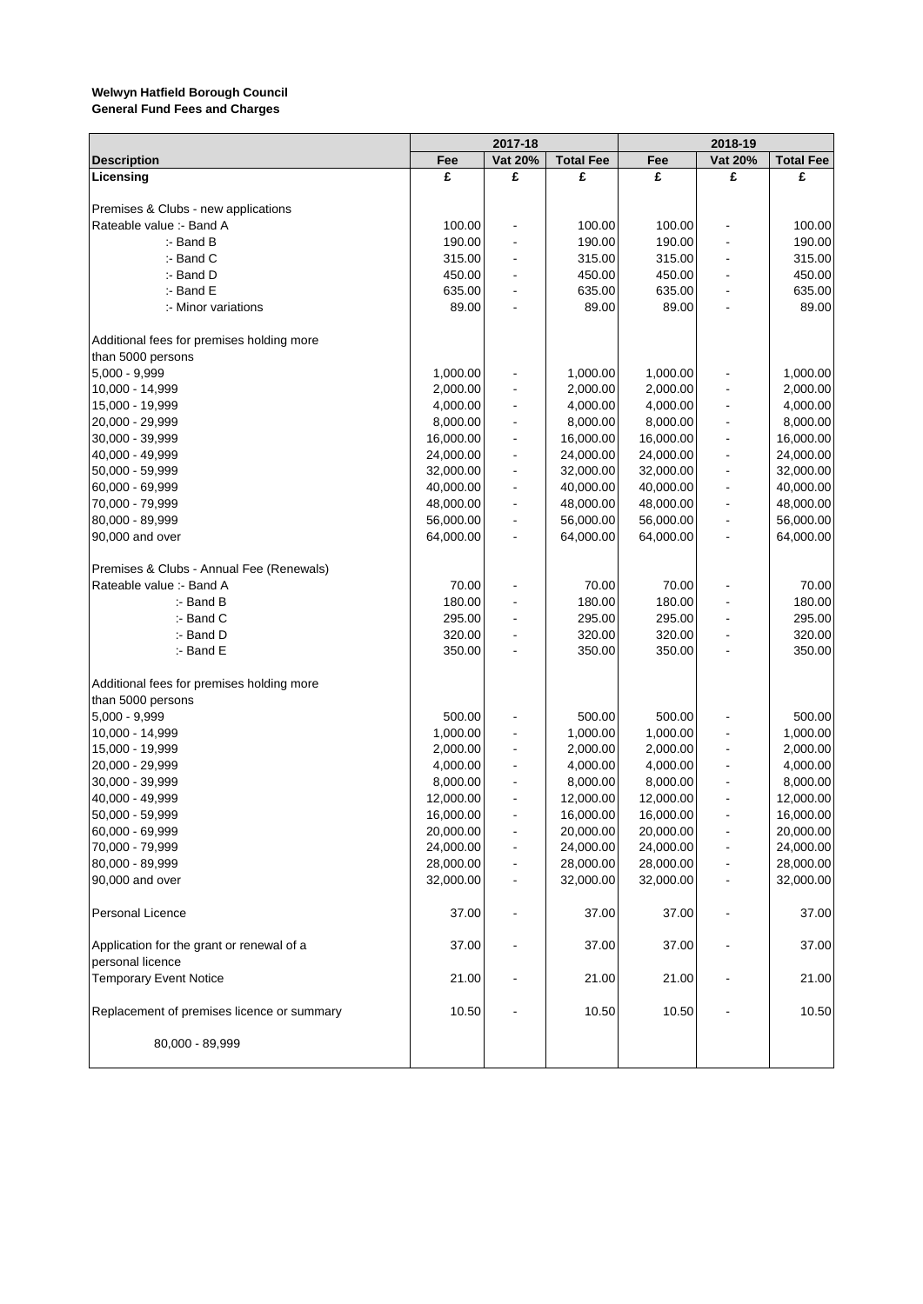|                                            |           | 2017-18                  |                  |           | 2018-19                  |                  |
|--------------------------------------------|-----------|--------------------------|------------------|-----------|--------------------------|------------------|
| <b>Description</b>                         | Fee       | Vat 20%                  | <b>Total Fee</b> | Fee       | Vat 20%                  | <b>Total Fee</b> |
| Licensing                                  | £         | £                        | £                | £         | £                        | £                |
|                                            |           |                          |                  |           |                          |                  |
| Premises & Clubs - new applications        |           |                          |                  |           |                          |                  |
| Rateable value :- Band A                   | 100.00    | $\overline{\phantom{a}}$ | 100.00           | 100.00    |                          | 100.00           |
| $:$ - Band B                               | 190.00    | $\overline{\phantom{a}}$ | 190.00           | 190.00    |                          | 190.00           |
| :- Band C                                  | 315.00    | $\ddot{\phantom{a}}$     | 315.00           | 315.00    |                          | 315.00           |
| :- Band D                                  | 450.00    | $\blacksquare$           | 450.00           | 450.00    |                          | 450.00           |
| :- Band E                                  | 635.00    | $\ddot{\phantom{a}}$     | 635.00           | 635.00    |                          | 635.00           |
| :- Minor variations                        | 89.00     | $\overline{\phantom{a}}$ | 89.00            | 89.00     |                          | 89.00            |
| Additional fees for premises holding more  |           |                          |                  |           |                          |                  |
| than 5000 persons                          |           |                          |                  |           |                          |                  |
| 5,000 - 9,999                              | 1,000.00  | $\overline{\phantom{a}}$ | 1,000.00         | 1,000.00  |                          | 1,000.00         |
| 10,000 - 14,999                            | 2,000.00  | $\overline{a}$           | 2,000.00         | 2,000.00  |                          | 2,000.00         |
| 15,000 - 19,999                            | 4,000.00  | $\ddot{\phantom{a}}$     | 4,000.00         | 4,000.00  |                          | 4,000.00         |
| 20,000 - 29,999                            | 8,000.00  | $\blacksquare$           | 8,000.00         | 8,000.00  |                          | 8,000.00         |
| 30,000 - 39,999                            | 16,000.00 | $\ddot{\phantom{a}}$     | 16,000.00        | 16,000.00 |                          | 16,000.00        |
| 40,000 - 49,999                            | 24,000.00 | $\overline{a}$           | 24,000.00        | 24,000.00 |                          | 24,000.00        |
| 50,000 - 59,999                            | 32,000.00 | $\blacksquare$           | 32,000.00        | 32,000.00 |                          | 32,000.00        |
| 60,000 - 69,999                            | 40,000.00 | $\blacksquare$           | 40,000.00        | 40,000.00 | $\overline{\phantom{a}}$ | 40,000.00        |
|                                            |           | $\ddot{\phantom{a}}$     |                  |           |                          | 48,000.00        |
| 70,000 - 79,999                            | 48,000.00 |                          | 48,000.00        | 48,000.00 |                          |                  |
| 80,000 - 89,999                            | 56,000.00 | $\blacksquare$           | 56,000.00        | 56,000.00 |                          | 56,000.00        |
| 90,000 and over                            | 64,000.00 | $\overline{\phantom{a}}$ | 64,000.00        | 64,000.00 | $\blacksquare$           | 64,000.00        |
| Premises & Clubs - Annual Fee (Renewals)   |           |                          |                  |           |                          |                  |
| Rateable value :- Band A                   | 70.00     | $\blacksquare$           | 70.00            | 70.00     |                          | 70.00            |
| $:$ - Band B                               | 180.00    | $\overline{a}$           | 180.00           | 180.00    |                          | 180.00           |
| :- Band C                                  | 295.00    | $\blacksquare$           | 295.00           | 295.00    |                          | 295.00           |
| :- Band D                                  | 320.00    | $\ddot{\phantom{a}}$     | 320.00           | 320.00    |                          | 320.00           |
| :- Band E                                  | 350.00    | $\overline{a}$           | 350.00           | 350.00    |                          | 350.00           |
| Additional fees for premises holding more  |           |                          |                  |           |                          |                  |
| than 5000 persons                          |           |                          |                  |           |                          |                  |
| 5,000 - 9,999                              | 500.00    | $\blacksquare$           | 500.00           | 500.00    |                          | 500.00           |
| 10,000 - 14,999                            | 1,000.00  | $\blacksquare$           | 1,000.00         | 1,000.00  |                          | 1,000.00         |
| 15,000 - 19,999                            | 2,000.00  | $\blacksquare$           | 2,000.00         | 2,000.00  |                          | 2,000.00         |
| 20,000 - 29,999                            | 4,000.00  | $\ddot{\phantom{a}}$     | 4,000.00         | 4,000.00  |                          | 4,000.00         |
| 30,000 - 39,999                            | 8,000.00  | $\overline{\phantom{a}}$ | 8,000.00         | 8,000.00  |                          | 8,000.00         |
| 40,000 - 49,999                            | 12,000.00 | $\overline{a}$           | 12,000.00        | 12,000.00 |                          | 12,000.00        |
| 50,000 - 59,999                            | 16,000.00 | $\overline{\phantom{a}}$ | 16,000.00        | 16,000.00 | $\blacksquare$           | 16,000.00        |
| 60,000 - 69,999                            | 20,000.00 |                          | 20,000.00        | 20,000.00 |                          | 20,000.00        |
| 70,000 - 79,999                            | 24,000.00 |                          | 24,000.00        | 24,000.00 |                          | 24,000.00        |
| 80,000 - 89,999                            | 28,000.00 | $\blacksquare$           | 28,000.00        | 28,000.00 |                          | 28,000.00        |
| 90,000 and over                            | 32,000.00 | $\blacksquare$           | 32,000.00        | 32,000.00 |                          | 32,000.00        |
| Personal Licence                           | 37.00     |                          | 37.00            | 37.00     |                          | 37.00            |
| Application for the grant or renewal of a  | 37.00     |                          | 37.00            | 37.00     |                          | 37.00            |
| personal licence                           |           |                          |                  |           |                          |                  |
| <b>Temporary Event Notice</b>              | 21.00     |                          | 21.00            | 21.00     |                          | 21.00            |
| Replacement of premises licence or summary | 10.50     | $\blacksquare$           | 10.50            | 10.50     |                          | 10.50            |
|                                            |           |                          |                  |           |                          |                  |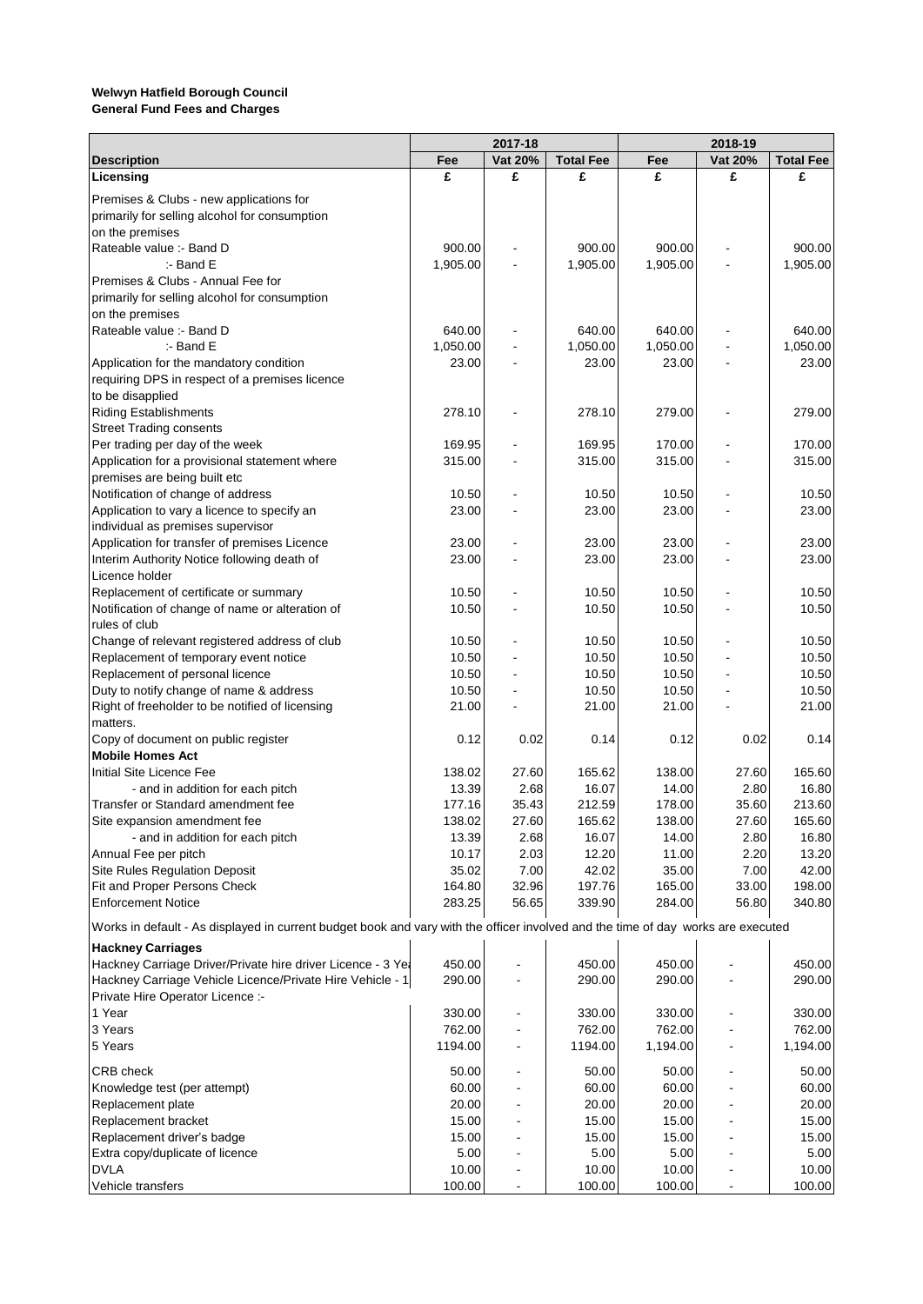|                                                                                                                                  | 2017-18  |                          |                  | 2018-19  |                |                  |  |
|----------------------------------------------------------------------------------------------------------------------------------|----------|--------------------------|------------------|----------|----------------|------------------|--|
| <b>Description</b>                                                                                                               | Fee      | Vat 20%                  | <b>Total Fee</b> | Fee      | Vat 20%        | <b>Total Fee</b> |  |
| Licensing                                                                                                                        | £        | £                        | £                | £        | £              | £                |  |
| Premises & Clubs - new applications for                                                                                          |          |                          |                  |          |                |                  |  |
| primarily for selling alcohol for consumption                                                                                    |          |                          |                  |          |                |                  |  |
| on the premises                                                                                                                  |          |                          |                  |          |                |                  |  |
| Rateable value :- Band D                                                                                                         | 900.00   |                          | 900.00           | 900.00   |                | 900.00           |  |
| $:$ - Band E                                                                                                                     | 1,905.00 |                          | 1,905.00         | 1,905.00 |                | 1,905.00         |  |
| Premises & Clubs - Annual Fee for                                                                                                |          |                          |                  |          |                |                  |  |
| primarily for selling alcohol for consumption                                                                                    |          |                          |                  |          |                |                  |  |
| on the premises                                                                                                                  |          |                          |                  |          |                |                  |  |
| Rateable value :- Band D                                                                                                         | 640.00   |                          | 640.00           | 640.00   |                | 640.00           |  |
| $:$ - Band E                                                                                                                     | 1,050.00 |                          | 1,050.00         | 1,050.00 |                | 1,050.00         |  |
| Application for the mandatory condition                                                                                          | 23.00    |                          | 23.00            | 23.00    |                | 23.00            |  |
| requiring DPS in respect of a premises licence                                                                                   |          |                          |                  |          |                |                  |  |
| to be disapplied                                                                                                                 |          |                          |                  |          |                |                  |  |
| <b>Riding Establishments</b>                                                                                                     | 278.10   |                          | 278.10           | 279.00   |                | 279.00           |  |
| <b>Street Trading consents</b>                                                                                                   |          |                          |                  |          |                |                  |  |
| Per trading per day of the week                                                                                                  | 169.95   |                          | 169.95           | 170.00   |                | 170.00           |  |
| Application for a provisional statement where                                                                                    | 315.00   | $\overline{\phantom{a}}$ | 315.00           | 315.00   |                | 315.00           |  |
| premises are being built etc                                                                                                     |          |                          |                  |          |                |                  |  |
| Notification of change of address                                                                                                | 10.50    |                          | 10.50            | 10.50    |                | 10.50            |  |
| Application to vary a licence to specify an                                                                                      | 23.00    |                          | 23.00            | 23.00    |                | 23.00            |  |
| individual as premises supervisor                                                                                                |          |                          |                  |          |                |                  |  |
| Application for transfer of premises Licence                                                                                     | 23.00    |                          | 23.00            | 23.00    |                | 23.00            |  |
| Interim Authority Notice following death of                                                                                      | 23.00    |                          | 23.00            | 23.00    |                | 23.00            |  |
| Licence holder                                                                                                                   | 10.50    |                          | 10.50            | 10.50    |                | 10.50            |  |
| Replacement of certificate or summary<br>Notification of change of name or alteration of                                         | 10.50    |                          | 10.50            | 10.50    |                | 10.50            |  |
| rules of club                                                                                                                    |          |                          |                  |          |                |                  |  |
| Change of relevant registered address of club                                                                                    | 10.50    |                          | 10.50            | 10.50    |                | 10.50            |  |
| Replacement of temporary event notice                                                                                            | 10.50    |                          | 10.50            | 10.50    |                | 10.50            |  |
| Replacement of personal licence                                                                                                  | 10.50    |                          | 10.50            | 10.50    |                | 10.50            |  |
| Duty to notify change of name & address                                                                                          | 10.50    |                          | 10.50            | 10.50    |                | 10.50            |  |
| Right of freeholder to be notified of licensing                                                                                  | 21.00    |                          | 21.00            | 21.00    |                | 21.00            |  |
| matters.                                                                                                                         |          |                          |                  |          |                |                  |  |
| Copy of document on public register                                                                                              | 0.12     | 0.02                     | 0.14             | 0.12     | 0.02           | 0.14             |  |
| <b>Mobile Homes Act</b>                                                                                                          |          |                          |                  |          |                |                  |  |
| Initial Site Licence Fee                                                                                                         | 138.02   | 27.60                    | 165.62           | 138.00   | 27.60          | 165.60           |  |
| - and in addition for each pitch                                                                                                 | 13.39    | 2.68                     | 16.07            | 14.00    | 2.80           | 16.80            |  |
| Transfer or Standard amendment fee                                                                                               | 177.16   | 35.43                    | 212.59           | 178.00   | 35.60          | 213.60           |  |
| Site expansion amendment fee                                                                                                     | 138.02   | 27.60                    | 165.62           | 138.00   | 27.60          | 165.60           |  |
| - and in addition for each pitch                                                                                                 | 13.39    | 2.68                     | 16.07            | 14.00    | 2.80           | 16.80            |  |
| Annual Fee per pitch                                                                                                             | 10.17    | 2.03                     | 12.20            | 11.00    | 2.20           | 13.20            |  |
| Site Rules Regulation Deposit                                                                                                    | 35.02    | 7.00                     | 42.02            | 35.00    | 7.00           | 42.00            |  |
| Fit and Proper Persons Check                                                                                                     | 164.80   | 32.96                    | 197.76           | 165.00   | 33.00          | 198.00           |  |
| <b>Enforcement Notice</b>                                                                                                        | 283.25   | 56.65                    | 339.90           | 284.00   | 56.80          | 340.80           |  |
| Works in default - As displayed in current budget book and vary with the officer involved and the time of day works are executed |          |                          |                  |          |                |                  |  |
| <b>Hackney Carriages</b>                                                                                                         |          |                          |                  |          |                |                  |  |
| Hackney Carriage Driver/Private hire driver Licence - 3 Yea                                                                      | 450.00   |                          | 450.00           | 450.00   |                | 450.00           |  |
| Hackney Carriage Vehicle Licence/Private Hire Vehicle - 1                                                                        | 290.00   |                          | 290.00           | 290.00   |                | 290.00           |  |
| Private Hire Operator Licence :-                                                                                                 |          |                          |                  |          |                |                  |  |
| 1 Year                                                                                                                           | 330.00   |                          | 330.00           | 330.00   |                | 330.00           |  |
| 3 Years                                                                                                                          | 762.00   |                          | 762.00           | 762.00   |                | 762.00           |  |
| 5 Years                                                                                                                          | 1194.00  |                          | 1194.00          | 1,194.00 |                | 1,194.00         |  |
|                                                                                                                                  |          |                          |                  |          |                |                  |  |
| CRB check                                                                                                                        | 50.00    |                          | 50.00            | 50.00    |                | 50.00            |  |
| Knowledge test (per attempt)                                                                                                     | 60.00    |                          | 60.00            | 60.00    |                | 60.00            |  |
| Replacement plate                                                                                                                | 20.00    |                          | 20.00            | 20.00    |                | 20.00            |  |
| Replacement bracket                                                                                                              | 15.00    |                          | 15.00            | 15.00    |                | 15.00            |  |
| Replacement driver's badge                                                                                                       | 15.00    |                          | 15.00            | 15.00    |                | 15.00            |  |
| Extra copy/duplicate of licence                                                                                                  | 5.00     |                          | 5.00             | 5.00     |                | 5.00             |  |
| <b>DVLA</b>                                                                                                                      | 10.00    |                          | 10.00            | 10.00    |                | 10.00            |  |
| Vehicle transfers                                                                                                                | 100.00   |                          | 100.00           | 100.00   | $\blacksquare$ | 100.00           |  |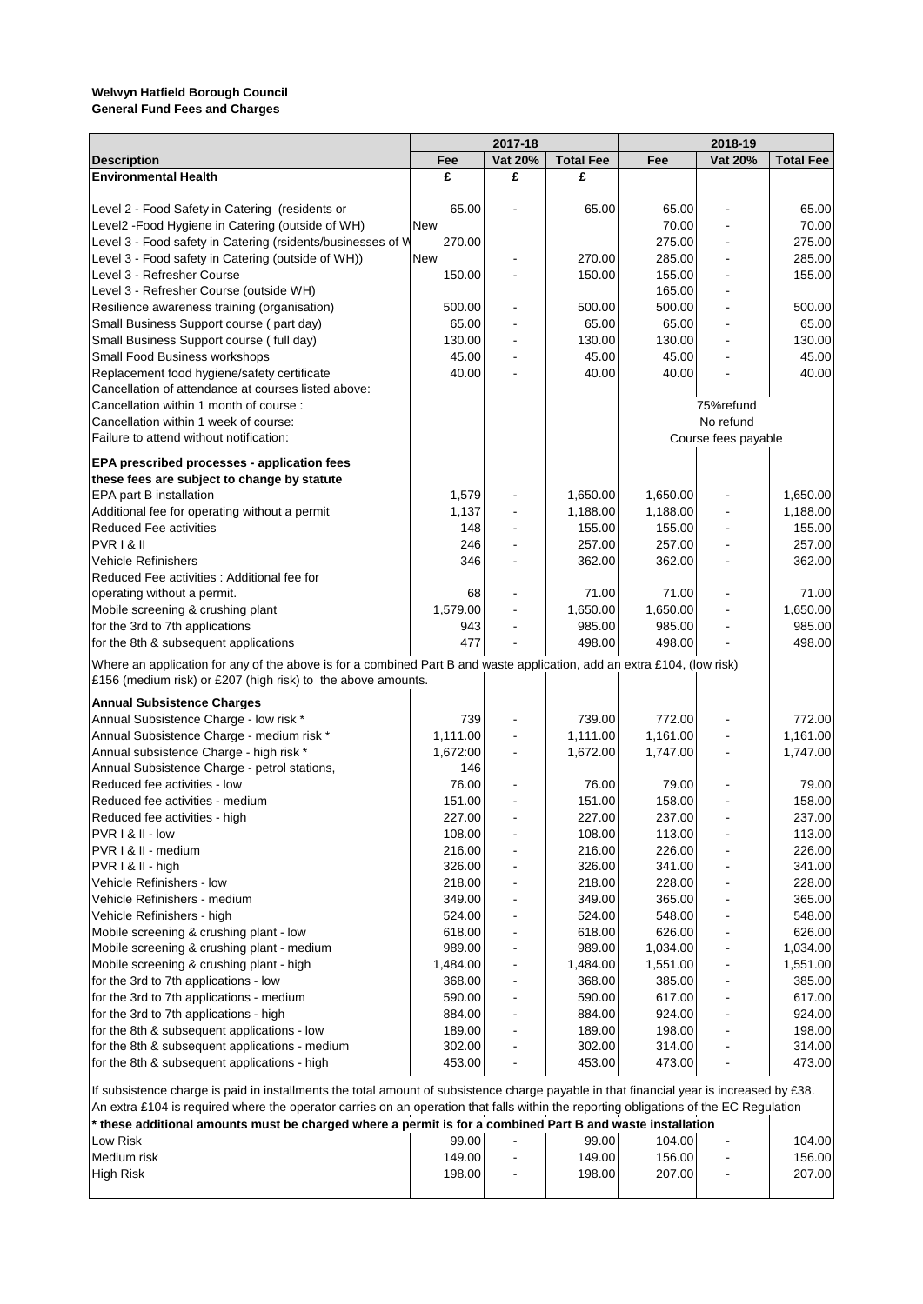|                                                                                                                                          | 2017-18  |         |                  | 2018-19  |                     |                  |
|------------------------------------------------------------------------------------------------------------------------------------------|----------|---------|------------------|----------|---------------------|------------------|
| <b>Description</b>                                                                                                                       | Fee      | Vat 20% | <b>Total Fee</b> | Fee      | Vat 20%             | <b>Total Fee</b> |
| <b>Environmental Health</b>                                                                                                              | £        | £       | £                |          |                     |                  |
|                                                                                                                                          |          |         |                  |          |                     |                  |
| Level 2 - Food Safety in Catering (residents or                                                                                          | 65.00    |         | 65.00            | 65.00    |                     | 65.00            |
| Level2 - Food Hygiene in Catering (outside of WH)                                                                                        | New      |         |                  | 70.00    |                     | 70.00            |
| Level 3 - Food safety in Catering (rsidents/businesses of W                                                                              | 270.00   |         |                  | 275.00   |                     | 275.00           |
| Level 3 - Food safety in Catering (outside of WH))                                                                                       | New      |         | 270.00           | 285.00   |                     | 285.00           |
| Level 3 - Refresher Course                                                                                                               | 150.00   |         | 150.00           | 155.00   |                     | 155.00           |
| Level 3 - Refresher Course (outside WH)                                                                                                  |          |         |                  | 165.00   |                     |                  |
| Resilience awareness training (organisation)                                                                                             | 500.00   |         | 500.00           | 500.00   |                     | 500.00           |
| Small Business Support course (part day)                                                                                                 | 65.00    |         | 65.00            | 65.00    |                     | 65.00            |
| Small Business Support course (full day)                                                                                                 | 130.00   |         | 130.00           | 130.00   |                     | 130.00           |
| Small Food Business workshops                                                                                                            | 45.00    |         | 45.00            | 45.00    |                     | 45.00            |
| Replacement food hygiene/safety certificate                                                                                              | 40.00    |         | 40.00            | 40.00    |                     | 40.00            |
| Cancellation of attendance at courses listed above:                                                                                      |          |         |                  |          |                     |                  |
| Cancellation within 1 month of course:                                                                                                   |          |         |                  |          | 75%refund           |                  |
| Cancellation within 1 week of course:                                                                                                    |          |         |                  |          | No refund           |                  |
| Failure to attend without notification:                                                                                                  |          |         |                  |          | Course fees payable |                  |
| EPA prescribed processes - application fees                                                                                              |          |         |                  |          |                     |                  |
| these fees are subject to change by statute                                                                                              |          |         |                  |          |                     |                  |
| EPA part B installation                                                                                                                  | 1,579    |         | 1,650.00         | 1,650.00 |                     | 1,650.00         |
| Additional fee for operating without a permit                                                                                            | 1,137    |         | 1,188.00         | 1.188.00 |                     | 1,188.00         |
| <b>Reduced Fee activities</b>                                                                                                            | 148      |         | 155.00           | 155.00   |                     | 155.00           |
| <b>PVR1&amp;II</b>                                                                                                                       | 246      |         | 257.00           | 257.00   |                     | 257.00           |
| Vehicle Refinishers                                                                                                                      | 346      |         | 362.00           | 362.00   |                     | 362.00           |
| Reduced Fee activities : Additional fee for                                                                                              |          |         |                  |          |                     |                  |
| operating without a permit.                                                                                                              | 68       |         | 71.00            | 71.00    |                     | 71.00            |
| Mobile screening & crushing plant                                                                                                        | 1,579.00 |         | 1,650.00         | 1,650.00 |                     | 1,650.00         |
| for the 3rd to 7th applications                                                                                                          | 943      |         | 985.00           | 985.00   |                     | 985.00           |
| for the 8th & subsequent applications                                                                                                    | 477      |         | 498.00           | 498.00   |                     | 498.00           |
| Where an application for any of the above is for a combined Part B and waste application, add an extra £104, (low risk)                  |          |         |                  |          |                     |                  |
| £156 (medium risk) or £207 (high risk) to the above amounts.                                                                             |          |         |                  |          |                     |                  |
| <b>Annual Subsistence Charges</b>                                                                                                        |          |         |                  |          |                     |                  |
| Annual Subsistence Charge - low risk *                                                                                                   | 739      |         | 739.00           | 772.00   |                     | 772.00           |
| Annual Subsistence Charge - medium risk *                                                                                                | 1,111.00 |         | 1,111.00         | 1,161.00 |                     | 1,161.00         |
| Annual subsistence Charge - high risk *                                                                                                  | 1,672:00 |         | 1,672.00         | 1,747.00 |                     | 1,747.00         |
| Annual Subsistence Charge - petrol stations,                                                                                             | 146      |         |                  |          |                     |                  |
| Reduced fee activities - low                                                                                                             | 76.00    |         | 76.00            | 79.00    |                     | 79.00            |
| Reduced fee activities - medium                                                                                                          | 151.00   |         | 151.00           | 158.00   |                     | 158.00           |
| Reduced fee activities - high                                                                                                            | 227.00   |         | 227.00           | 237.00   |                     | 237.00           |
| PVR I & II - low                                                                                                                         | 108.00   |         | 108.00           | 113.00   |                     | 113.00           |
| PVR I & II - medium                                                                                                                      | 216.00   |         | 216.00           | 226.00   |                     | 226.00           |
| PVR I & II - high                                                                                                                        | 326.00   |         | 326.00           | 341.00   |                     | 341.00           |
| Vehicle Refinishers - Iow                                                                                                                | 218.00   |         | 218.00           | 228.00   |                     | 228.00           |
| Vehicle Refinishers - medium                                                                                                             | 349.00   |         | 349.00           | 365.00   |                     | 365.00           |
| Vehicle Refinishers - high                                                                                                               | 524.00   |         | 524.00           | 548.00   |                     | 548.00           |
| Mobile screening & crushing plant - low                                                                                                  | 618.00   |         | 618.00           | 626.00   |                     | 626.00           |
| Mobile screening & crushing plant - medium                                                                                               | 989.00   |         | 989.00           | 1,034.00 |                     | 1,034.00         |
| Mobile screening & crushing plant - high                                                                                                 | 1,484.00 |         | 1,484.00         | 1,551.00 |                     | 1,551.00         |
| for the 3rd to 7th applications - low                                                                                                    | 368.00   |         | 368.00           | 385.00   |                     | 385.00           |
| for the 3rd to 7th applications - medium                                                                                                 | 590.00   |         | 590.00           | 617.00   |                     | 617.00           |
| for the 3rd to 7th applications - high                                                                                                   | 884.00   |         | 884.00           | 924.00   |                     | 924.00           |
|                                                                                                                                          | 189.00   |         |                  |          |                     |                  |
| for the 8th & subsequent applications - low                                                                                              |          |         | 189.00           | 198.00   |                     | 198.00           |
| for the 8th & subsequent applications - medium                                                                                           | 302.00   |         | 302.00<br>453.00 | 314.00   |                     | 314.00<br>473.00 |
| for the 8th & subsequent applications - high                                                                                             | 453.00   |         |                  | 473.00   |                     |                  |
| If subsistence charge is paid in installments the total amount of subsistence charge payable in that financial year is increased by £38. |          |         |                  |          |                     |                  |
| An extra £104 is required where the operator carries on an operation that falls within the reporting obligations of the EC Regulation    |          |         |                  |          |                     |                  |
| these additional amounts must be charged where a permit is for a combined Part B and waste installation **                               |          |         |                  |          |                     |                  |

| these additional amounts must be charged where a permit is for a compiled Failt D and waste instantion |        |                          |        |        |   |        |  |
|--------------------------------------------------------------------------------------------------------|--------|--------------------------|--------|--------|---|--------|--|
| Low Risk                                                                                               | 99.00  | -                        | 99.00  | 104.00 | ٠ | 104.00 |  |
| Medium risk                                                                                            | 149.00 | $\overline{\phantom{a}}$ | 149.00 | 156.00 |   | 156.00 |  |
| <b>High Risk</b>                                                                                       | 198.00 | $\overline{\phantom{0}}$ | 198.00 | 207.00 |   | 207.00 |  |
|                                                                                                        |        |                          |        |        |   |        |  |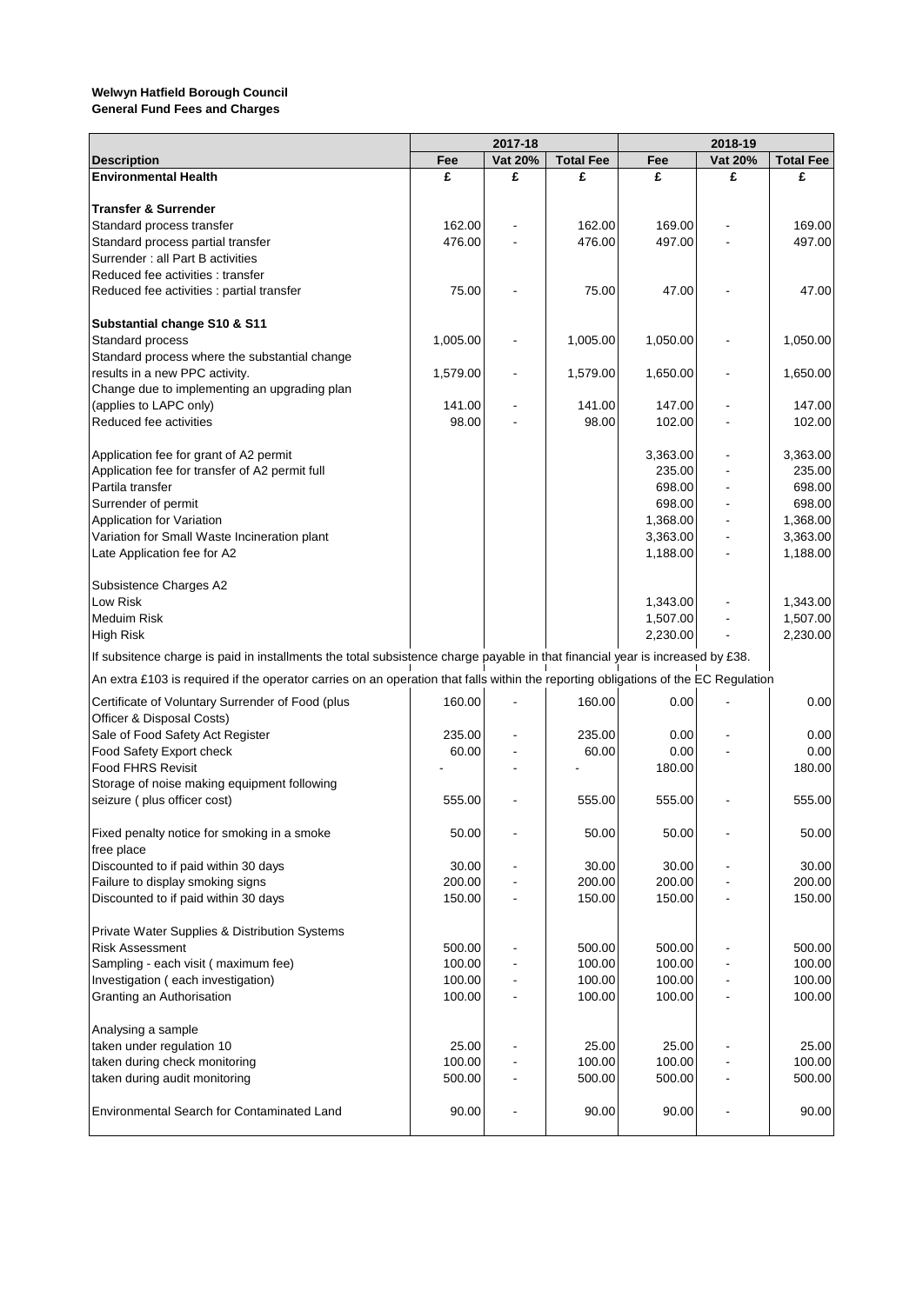|                                                                                                                                    | 2017-18  |         |                  | 2018-19  |         |                  |
|------------------------------------------------------------------------------------------------------------------------------------|----------|---------|------------------|----------|---------|------------------|
| <b>Description</b>                                                                                                                 | Fee      | Vat 20% | <b>Total Fee</b> | Fee      | Vat 20% | <b>Total Fee</b> |
| <b>Environmental Health</b>                                                                                                        | £        | £       | £                | £        | £       | £                |
|                                                                                                                                    |          |         |                  |          |         |                  |
| <b>Transfer &amp; Surrender</b>                                                                                                    | 162.00   |         | 162.00           | 169.00   |         | 169.00           |
| Standard process transfer<br>Standard process partial transfer                                                                     | 476.00   |         | 476.00           | 497.00   |         | 497.00           |
| Surrender : all Part B activities                                                                                                  |          |         |                  |          |         |                  |
| Reduced fee activities: transfer                                                                                                   |          |         |                  |          |         |                  |
| Reduced fee activities : partial transfer                                                                                          | 75.00    |         | 75.00            | 47.00    |         | 47.00            |
|                                                                                                                                    |          |         |                  |          |         |                  |
| Substantial change S10 & S11                                                                                                       |          |         |                  |          |         |                  |
| Standard process                                                                                                                   | 1,005.00 |         | 1,005.00         | 1,050.00 |         | 1,050.00         |
| Standard process where the substantial change                                                                                      |          |         |                  |          |         |                  |
| results in a new PPC activity.                                                                                                     | 1,579.00 |         | 1,579.00         | 1,650.00 |         | 1,650.00         |
| Change due to implementing an upgrading plan                                                                                       |          |         |                  |          |         |                  |
| (applies to LAPC only)                                                                                                             | 141.00   |         | 141.00           | 147.00   |         | 147.00           |
| Reduced fee activities                                                                                                             | 98.00    |         | 98.00            | 102.00   |         | 102.00           |
|                                                                                                                                    |          |         |                  |          |         |                  |
| Application fee for grant of A2 permit                                                                                             |          |         |                  | 3,363.00 |         | 3,363.00         |
| Application fee for transfer of A2 permit full                                                                                     |          |         |                  | 235.00   |         | 235.00           |
| Partila transfer                                                                                                                   |          |         |                  | 698.00   |         | 698.00           |
| Surrender of permit                                                                                                                |          |         |                  | 698.00   |         | 698.00           |
| Application for Variation                                                                                                          |          |         |                  | 1,368.00 |         | 1,368.00         |
| Variation for Small Waste Incineration plant                                                                                       |          |         |                  | 3,363.00 |         | 3,363.00         |
| Late Application fee for A2                                                                                                        |          |         |                  | 1,188.00 |         | 1,188.00         |
|                                                                                                                                    |          |         |                  |          |         |                  |
| Subsistence Charges A2                                                                                                             |          |         |                  |          |         |                  |
| Low Risk                                                                                                                           |          |         |                  | 1,343.00 |         | 1,343.00         |
| <b>Meduim Risk</b>                                                                                                                 |          |         |                  | 1,507.00 |         | 1,507.00         |
| High Risk                                                                                                                          |          |         |                  | 2,230.00 |         | 2,230.00         |
| If subsitence charge is paid in installments the total subsistence charge payable in that financial year is increased by £38.      |          |         |                  |          |         |                  |
| An extra £103 is required if the operator carries on an operation that falls within the reporting obligations of the EC Regulation |          |         |                  |          |         |                  |
|                                                                                                                                    |          |         |                  |          |         |                  |
| Certificate of Voluntary Surrender of Food (plus                                                                                   | 160.00   |         | 160.00           | 0.00     |         | 0.00             |
| Officer & Disposal Costs)                                                                                                          |          |         |                  |          |         |                  |
| Sale of Food Safety Act Register                                                                                                   | 235.00   |         | 235.00           | 0.00     |         | 0.00             |
| Food Safety Export check                                                                                                           | 60.00    |         | 60.00            | 0.00     |         | 0.00             |
| <b>Food FHRS Revisit</b>                                                                                                           |          |         |                  | 180.00   |         | 180.00           |
| Storage of noise making equipment following                                                                                        |          |         |                  |          |         |                  |
| seizure (plus officer cost)                                                                                                        | 555.00   |         | 555.00           | 555.00   |         | 555.00           |
|                                                                                                                                    |          |         |                  |          |         |                  |
| Fixed penalty notice for smoking in a smoke                                                                                        | 50.00    |         | 50.00            | 50.00    |         | 50.00            |
| free place                                                                                                                         |          |         |                  |          |         |                  |
| Discounted to if paid within 30 days                                                                                               | 30.00    |         | 30.00            | 30.00    |         | 30.00            |
| Failure to display smoking signs                                                                                                   | 200.00   |         | 200.00           | 200.00   |         | 200.00           |
| Discounted to if paid within 30 days                                                                                               | 150.00   |         | 150.00           | 150.00   |         | 150.00           |
| Private Water Supplies & Distribution Systems                                                                                      |          |         |                  |          |         |                  |
| <b>Risk Assessment</b>                                                                                                             | 500.00   |         | 500.00           | 500.00   |         | 500.00           |
|                                                                                                                                    | 100.00   |         | 100.00           | 100.00   |         | 100.00           |
| Sampling - each visit (maximum fee)                                                                                                | 100.00   |         | 100.00           | 100.00   |         | 100.00           |
| Investigation (each investigation)                                                                                                 |          |         |                  |          |         |                  |
| Granting an Authorisation                                                                                                          | 100.00   |         | 100.00           | 100.00   |         | 100.00           |
| Analysing a sample                                                                                                                 |          |         |                  |          |         |                  |
| taken under regulation 10                                                                                                          | 25.00    |         | 25.00            | 25.00    |         | 25.00            |
| taken during check monitoring                                                                                                      | 100.00   |         | 100.00           | 100.00   |         | 100.00           |
| taken during audit monitoring                                                                                                      | 500.00   |         | 500.00           | 500.00   |         | 500.00           |
|                                                                                                                                    |          |         |                  |          |         |                  |
| <b>Environmental Search for Contaminated Land</b>                                                                                  | 90.00    |         | 90.00            | 90.00    |         | 90.00            |
|                                                                                                                                    |          |         |                  |          |         |                  |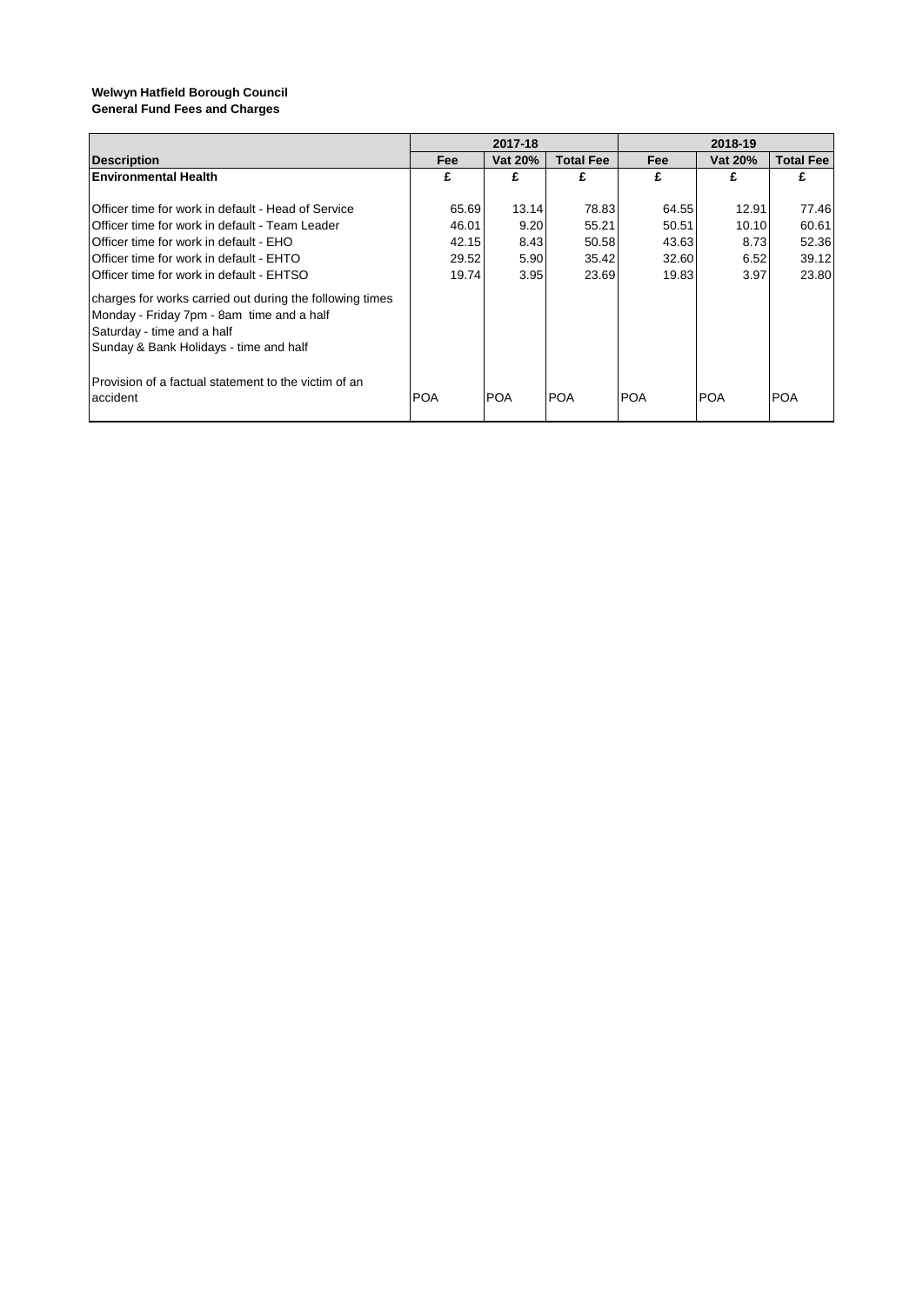|                                                                   | 2017-18    |            |                  | 2018-19    |            |                  |  |
|-------------------------------------------------------------------|------------|------------|------------------|------------|------------|------------------|--|
| <b>Description</b>                                                | Fee        | Vat 20%    | <b>Total Fee</b> | Fee        | Vat 20%    | <b>Total Fee</b> |  |
| <b>Environmental Health</b>                                       | £          | £          | £                | £          | £          | £                |  |
|                                                                   |            |            |                  |            |            |                  |  |
| Officer time for work in default - Head of Service                | 65.69      | 13.14      | 78.83            | 64.55      | 12.91      | 77.46            |  |
| Officer time for work in default - Team Leader                    | 46.01      | 9.20       | 55.21            | 50.51      | 10.10      | 60.61            |  |
| Officer time for work in default - EHO                            | 42.15      | 8.43       | 50.58            | 43.63      | 8.73       | 52.36            |  |
| Officer time for work in default - EHTO                           | 29.52      | 5.90       | 35.42            | 32.60      | 6.52       | 39.12            |  |
| Officer time for work in default - EHTSO                          | 19.74      | 3.95       | 23.69            | 19.83      | 3.97       | 23.80            |  |
| charges for works carried out during the following times          |            |            |                  |            |            |                  |  |
| Monday - Friday 7pm - 8am time and a half                         |            |            |                  |            |            |                  |  |
| Saturday - time and a half                                        |            |            |                  |            |            |                  |  |
| Sunday & Bank Holidays - time and half                            |            |            |                  |            |            |                  |  |
| IProvision of a factual statement to the victim of an<br>accident | <b>POA</b> | <b>POA</b> | IPOA             | <b>POA</b> | <b>POA</b> | <b>POA</b>       |  |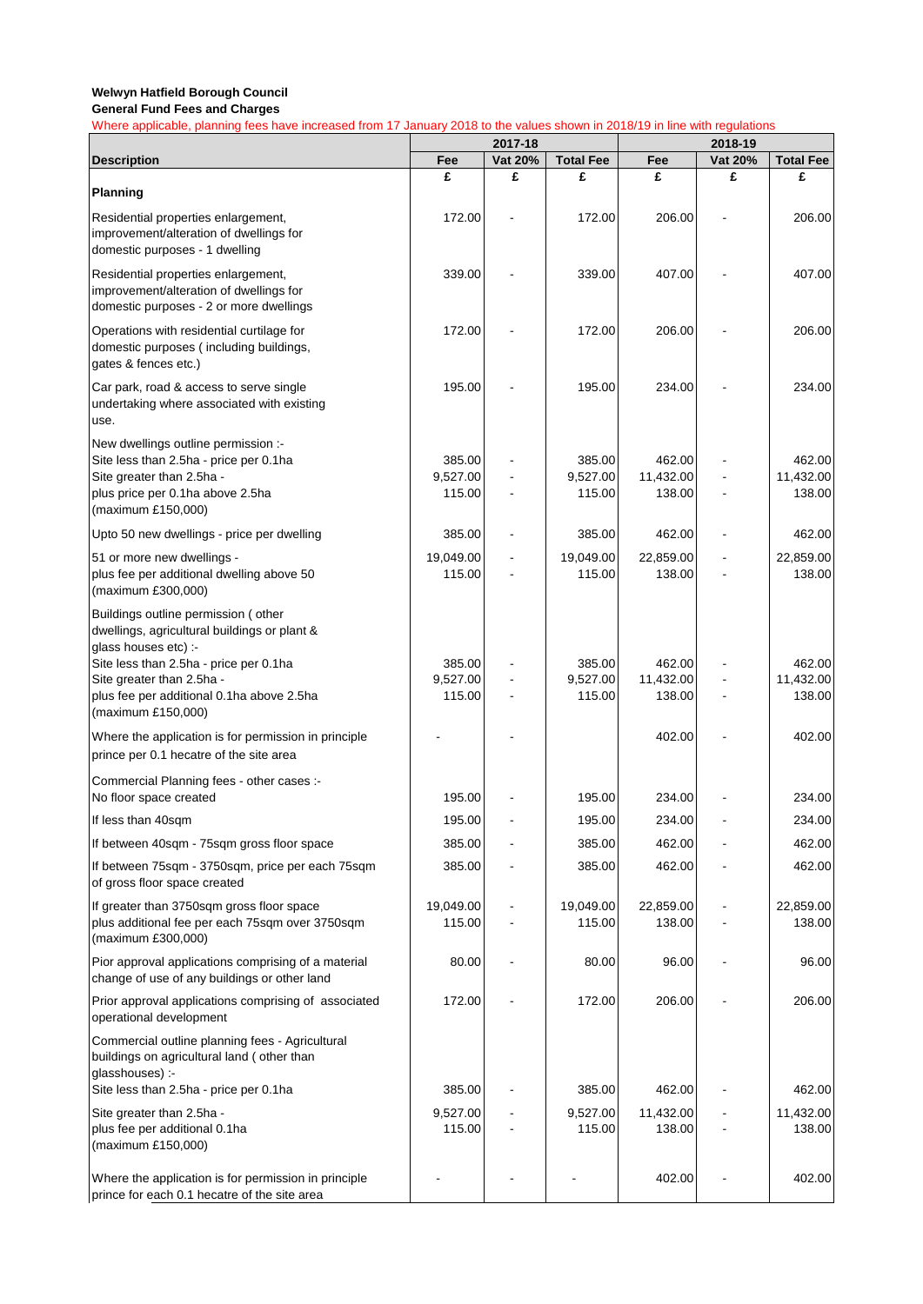|                                                                                                                           | 2017-18            |         | 2018-19            |                     |         |                     |  |  |
|---------------------------------------------------------------------------------------------------------------------------|--------------------|---------|--------------------|---------------------|---------|---------------------|--|--|
| <b>Description</b>                                                                                                        | Fee                | Vat 20% | <b>Total Fee</b>   | Fee                 | Vat 20% | <b>Total Fee</b>    |  |  |
| <b>Planning</b>                                                                                                           | £                  | £       | £                  | £                   | £       | £                   |  |  |
| Residential properties enlargement,<br>improvement/alteration of dwellings for<br>domestic purposes - 1 dwelling          | 172.00             |         | 172.00             | 206.00              |         | 206.00              |  |  |
| Residential properties enlargement,<br>improvement/alteration of dwellings for<br>domestic purposes - 2 or more dwellings | 339.00             |         | 339.00             | 407.00              |         | 407.00              |  |  |
| Operations with residential curtilage for<br>domestic purposes (including buildings,<br>gates & fences etc.)              | 172.00             |         | 172.00             | 206.00              |         | 206.00              |  |  |
| Car park, road & access to serve single<br>undertaking where associated with existing<br>use.                             | 195.00             |         | 195.00             | 234.00              |         | 234.00              |  |  |
| New dwellings outline permission :-                                                                                       |                    |         |                    |                     |         |                     |  |  |
| Site less than 2.5ha - price per 0.1ha                                                                                    | 385.00<br>9,527.00 |         | 385.00             | 462.00              |         | 462.00              |  |  |
| Site greater than 2.5ha -<br>plus price per 0.1ha above 2.5ha                                                             | 115.00             |         | 9,527.00<br>115.00 | 11,432.00<br>138.00 |         | 11,432.00<br>138.00 |  |  |
| (maximum £150,000)                                                                                                        |                    |         |                    |                     |         |                     |  |  |
| Upto 50 new dwellings - price per dwelling                                                                                | 385.00             |         | 385.00             | 462.00              |         | 462.00              |  |  |
| 51 or more new dwellings -                                                                                                | 19,049.00          |         | 19,049.00          | 22,859.00           |         | 22,859.00           |  |  |
| plus fee per additional dwelling above 50<br>(maximum £300,000)                                                           | 115.00             |         | 115.00             | 138.00              |         | 138.00              |  |  |
| Buildings outline permission (other<br>dwellings, agricultural buildings or plant &<br>glass houses etc) :-               |                    |         |                    |                     |         |                     |  |  |
| Site less than 2.5ha - price per 0.1ha                                                                                    | 385.00             |         | 385.00             | 462.00              |         | 462.00              |  |  |
| Site greater than 2.5ha -<br>plus fee per additional 0.1ha above 2.5ha                                                    | 9,527.00<br>115.00 |         | 9,527.00<br>115.00 | 11,432.00<br>138.00 |         | 11,432.00<br>138.00 |  |  |
| (maximum £150,000)                                                                                                        |                    |         |                    |                     |         |                     |  |  |
| Where the application is for permission in principle<br>prince per 0.1 hecatre of the site area                           |                    |         |                    | 402.00              |         | 402.00              |  |  |
| Commercial Planning fees - other cases :-<br>No floor space created                                                       | 195.00             |         | 195.00             | 234.00              |         | 234.00              |  |  |
| If less than 40sqm                                                                                                        | 195.00             |         | 195.00             | 234.00              |         | 234.00              |  |  |
| If between 40sqm - 75sqm gross floor space                                                                                | 385.00             |         | 385.00             | 462.00              |         | 462.00              |  |  |
| If between 75sqm - 3750sqm, price per each 75sqm<br>of gross floor space created                                          | 385.00             |         | 385.00             | 462.00              |         | 462.00              |  |  |
| If greater than 3750sqm gross floor space                                                                                 | 19,049.00          |         | 19,049.00          | 22,859.00           |         | 22,859.00           |  |  |
| plus additional fee per each 75sqm over 3750sqm<br>(maximum £300,000)                                                     | 115.00             |         | 115.00             | 138.00              |         | 138.00              |  |  |
| Pior approval applications comprising of a material<br>change of use of any buildings or other land                       | 80.00              |         | 80.00              | 96.00               |         | 96.00               |  |  |
| Prior approval applications comprising of associated<br>operational development                                           | 172.00             |         | 172.00             | 206.00              |         | 206.00              |  |  |
| Commercial outline planning fees - Agricultural<br>buildings on agricultural land (other than<br>glasshouses) :-          |                    |         |                    |                     |         |                     |  |  |
| Site less than 2.5ha - price per 0.1ha                                                                                    | 385.00             |         | 385.00             | 462.00              |         | 462.00              |  |  |
| Site greater than 2.5ha -<br>plus fee per additional 0.1ha                                                                | 9,527.00<br>115.00 |         | 9,527.00<br>115.00 | 11,432.00<br>138.00 |         | 11,432.00<br>138.00 |  |  |
| (maximum £150,000)                                                                                                        |                    |         |                    |                     |         |                     |  |  |
| Where the application is for permission in principle<br>prince for each 0.1 hecatre of the site area                      |                    |         |                    | 402.00              |         | 402.00              |  |  |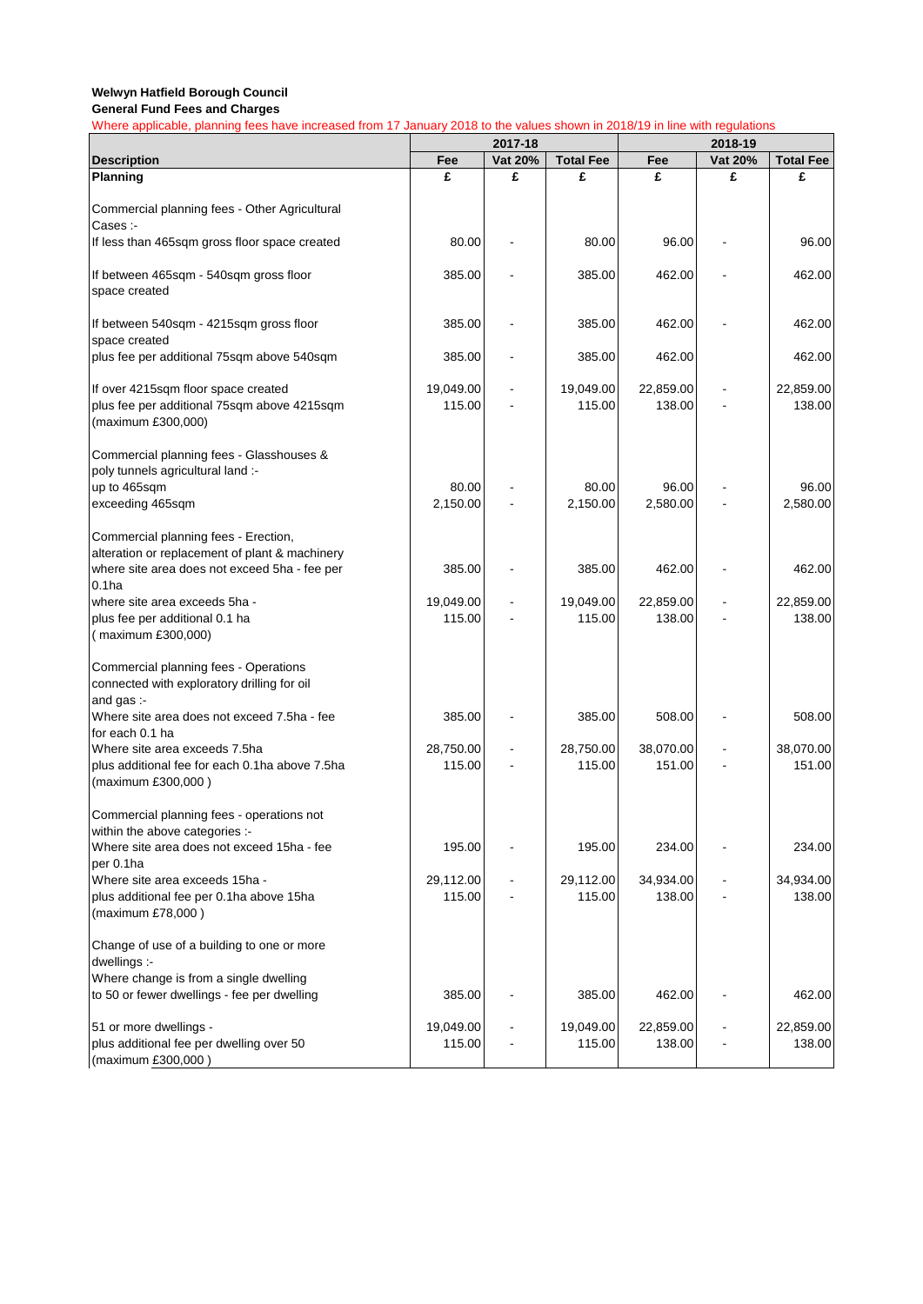|                                                                                                          | 2017-18             |         |                     | 2018-19             |         |                     |  |
|----------------------------------------------------------------------------------------------------------|---------------------|---------|---------------------|---------------------|---------|---------------------|--|
| <b>Description</b>                                                                                       | Fee                 | Vat 20% | <b>Total Fee</b>    | Fee                 | Vat 20% | <b>Total Fee</b>    |  |
| <b>Planning</b>                                                                                          | £                   | £       | £                   | £                   | £       | £                   |  |
| Commercial planning fees - Other Agricultural<br>Cases :-                                                |                     |         |                     |                     |         |                     |  |
| If less than 465sqm gross floor space created                                                            | 80.00               |         | 80.00               | 96.00               |         | 96.00               |  |
| If between 465sqm - 540sqm gross floor<br>space created                                                  | 385.00              |         | 385.00              | 462.00              |         | 462.00              |  |
| If between 540sqm - 4215sqm gross floor<br>space created                                                 | 385.00              |         | 385.00              | 462.00              |         | 462.00              |  |
| plus fee per additional 75sqm above 540sqm                                                               | 385.00              |         | 385.00              | 462.00              |         | 462.00              |  |
| If over 4215sqm floor space created<br>plus fee per additional 75sqm above 4215sqm<br>(maximum £300,000) | 19,049.00<br>115.00 |         | 19,049.00<br>115.00 | 22,859.00<br>138.00 |         | 22,859.00<br>138.00 |  |
| Commercial planning fees - Glasshouses &<br>poly tunnels agricultural land :-                            |                     |         |                     |                     |         |                     |  |
| up to 465sqm<br>exceeding 465sqm                                                                         | 80.00<br>2,150.00   |         | 80.00<br>2,150.00   | 96.00<br>2,580.00   |         | 96.00<br>2,580.00   |  |
| Commercial planning fees - Erection,<br>alteration or replacement of plant & machinery                   | 385.00              |         | 385.00              | 462.00              |         | 462.00              |  |
| where site area does not exceed 5ha - fee per<br>0.1 <sub>ha</sub>                                       |                     |         |                     |                     |         |                     |  |
| where site area exceeds 5ha -<br>plus fee per additional 0.1 ha<br>(maximum £300,000)                    | 19,049.00<br>115.00 |         | 19,049.00<br>115.00 | 22,859.00<br>138.00 |         | 22,859.00<br>138.00 |  |
| Commercial planning fees - Operations<br>connected with exploratory drilling for oil<br>and gas :-       |                     |         |                     |                     |         |                     |  |
| Where site area does not exceed 7.5ha - fee<br>for each 0.1 ha                                           | 385.00              |         | 385.00              | 508.00              |         | 508.00              |  |
| Where site area exceeds 7.5ha                                                                            | 28,750.00           |         | 28,750.00           | 38,070.00           |         | 38,070.00           |  |
| plus additional fee for each 0.1ha above 7.5ha<br>(maximum £300,000)                                     | 115.00              |         | 115.00              | 151.00              |         | 151.00              |  |
| Commercial planning fees - operations not<br>within the above categories :-                              |                     |         |                     |                     |         |                     |  |
| Where site area does not exceed 15ha - fee<br>per 0.1ha                                                  | 195.00              |         | 195.00              | 234.00              |         | 234.00              |  |
| Where site area exceeds 15ha -<br>plus additional fee per 0.1ha above 15ha                               | 29,112.00<br>115.00 |         | 29,112.00<br>115.00 | 34,934.00<br>138.00 |         | 34,934.00<br>138.00 |  |
| (maximum £78,000)                                                                                        |                     |         |                     |                     |         |                     |  |
| Change of use of a building to one or more<br>dwellings :-                                               |                     |         |                     |                     |         |                     |  |
| Where change is from a single dwelling<br>to 50 or fewer dwellings - fee per dwelling                    | 385.00              |         | 385.00              | 462.00              |         | 462.00              |  |
| 51 or more dwellings -                                                                                   | 19,049.00           |         | 19,049.00           | 22,859.00           |         | 22,859.00           |  |
| plus additional fee per dwelling over 50<br>(maximum £300,000)                                           | 115.00              |         | 115.00              | 138.00              |         | 138.00              |  |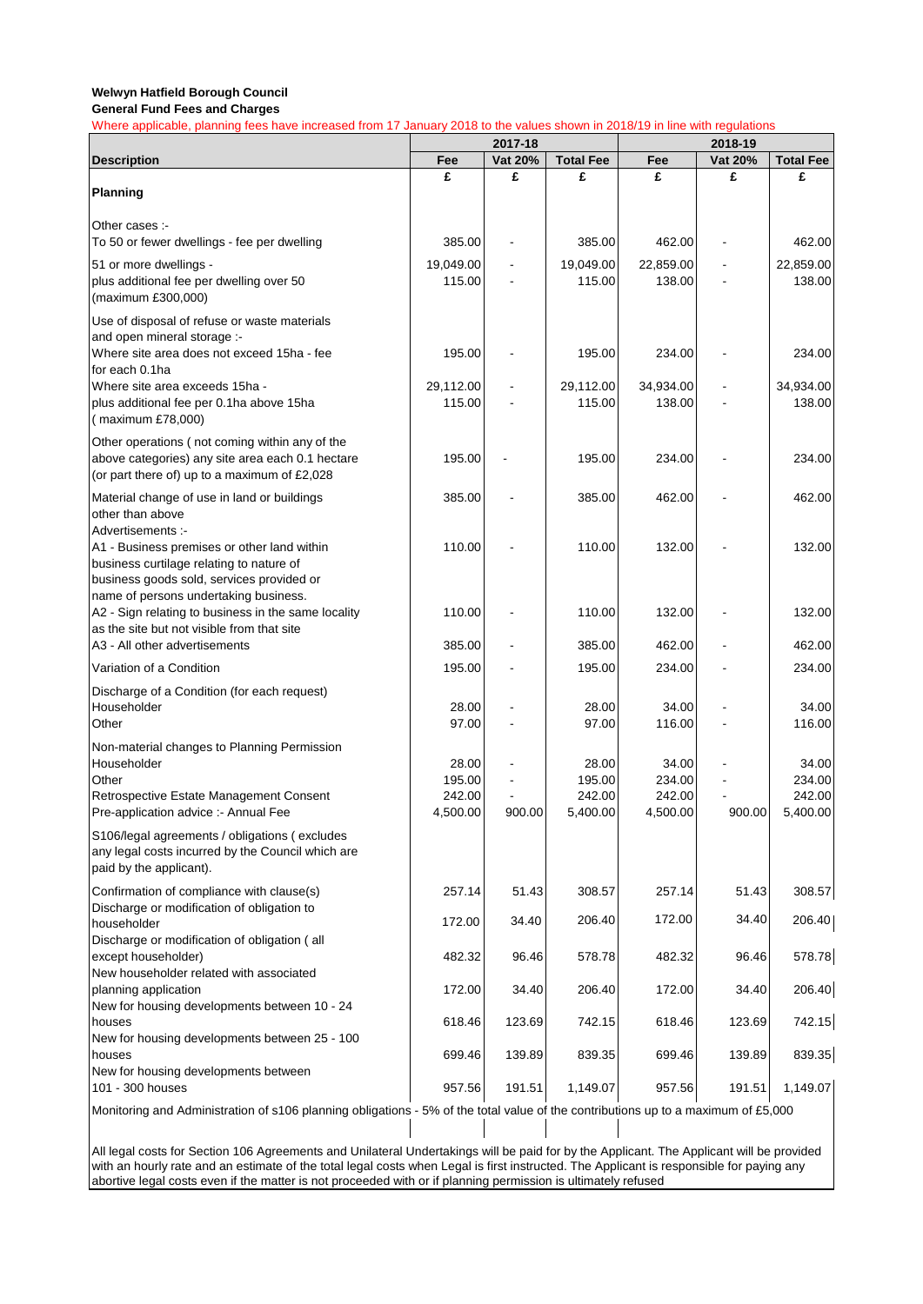Where applicable, planning fees have increased from 17 January 2018 to the values shown in 2018/19 in line with regulations

|                                                                                                                                                                               | 2017-18             |         |                     | 2018-19             |         |                     |
|-------------------------------------------------------------------------------------------------------------------------------------------------------------------------------|---------------------|---------|---------------------|---------------------|---------|---------------------|
| <b>Description</b>                                                                                                                                                            | Fee                 | Vat 20% | <b>Total Fee</b>    | Fee                 | Vat 20% | <b>Total Fee</b>    |
| Planning                                                                                                                                                                      | £                   | £       | £                   | £                   | £       | £                   |
| Other cases :-<br>To 50 or fewer dwellings - fee per dwelling                                                                                                                 | 385.00              |         | 385.00              | 462.00              |         | 462.00              |
| 51 or more dwellings -<br>plus additional fee per dwelling over 50<br>(maximum £300,000)                                                                                      | 19,049.00<br>115.00 |         | 19,049.00<br>115.00 | 22,859.00<br>138.00 |         | 22,859.00<br>138.00 |
| Use of disposal of refuse or waste materials<br>and open mineral storage :-<br>Where site area does not exceed 15ha - fee                                                     | 195.00              |         | 195.00              | 234.00              |         | 234.00              |
| for each 0.1ha<br>Where site area exceeds 15ha -<br>plus additional fee per 0.1ha above 15ha<br>(maximum £78,000)                                                             | 29,112.00<br>115.00 |         | 29,112.00<br>115.00 | 34,934.00<br>138.00 |         | 34,934.00<br>138.00 |
| Other operations (not coming within any of the<br>above categories) any site area each 0.1 hectare<br>(or part there of) up to a maximum of £2,028                            | 195.00              |         | 195.00              | 234.00              |         | 234.00              |
| Material change of use in land or buildings<br>other than above<br>Advertisements :-                                                                                          | 385.00              |         | 385.00              | 462.00              |         | 462.00              |
| A1 - Business premises or other land within<br>business curtilage relating to nature of<br>business goods sold, services provided or<br>name of persons undertaking business. | 110.00              |         | 110.00              | 132.00              |         | 132.00              |
| A2 - Sign relating to business in the same locality<br>as the site but not visible from that site                                                                             | 110.00              |         | 110.00              | 132.00              |         | 132.00              |
| A3 - All other advertisements                                                                                                                                                 | 385.00              |         | 385.00              | 462.00              |         | 462.00              |
| Variation of a Condition                                                                                                                                                      | 195.00              |         | 195.00              | 234.00              |         | 234.00              |
| Discharge of a Condition (for each request)<br>Householder<br>Other                                                                                                           | 28.00<br>97.00      |         | 28.00<br>97.00      | 34.00<br>116.00     |         | 34.00<br>116.00     |
| Non-material changes to Planning Permission<br>Householder<br>Other                                                                                                           | 28.00<br>195.00     |         | 28.00<br>195.00     | 34.00<br>234.00     |         | 34.00<br>234.00     |
| Retrospective Estate Management Consent<br>Pre-application advice :- Annual Fee                                                                                               | 242.00<br>4,500.00  | 900.00  | 242.00<br>5,400.00  | 242.00<br>4,500.00  | 900.00  | 242.00<br>5,400.00  |
| S106/legal agreements / obligations (excludes<br>any legal costs incurred by the Council which are<br>paid by the applicant).                                                 |                     |         |                     |                     |         |                     |
| Confirmation of compliance with clause(s)<br>Discharge or modification of obligation to                                                                                       | 257.14              | 51.43   | 308.57              | 257.14              | 51.43   | 308.57              |
| householder<br>Discharge or modification of obligation (all                                                                                                                   | 172.00              | 34.40   | 206.40              | 172.00              | 34.40   | 206.40              |
| except householder)<br>New householder related with associated                                                                                                                | 482.32              | 96.46   | 578.78              | 482.32              | 96.46   | 578.78              |
| planning application<br>New for housing developments between 10 - 24                                                                                                          | 172.00              | 34.40   | 206.40              | 172.00              | 34.40   | 206.40              |
| houses<br>New for housing developments between 25 - 100                                                                                                                       | 618.46              | 123.69  | 742.15              | 618.46              | 123.69  | 742.15              |
| houses                                                                                                                                                                        | 699.46              | 139.89  | 839.35              | 699.46              | 139.89  | 839.35              |
| New for housing developments between<br>101 - 300 houses                                                                                                                      | 957.56              | 191.51  | 1,149.07            | 957.56              | 191.51  | 1,149.07            |
| Monitoring and Administration of s106 planning obligations - 5% of the total value of the contributions up to a maximum of £5,000                                             |                     |         |                     |                     |         |                     |

All legal costs for Section 106 Agreements and Unilateral Undertakings will be paid for by the Applicant. The Applicant will be provided with an hourly rate and an estimate of the total legal costs when Legal is first instructed. The Applicant is responsible for paying any abortive legal costs even if the matter is not proceeded with or if planning permission is ultimately refused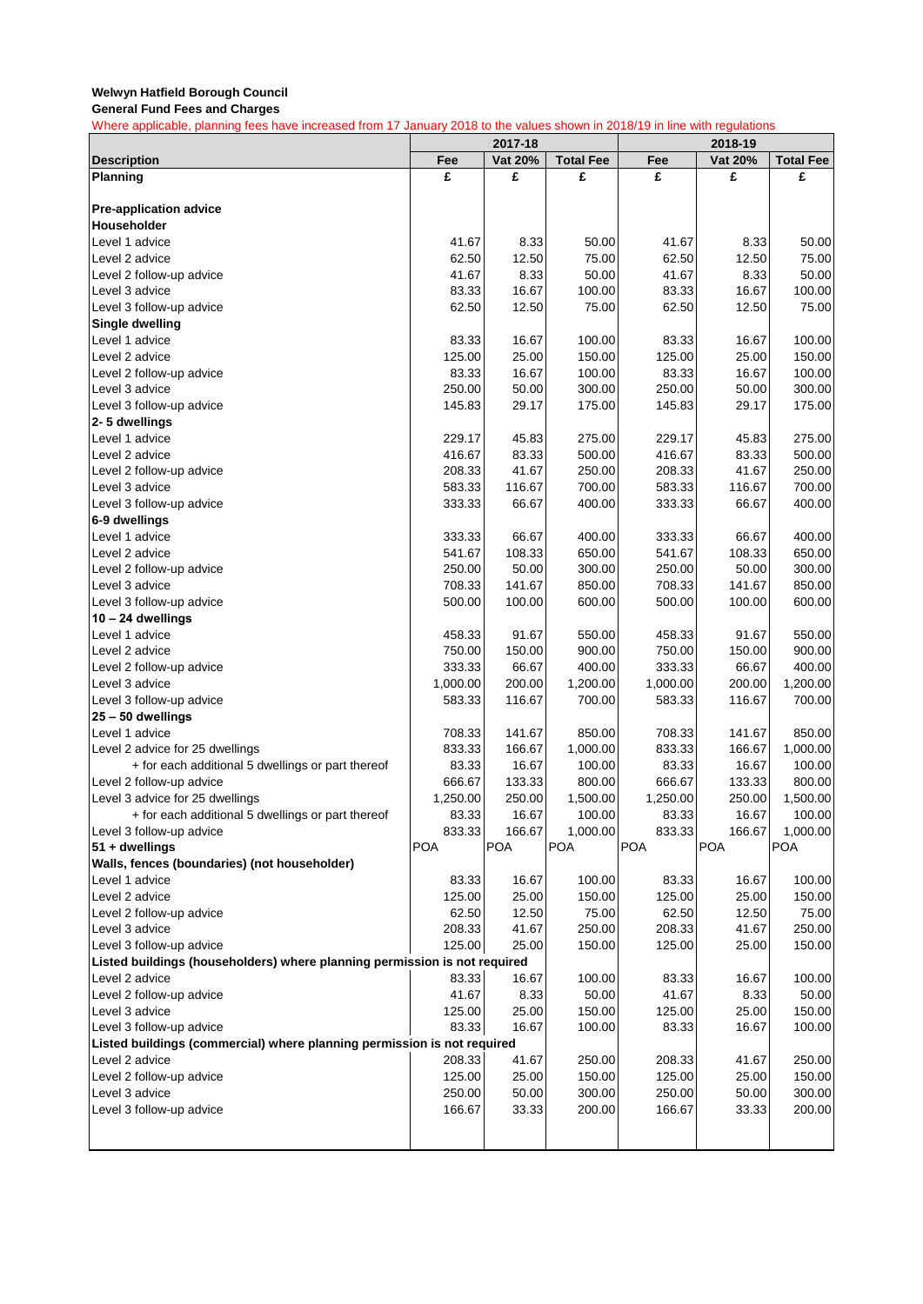**General Fund Fees and Charges**

|                                                                           | 2017-18    |         |                  | 2018-19    |            |                  |
|---------------------------------------------------------------------------|------------|---------|------------------|------------|------------|------------------|
| <b>Description</b>                                                        | Fee        | Vat 20% | <b>Total Fee</b> | Fee        | Vat 20%    | <b>Total Fee</b> |
| <b>Planning</b>                                                           | £          | £       | £                | £          | £          | £                |
|                                                                           |            |         |                  |            |            |                  |
| <b>Pre-application advice</b>                                             |            |         |                  |            |            |                  |
| Householder                                                               |            |         |                  |            |            |                  |
| Level 1 advice                                                            | 41.67      | 8.33    | 50.00            | 41.67      | 8.33       | 50.00            |
| Level 2 advice                                                            | 62.50      | 12.50   | 75.00            | 62.50      | 12.50      | 75.00            |
| Level 2 follow-up advice                                                  | 41.67      | 8.33    | 50.00            | 41.67      | 8.33       | 50.00            |
| Level 3 advice                                                            | 83.33      | 16.67   | 100.00           | 83.33      | 16.67      | 100.00           |
| Level 3 follow-up advice                                                  | 62.50      | 12.50   | 75.00            | 62.50      | 12.50      | 75.00            |
| Single dwelling                                                           |            |         |                  |            |            |                  |
| Level 1 advice                                                            | 83.33      | 16.67   | 100.00           | 83.33      | 16.67      | 100.00           |
| Level 2 advice                                                            | 125.00     | 25.00   | 150.00           | 125.00     | 25.00      | 150.00           |
| Level 2 follow-up advice                                                  | 83.33      | 16.67   | 100.00           | 83.33      | 16.67      | 100.00           |
| Level 3 advice                                                            | 250.00     | 50.00   | 300.00           | 250.00     | 50.00      | 300.00           |
| Level 3 follow-up advice                                                  | 145.83     | 29.17   | 175.00           | 145.83     | 29.17      | 175.00           |
| 2-5 dwellings                                                             |            |         |                  |            |            |                  |
| Level 1 advice                                                            | 229.17     | 45.83   | 275.00           | 229.17     | 45.83      | 275.00           |
| Level 2 advice                                                            | 416.67     | 83.33   | 500.00           | 416.67     | 83.33      | 500.00           |
| Level 2 follow-up advice                                                  | 208.33     | 41.67   | 250.00           | 208.33     | 41.67      | 250.00           |
| Level 3 advice                                                            | 583.33     | 116.67  | 700.00           | 583.33     | 116.67     | 700.00           |
| Level 3 follow-up advice                                                  | 333.33     | 66.67   | 400.00           | 333.33     | 66.67      | 400.00           |
| 6-9 dwellings                                                             |            |         |                  |            |            |                  |
| Level 1 advice                                                            | 333.33     | 66.67   | 400.00           | 333.33     | 66.67      | 400.00           |
| Level 2 advice                                                            | 541.67     | 108.33  | 650.00           | 541.67     | 108.33     | 650.00           |
| Level 2 follow-up advice                                                  | 250.00     | 50.00   | 300.00           | 250.00     | 50.00      | 300.00           |
| Level 3 advice                                                            | 708.33     | 141.67  | 850.00           | 708.33     | 141.67     | 850.00           |
| Level 3 follow-up advice                                                  | 500.00     | 100.00  | 600.00           | 500.00     | 100.00     | 600.00           |
| 10 - 24 dwellings                                                         |            |         |                  |            |            |                  |
| Level 1 advice                                                            | 458.33     | 91.67   | 550.00           | 458.33     | 91.67      | 550.00           |
| Level 2 advice                                                            | 750.00     | 150.00  | 900.00           | 750.00     | 150.00     | 900.00           |
| Level 2 follow-up advice                                                  | 333.33     | 66.67   | 400.00           | 333.33     | 66.67      | 400.00           |
| Level 3 advice                                                            | 1,000.00   | 200.00  | 1,200.00         | 1,000.00   | 200.00     | 1,200.00         |
| Level 3 follow-up advice                                                  | 583.33     | 116.67  | 700.00           | 583.33     | 116.67     | 700.00           |
| 25 - 50 dwellings                                                         |            |         |                  |            |            |                  |
| Level 1 advice                                                            | 708.33     | 141.67  | 850.00           | 708.33     | 141.67     | 850.00           |
| Level 2 advice for 25 dwellings                                           | 833.33     | 166.67  | 1,000.00         | 833.33     | 166.67     | 1,000.00         |
| + for each additional 5 dwellings or part thereof                         | 83.33      | 16.67   | 100.00           | 83.33      | 16.67      | 100.00           |
| Level 2 follow-up advice                                                  | 666.67     | 133.33  | 800.00           | 666.67     | 133.33     | 800.00           |
| Level 3 advice for 25 dwellings                                           | 1,250.00   | 250.00  | 1,500.00         | 1,250.00   | 250.00     | 1,500.00         |
| + for each additional 5 dwellings or part thereof                         | 83.33      | 16.67   | 100.00           | 83.33      | 16.67      | 100.00           |
| Level 3 follow-up advice                                                  | 833.33     | 166.67  | 1,000.00         | 833.33     | 166.67     | 1,000.00         |
| 51 + dwellings                                                            | <b>POA</b> | POA     | POA              | <b>POA</b> | <b>POA</b> | <b>POA</b>       |
| Walls, fences (boundaries) (not householder)                              |            |         |                  |            |            |                  |
| Level 1 advice                                                            | 83.33      | 16.67   | 100.00           | 83.33      | 16.67      | 100.00           |
| Level 2 advice                                                            | 125.00     | 25.00   | 150.00           | 125.00     | 25.00      | 150.00           |
| Level 2 follow-up advice                                                  | 62.50      | 12.50   | 75.00            | 62.50      | 12.50      | 75.00            |
| Level 3 advice                                                            | 208.33     | 41.67   | 250.00           | 208.33     | 41.67      | 250.00           |
| Level 3 follow-up advice                                                  | 125.00     | 25.00   | 150.00           | 125.00     | 25.00      | 150.00           |
| Listed buildings (householders) where planning permission is not required |            |         |                  |            |            |                  |
| Level 2 advice                                                            | 83.33      | 16.67   | 100.00           | 83.33      | 16.67      | 100.00           |
| Level 2 follow-up advice                                                  | 41.67      | 8.33    | 50.00            | 41.67      | 8.33       | 50.00            |
| Level 3 advice                                                            | 125.00     | 25.00   | 150.00           | 125.00     | 25.00      | 150.00           |
| Level 3 follow-up advice                                                  | 83.33      | 16.67   | 100.00           | 83.33      | 16.67      | 100.00           |
| Listed buildings (commercial) where planning permission is not required   |            |         |                  |            |            |                  |
| Level 2 advice                                                            | 208.33     | 41.67   | 250.00           | 208.33     | 41.67      | 250.00           |
| Level 2 follow-up advice                                                  | 125.00     | 25.00   | 150.00           | 125.00     | 25.00      | 150.00           |
| Level 3 advice                                                            | 250.00     | 50.00   | 300.00           | 250.00     | 50.00      | 300.00           |
| Level 3 follow-up advice                                                  | 166.67     | 33.33   | 200.00           | 166.67     | 33.33      | 200.00           |
|                                                                           |            |         |                  |            |            |                  |
|                                                                           |            |         |                  |            |            |                  |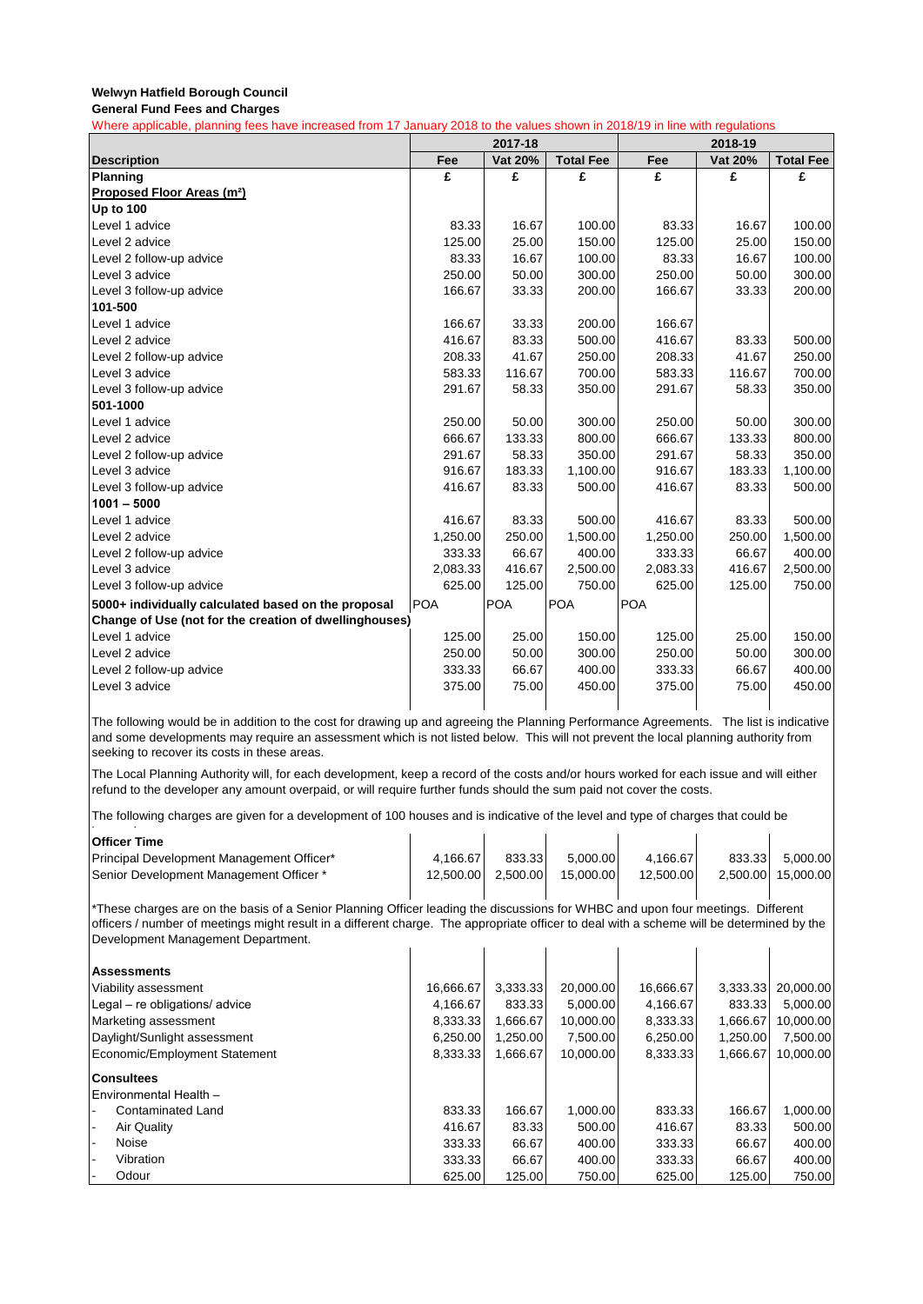**General Fund Fees and Charges**

Where applicable, planning fees have increased from 17 January 2018 to the values shown in 2018/19 in line with regulations

|                                                        | 2017-18    |            |                  |            |         |                  |
|--------------------------------------------------------|------------|------------|------------------|------------|---------|------------------|
| <b>Description</b>                                     | Fee        | Vat 20%    | <b>Total Fee</b> | Fee        | Vat 20% | <b>Total Fee</b> |
| Planning                                               | £          | £          | £                | £          | £       | £                |
| Proposed Floor Areas (m <sup>2</sup> )                 |            |            |                  |            |         |                  |
| <b>Up to 100</b>                                       |            |            |                  |            |         |                  |
| Level 1 advice                                         | 83.33      | 16.67      | 100.00           | 83.33      | 16.67   | 100.00           |
| Level 2 advice                                         | 125.00     | 25.00      | 150.00           | 125.00     | 25.00   | 150.00           |
| Level 2 follow-up advice                               | 83.33      | 16.67      | 100.00           | 83.33      | 16.67   | 100.00           |
| Level 3 advice                                         | 250.00     | 50.00      | 300.00           | 250.00     | 50.00   | 300.00           |
| Level 3 follow-up advice                               | 166.67     | 33.33      | 200.00           | 166.67     | 33.33   | 200.00           |
| 101-500                                                |            |            |                  |            |         |                  |
| Level 1 advice                                         | 166.67     | 33.33      | 200.00           | 166.67     |         |                  |
| Level 2 advice                                         | 416.67     | 83.33      | 500.00           | 416.67     | 83.33   | 500.00           |
| Level 2 follow-up advice                               | 208.33     | 41.67      | 250.00           | 208.33     | 41.67   | 250.00           |
| Level 3 advice                                         | 583.33     | 116.67     | 700.00           | 583.33     | 116.67  | 700.00           |
| Level 3 follow-up advice                               | 291.67     | 58.33      | 350.00           | 291.67     | 58.33   | 350.00           |
| 501-1000                                               |            |            |                  |            |         |                  |
| Level 1 advice                                         | 250.00     | 50.00      | 300.00           | 250.00     | 50.00   | 300.00           |
| Level 2 advice                                         | 666.67     | 133.33     | 800.00           | 666.67     | 133.33  | 800.00           |
| Level 2 follow-up advice                               | 291.67     | 58.33      | 350.00           | 291.67     | 58.33   | 350.00           |
| Level 3 advice                                         | 916.67     | 183.33     | 1,100.00         | 916.67     | 183.33  | 1,100.00         |
| Level 3 follow-up advice                               | 416.67     | 83.33      | 500.00           | 416.67     | 83.33   | 500.00           |
| $1001 - 5000$                                          |            |            |                  |            |         |                  |
| Level 1 advice                                         | 416.67     | 83.33      | 500.00           | 416.67     | 83.33   | 500.00           |
| Level 2 advice                                         | 1,250.00   | 250.00     | 1,500.00         | 1,250.00   | 250.00  | 1,500.00         |
| Level 2 follow-up advice                               | 333.33     | 66.67      | 400.00           | 333.33     | 66.67   | 400.00           |
| Level 3 advice                                         | 2,083.33   | 416.67     | 2,500.00         | 2,083.33   | 416.67  | 2,500.00         |
| Level 3 follow-up advice                               | 625.00     | 125.00     | 750.00           | 625.00     | 125.00  | 750.00           |
| 5000+ individually calculated based on the proposal    | <b>POA</b> | <b>POA</b> | <b>POA</b>       | <b>POA</b> |         |                  |
| Change of Use (not for the creation of dwellinghouses) |            |            |                  |            |         |                  |
| Level 1 advice                                         | 125.00     | 25.00      | 150.00           | 125.00     | 25.00   | 150.00           |
| Level 2 advice                                         | 250.00     | 50.00      | 300.00           | 250.00     | 50.00   | 300.00           |
| Level 2 follow-up advice                               | 333.33     | 66.67      | 400.00           | 333.33     | 66.67   | 400.00           |
| Level 3 advice                                         | 375.00     | 75.00      | 450.00           | 375.00     | 75.00   | 450.00           |
|                                                        |            |            |                  |            |         |                  |

The following would be in addition to the cost for drawing up and agreeing the Planning Performance Agreements. The list is indicative and some developments may require an assessment which is not listed below. This will not prevent the local planning authority from seeking to recover its costs in these areas.

The Local Planning Authority will, for each development, keep a record of the costs and/or hours worked for each issue and will either refund to the developer any amount overpaid, or will require further funds should the sum paid not cover the costs.

The following charges are given for a development of 100 houses and is indicative of the level and type of charges that could be

| <b>Officer Time</b>                                                                                                                                                             |           |          |           |           |          |           |  |  |
|---------------------------------------------------------------------------------------------------------------------------------------------------------------------------------|-----------|----------|-----------|-----------|----------|-----------|--|--|
| Principal Development Management Officer*                                                                                                                                       | 4,166.67  | 833.33   | 5,000.00  | 4,166.67  | 833.33   | 5,000.00  |  |  |
| Senior Development Management Officer *                                                                                                                                         | 12,500.00 | 2,500.00 | 15,000.00 | 12,500.00 | 2,500.00 | 15,000.00 |  |  |
| *These charges are on the basis of a Senior Planning Officer leading the discussions for WHBC and upon four meetings. Different                                                 |           |          |           |           |          |           |  |  |
|                                                                                                                                                                                 |           |          |           |           |          |           |  |  |
| officers / number of meetings might result in a different charge. The appropriate officer to deal with a scheme will be determined by the<br>Development Management Department. |           |          |           |           |          |           |  |  |
|                                                                                                                                                                                 |           |          |           |           |          |           |  |  |
| <b>Assessments</b>                                                                                                                                                              |           |          |           |           |          |           |  |  |
| Viability assessment                                                                                                                                                            | 16,666.67 | 3,333.33 | 20,000.00 | 16,666.67 | 3,333.33 | 20,000.00 |  |  |
| Legal - re obligations/ advice                                                                                                                                                  | 4,166.67  | 833.33   | 5,000.00  | 4,166.67  | 833.33   | 5,000.00  |  |  |
| Marketing assessment                                                                                                                                                            | 8,333.33  | 1,666.67 | 10,000.00 | 8,333.33  | 1,666.67 | 10,000.00 |  |  |
| Daylight/Sunlight assessment                                                                                                                                                    | 6,250.00  | 1,250.00 | 7,500.00  | 6,250.00  | 1,250.00 | 7,500.00  |  |  |
| Economic/Employment Statement                                                                                                                                                   | 8,333.33  | 1,666.67 | 10,000.00 | 8,333.33  | 1,666.67 | 10,000.00 |  |  |
| <b>Consultees</b>                                                                                                                                                               |           |          |           |           |          |           |  |  |
| Environmental Health -                                                                                                                                                          |           |          |           |           |          |           |  |  |
| Contaminated Land                                                                                                                                                               | 833.33    | 166.67   | 1,000.00  | 833.33    | 166.67   | 1,000.00  |  |  |
| Air Quality                                                                                                                                                                     | 416.67    | 83.33    | 500.00    | 416.67    | 83.33    | 500.00    |  |  |
| Noise                                                                                                                                                                           | 333.33    | 66.67    | 400.00    | 333.33    | 66.67    | 400.00    |  |  |
| Vibration                                                                                                                                                                       | 333.33    | 66.67    | 400.00    | 333.33    | 66.67    | 400.00    |  |  |
| Odour                                                                                                                                                                           | 625.00    | 125.00   | 750.00    | 625.00    | 125.00   | 750.00    |  |  |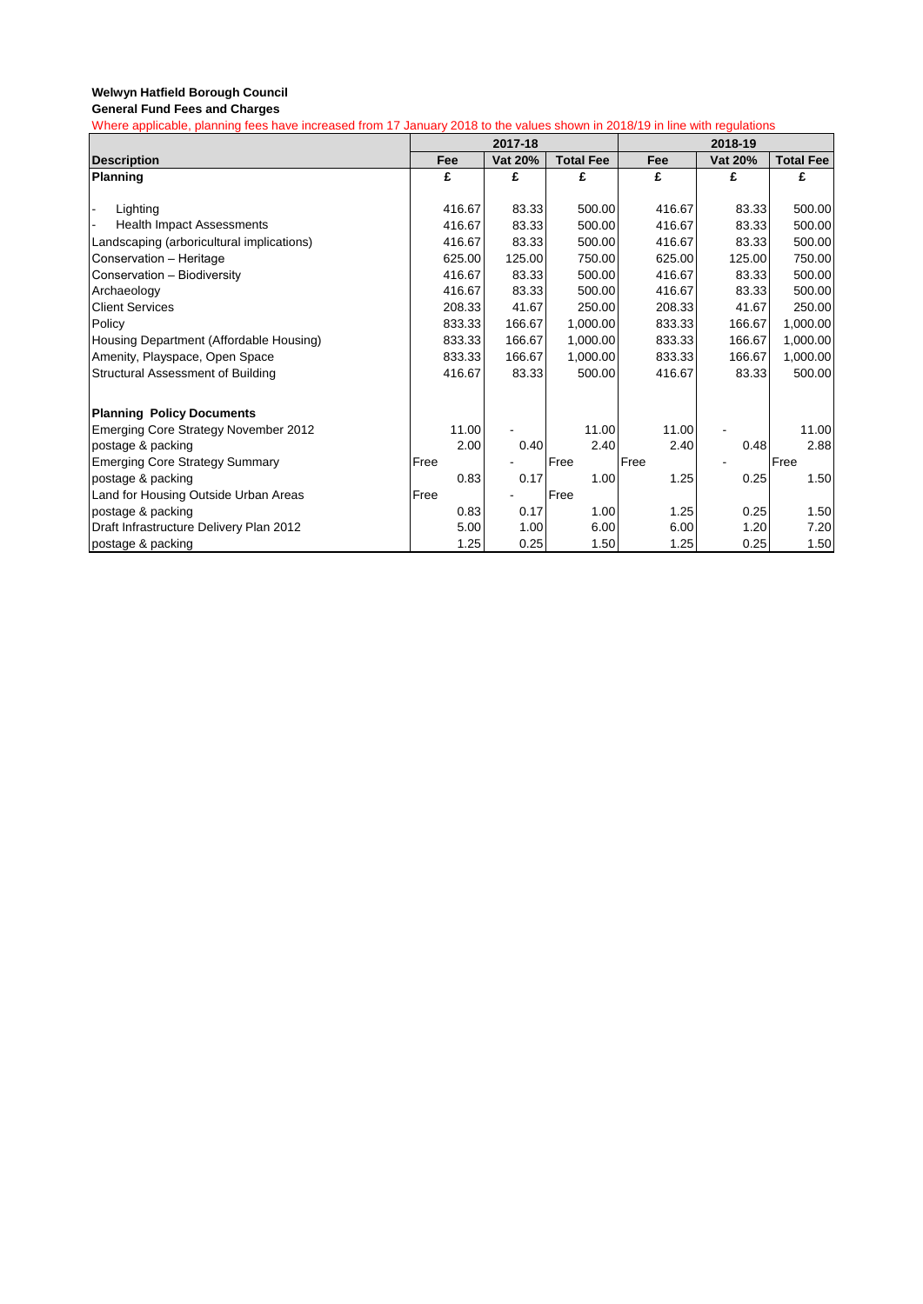|                                           | 2017-18 |         |                  |        | 2018-19 |                  |
|-------------------------------------------|---------|---------|------------------|--------|---------|------------------|
| <b>Description</b>                        | Fee     | Vat 20% | <b>Total Fee</b> | Fee    | Vat 20% | <b>Total Fee</b> |
| Planning                                  | £       | £       | £                | £      | £       | £                |
|                                           |         |         |                  |        |         |                  |
| Lighting                                  | 416.67  | 83.33   | 500.00           | 416.67 | 83.33   | 500.00           |
| <b>Health Impact Assessments</b>          | 416.67  | 83.33   | 500.00           | 416.67 | 83.33   | 500.00           |
| Landscaping (arboricultural implications) | 416.67  | 83.33   | 500.00           | 416.67 | 83.33   | 500.00           |
| Conservation - Heritage                   | 625.00  | 125.00  | 750.00           | 625.00 | 125.00  | 750.00           |
| Conservation - Biodiversity               | 416.67  | 83.33   | 500.00           | 416.67 | 83.33   | 500.00           |
| Archaeology                               | 416.67  | 83.33   | 500.00           | 416.67 | 83.33   | 500.00           |
| <b>Client Services</b>                    | 208.33  | 41.67   | 250.00           | 208.33 | 41.67   | 250.00           |
| Policy                                    | 833.33  | 166.67  | 1,000.00         | 833.33 | 166.67  | 1,000.00         |
| Housing Department (Affordable Housing)   | 833.33  | 166.67  | 1,000.00         | 833.33 | 166.67  | 1,000.00         |
| Amenity, Playspace, Open Space            | 833.33  | 166.67  | 1,000.00         | 833.33 | 166.67  | 1,000.00         |
| Structural Assessment of Building         | 416.67  | 83.33   | 500.00           | 416.67 | 83.33   | 500.00           |
|                                           |         |         |                  |        |         |                  |
| <b>Planning Policy Documents</b>          |         |         |                  |        |         |                  |
| Emerging Core Strategy November 2012      | 11.00   |         | 11.00            | 11.00  |         | 11.00            |
| postage & packing                         | 2.00    | 0.40    | 2.40             | 2.40   | 0.48    | 2.88             |
| <b>Emerging Core Strategy Summary</b>     | Free    |         | Free             | Free   |         | Free             |
| postage & packing                         | 0.83    | 0.17    | 1.00             | 1.25   | 0.25    | 1.50             |
| Land for Housing Outside Urban Areas      | Free    |         | Free             |        |         |                  |
| postage & packing                         | 0.83    | 0.17    | 1.00             | 1.25   | 0.25    | 1.50             |
| Draft Infrastructure Delivery Plan 2012   | 5.00    | 1.00    | 6.00             | 6.00   | 1.20    | 7.20             |
| postage & packing                         | 1.25    | 0.25    | 1.50             | 1.25   | 0.25    | 1.50             |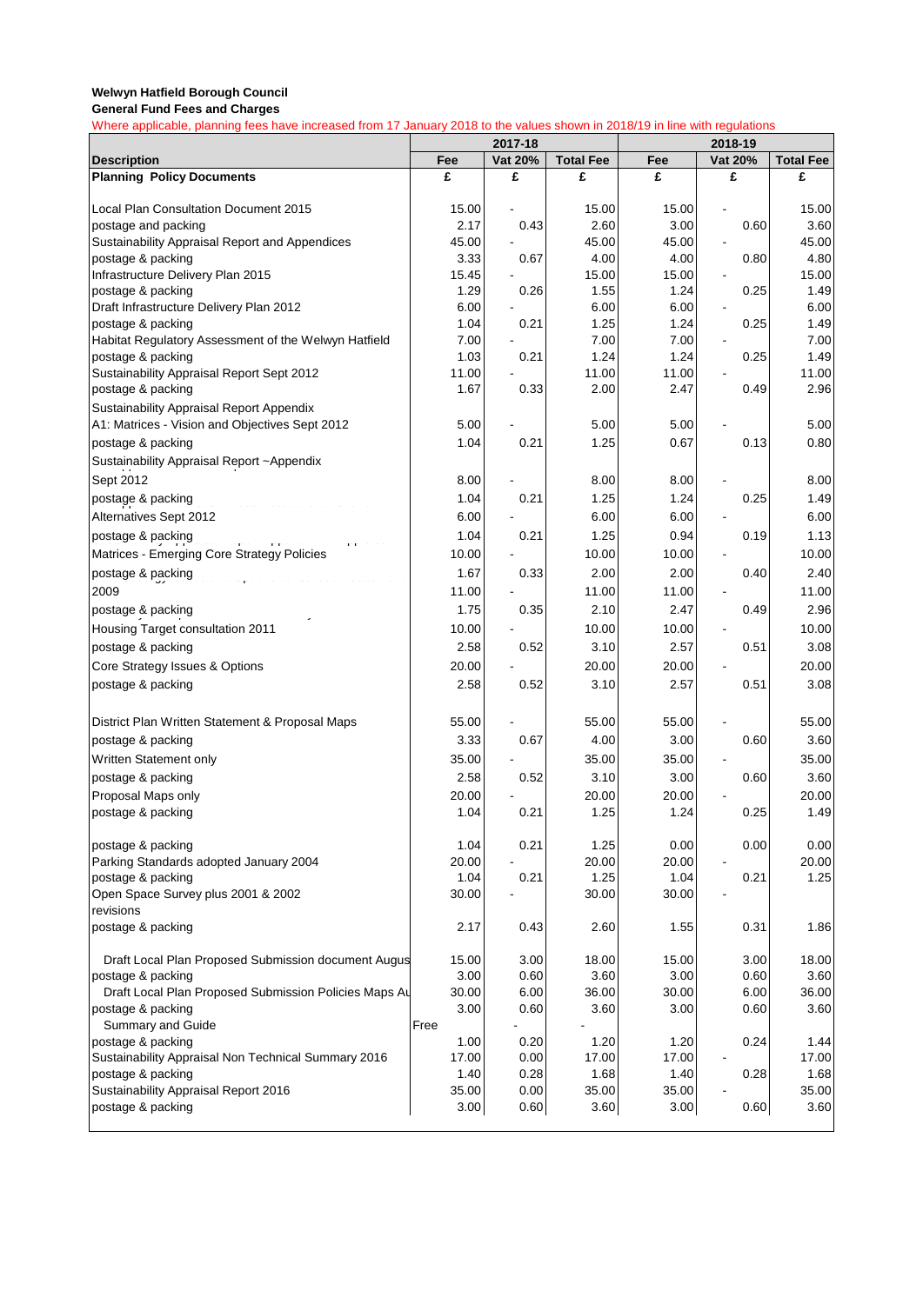**General Fund Fees and Charges**

|                                                               | 2017-18       |         |                  | 2018-19       |              |                  |  |
|---------------------------------------------------------------|---------------|---------|------------------|---------------|--------------|------------------|--|
| <b>Description</b>                                            | Fee           | Vat 20% | <b>Total Fee</b> | Fee           | Vat 20%      | <b>Total Fee</b> |  |
| <b>Planning Policy Documents</b>                              | £             | £       | £                | £             | £            | £                |  |
|                                                               |               |         |                  |               |              |                  |  |
| Local Plan Consultation Document 2015<br>postage and packing  | 15.00<br>2.17 | 0.43    | 15.00<br>2.60    | 15.00<br>3.00 | 0.60         | 15.00<br>3.60    |  |
| Sustainability Appraisal Report and Appendices                | 45.00         |         | 45.00            | 45.00         |              | 45.00            |  |
| postage & packing                                             | 3.33          | 0.67    | 4.00             | 4.00          | 0.80         | 4.80             |  |
| Infrastructure Delivery Plan 2015                             | 15.45         |         | 15.00            | 15.00         |              | 15.00            |  |
| postage & packing                                             | 1.29          | 0.26    | 1.55             | 1.24          | 0.25         | 1.49             |  |
| Draft Infrastructure Delivery Plan 2012                       | 6.00          |         | 6.00             | 6.00          |              | 6.00             |  |
| postage & packing                                             | 1.04          | 0.21    | 1.25             | 1.24          | 0.25         | 1.49             |  |
| Habitat Regulatory Assessment of the Welwyn Hatfield          | 7.00          |         | 7.00             | 7.00          |              | 7.00             |  |
| postage & packing                                             | 1.03          | 0.21    | 1.24             | 1.24          | 0.25         | 1.49             |  |
| Sustainability Appraisal Report Sept 2012                     | 11.00<br>1.67 | 0.33    | 11.00<br>2.00    | 11.00<br>2.47 | 0.49         | 11.00<br>2.96    |  |
| postage & packing<br>Sustainability Appraisal Report Appendix |               |         |                  |               |              |                  |  |
| A1: Matrices - Vision and Objectives Sept 2012                | 5.00          |         | 5.00             | 5.00          |              | 5.00             |  |
| postage & packing                                             | 1.04          | 0.21    | 1.25             | 0.67          | 0.13         | 0.80             |  |
| Sustainability Appraisal Report ~Appendix                     |               |         |                  |               |              |                  |  |
|                                                               | 8.00          |         | 8.00             | 8.00          |              | 8.00             |  |
| Sept 2012                                                     |               |         |                  |               |              |                  |  |
| postage & packing                                             | 1.04          | 0.21    | 1.25             | 1.24          | 0.25         | 1.49             |  |
| Alternatives Sept 2012                                        | 6.00          |         | 6.00             | 6.00          |              | 6.00             |  |
| postage & packing                                             | 1.04          | 0.21    | 1.25             | 0.94          | 0.19         | 1.13             |  |
| Matrices - Emerging Core Strategy Policies                    | 10.00         |         | 10.00            | 10.00         |              | 10.00            |  |
| postage & packing                                             | 1.67          | 0.33    | 2.00             | 2.00          | 0.40         | 2.40             |  |
| 2009                                                          | 11.00         |         | 11.00            | 11.00         |              | 11.00            |  |
| postage & packing                                             | 1.75          | 0.35    | 2.10             | 2.47          | 0.49         | 2.96             |  |
| Housing Target consultation 2011                              | 10.00         |         | 10.00            | 10.00         |              | 10.00            |  |
| postage & packing                                             | 2.58          | 0.52    | 3.10             | 2.57          | 0.51         | 3.08             |  |
| Core Strategy Issues & Options                                | 20.00         |         | 20.00            | 20.00         |              | 20.00            |  |
| postage & packing                                             | 2.58          | 0.52    | 3.10             | 2.57          | 0.51         | 3.08             |  |
| District Plan Written Statement & Proposal Maps               | 55.00         |         | 55.00            | 55.00         |              | 55.00            |  |
| postage & packing                                             | 3.33          | 0.67    | 4.00             | 3.00          | 0.60         | 3.60             |  |
| Written Statement only                                        | 35.00         |         | 35.00            | 35.00         |              | 35.00            |  |
| postage & packing                                             | 2.58          | 0.52    | 3.10             | 3.00          | 0.60         | 3.60             |  |
| Proposal Maps only                                            | 20.00         |         | 20.00            | 20.00         |              | 20.00            |  |
| postage & packing                                             | 1.04          | 0.21    | 1.25             | 1.24          | 0.25         | 1.49             |  |
| postage & packing                                             | 1.04          | 0.21    | 1.25             | 0.00          | 0.00         | 0.00             |  |
| Parking Standards adopted January 2004                        | 20.00         |         | 20.00            | 20.00         |              | 20.00            |  |
| postage & packing                                             | 1.04          | 0.21    | 1.25             | 1.04          | 0.21         | 1.25             |  |
| Open Space Survey plus 2001 & 2002                            | 30.00         |         | 30.00            | 30.00         |              |                  |  |
| revisions<br>postage & packing                                | 2.17          | 0.43    | 2.60             | 1.55          | 0.31         | 1.86             |  |
| Draft Local Plan Proposed Submission document Augus           | 15.00         | 3.00    | 18.00            | 15.00         |              | 18.00            |  |
| postage & packing                                             | 3.00          | 0.60    | 3.60             | 3.00          | 3.00<br>0.60 | 3.60             |  |
| Draft Local Plan Proposed Submission Policies Maps Au         | 30.00         | 6.00    | 36.00            | 30.00         | 6.00         | 36.00            |  |
| postage & packing                                             | 3.00          | 0.60    | 3.60             | 3.00          | 0.60         | 3.60             |  |
| Summary and Guide                                             | Free          |         |                  |               |              |                  |  |
| postage & packing                                             | 1.00          | 0.20    | 1.20             | 1.20          | 0.24         | 1.44             |  |
| Sustainability Appraisal Non Technical Summary 2016           | 17.00         | 0.00    | 17.00            | 17.00         |              | 17.00            |  |
| postage & packing                                             | 1.40          | 0.28    | 1.68             | 1.40          | 0.28         | 1.68             |  |
| Sustainability Appraisal Report 2016                          | 35.00         | 0.00    | 35.00            | 35.00         |              | 35.00            |  |
| postage & packing                                             | 3.00          | 0.60    | 3.60             | 3.00          | 0.60         | 3.60             |  |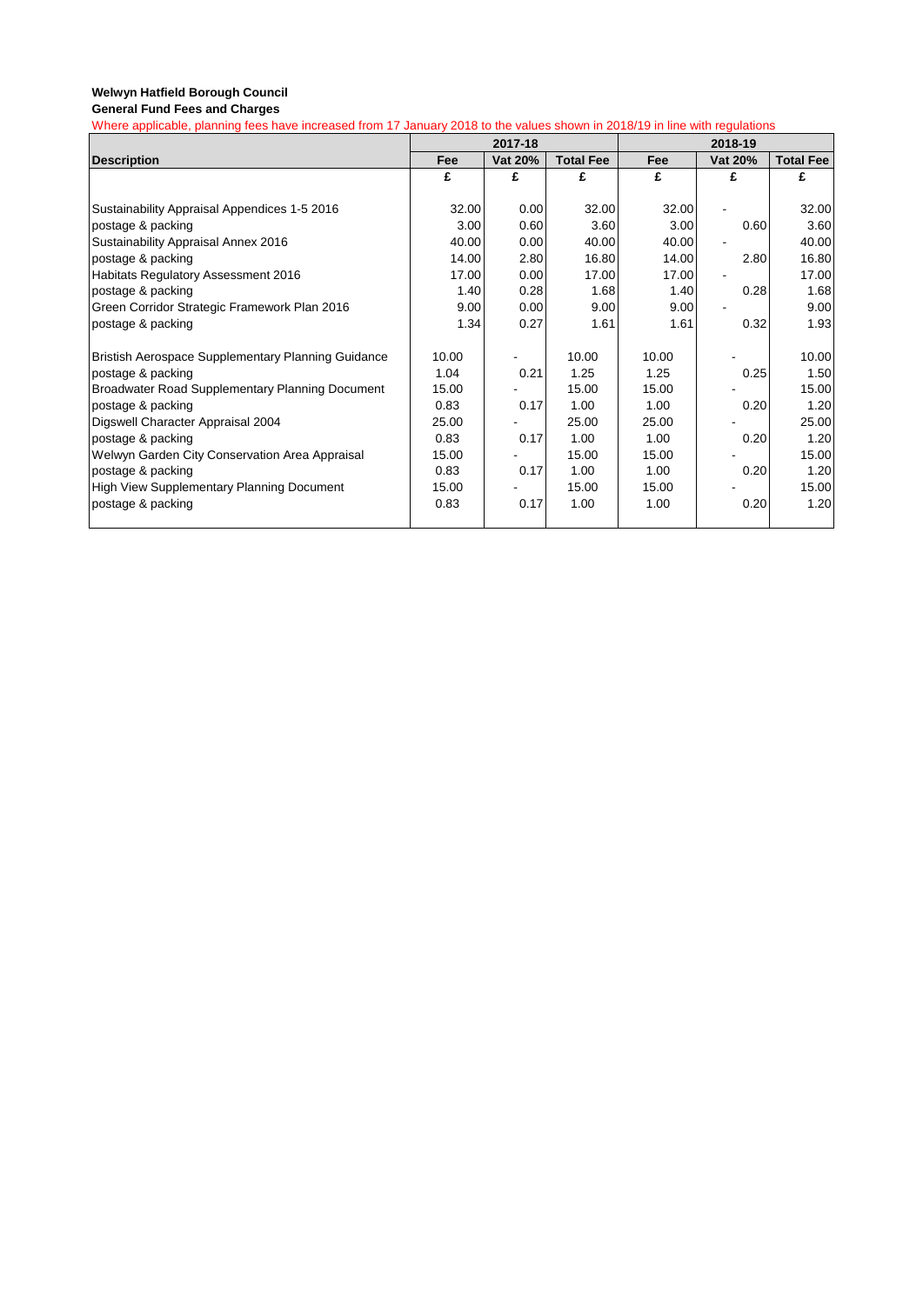|                                                    | 2017-18 |         |                  | 2018-19    |         |                  |
|----------------------------------------------------|---------|---------|------------------|------------|---------|------------------|
| <b>Description</b>                                 | Fee     | Vat 20% | <b>Total Fee</b> | <b>Fee</b> | Vat 20% | <b>Total Fee</b> |
|                                                    | £       | £       | £                | £          | £       | £                |
|                                                    |         |         |                  |            |         |                  |
| Sustainability Appraisal Appendices 1-5 2016       | 32.00   | 0.00    | 32.00            | 32.00      |         | 32.00            |
| postage & packing                                  | 3.00    | 0.60    | 3.60             | 3.00       | 0.60    | 3.60             |
| Sustainability Appraisal Annex 2016                | 40.00   | 0.00    | 40.00            | 40.00      |         | 40.00            |
| postage & packing                                  | 14.00   | 2.80    | 16.80            | 14.00      | 2.80    | 16.80            |
| Habitats Regulatory Assessment 2016                | 17.00   | 0.00    | 17.00            | 17.00      |         | 17.00            |
| postage & packing                                  | 1.40    | 0.28    | 1.68             | 1.40       | 0.28    | 1.68             |
| Green Corridor Strategic Framework Plan 2016       | 9.00    | 0.00    | 9.00             | 9.00       |         | 9.00             |
| postage & packing                                  | 1.34    | 0.27    | 1.61             | 1.61       | 0.32    | 1.93             |
| Bristish Aerospace Supplementary Planning Guidance | 10.00   |         | 10.00            | 10.00      |         | 10.00            |
| postage & packing                                  | 1.04    | 0.21    | 1.25             | 1.25       | 0.25    | 1.50             |
| Broadwater Road Supplementary Planning Document    | 15.00   |         | 15.00            | 15.00      |         | 15.00            |
| postage & packing                                  | 0.83    | 0.17    | 1.00             | 1.00       | 0.20    | 1.20             |
| Digswell Character Appraisal 2004                  | 25.00   |         | 25.00            | 25.00      |         | 25.00            |
| postage & packing                                  | 0.83    | 0.17    | 1.00             | 1.00       | 0.20    | 1.20             |
| Welwyn Garden City Conservation Area Appraisal     | 15.00   |         | 15.00            | 15.00      |         | 15.00            |
| postage & packing                                  | 0.83    | 0.17    | 1.00             | 1.00       | 0.20    | 1.20             |
| <b>High View Supplementary Planning Document</b>   | 15.00   |         | 15.00            | 15.00      |         | 15.00            |
| postage & packing                                  | 0.83    | 0.17    | 1.00             | 1.00       | 0.20    | 1.20             |
|                                                    |         |         |                  |            |         |                  |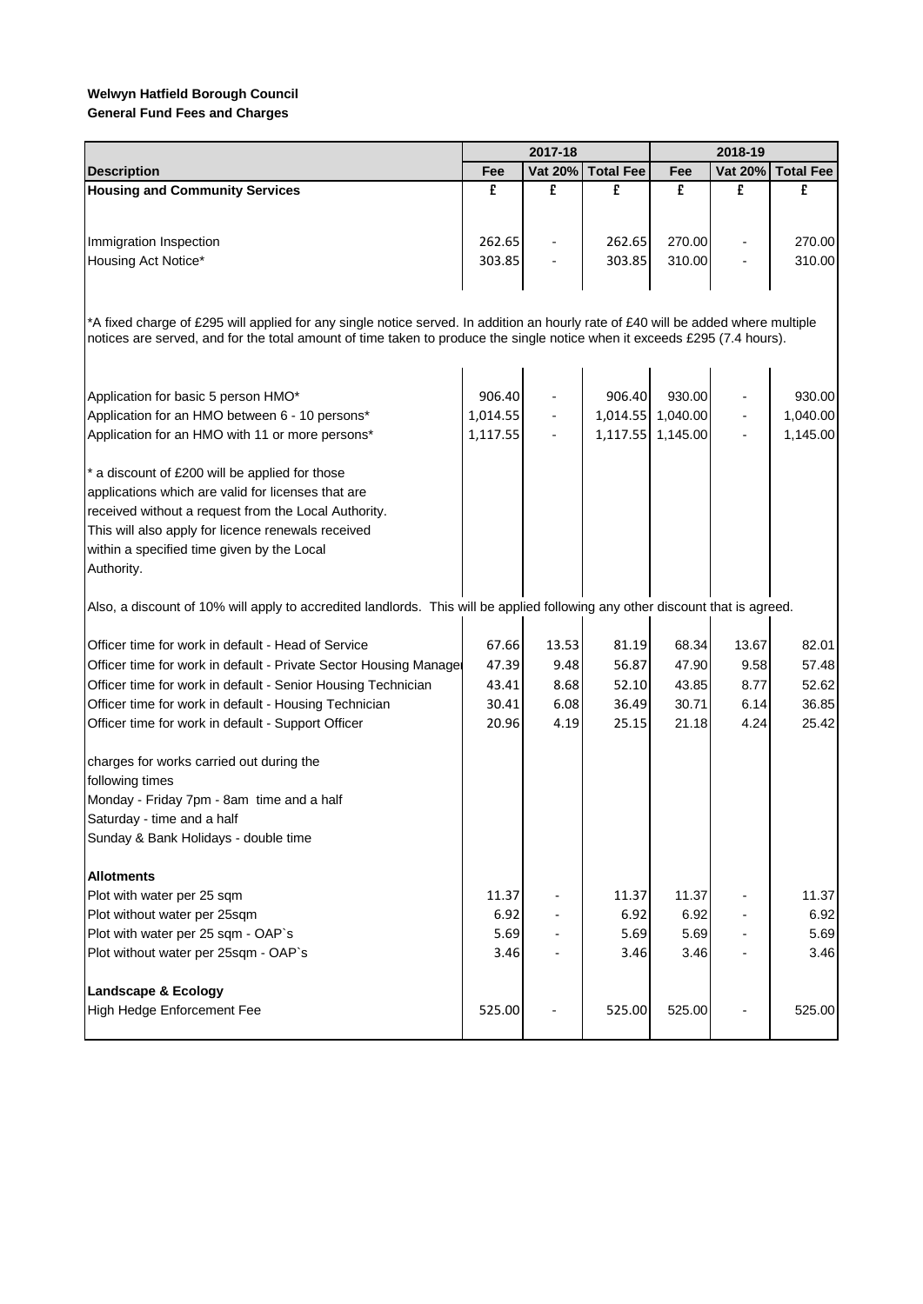|                                                                                                                                                                                                                                                                |          | 2017-18 |                  | 2018-19           |         |                  |  |  |
|----------------------------------------------------------------------------------------------------------------------------------------------------------------------------------------------------------------------------------------------------------------|----------|---------|------------------|-------------------|---------|------------------|--|--|
| <b>Description</b>                                                                                                                                                                                                                                             | Fee      | Vat 20% | <b>Total Fee</b> | Fee               | Vat 20% | <b>Total Fee</b> |  |  |
| <b>Housing and Community Services</b>                                                                                                                                                                                                                          | £        | £       | £                | £                 | £       | £                |  |  |
|                                                                                                                                                                                                                                                                |          |         |                  |                   |         |                  |  |  |
| Immigration Inspection                                                                                                                                                                                                                                         | 262.65   |         | 262.65           | 270.00            |         | 270.00           |  |  |
| Housing Act Notice*                                                                                                                                                                                                                                            | 303.85   |         | 303.85           | 310.00            |         | 310.00           |  |  |
|                                                                                                                                                                                                                                                                |          |         |                  |                   |         |                  |  |  |
| *A fixed charge of £295 will applied for any single notice served. In addition an hourly rate of £40 will be added where multiple<br>notices are served, and for the total amount of time taken to produce the single notice when it exceeds £295 (7.4 hours). |          |         |                  |                   |         |                  |  |  |
|                                                                                                                                                                                                                                                                |          |         |                  |                   |         |                  |  |  |
| Application for basic 5 person HMO*                                                                                                                                                                                                                            | 906.40   |         | 906.40           | 930.00            |         | 930.00           |  |  |
| Application for an HMO between 6 - 10 persons*                                                                                                                                                                                                                 | 1,014.55 |         |                  | 1,014.55 1,040.00 |         | 1,040.00         |  |  |
| Application for an HMO with 11 or more persons*                                                                                                                                                                                                                | 1,117.55 |         |                  | 1,117.55 1,145.00 |         | 1,145.00         |  |  |
| * a discount of £200 will be applied for those                                                                                                                                                                                                                 |          |         |                  |                   |         |                  |  |  |
| applications which are valid for licenses that are                                                                                                                                                                                                             |          |         |                  |                   |         |                  |  |  |
| received without a request from the Local Authority.                                                                                                                                                                                                           |          |         |                  |                   |         |                  |  |  |
| This will also apply for licence renewals received                                                                                                                                                                                                             |          |         |                  |                   |         |                  |  |  |
| within a specified time given by the Local                                                                                                                                                                                                                     |          |         |                  |                   |         |                  |  |  |
| Authority.                                                                                                                                                                                                                                                     |          |         |                  |                   |         |                  |  |  |
| Also, a discount of 10% will apply to accredited landlords. This will be applied following any other discount that is agreed.                                                                                                                                  |          |         |                  |                   |         |                  |  |  |
| Officer time for work in default - Head of Service                                                                                                                                                                                                             | 67.66    | 13.53   | 81.19            | 68.34             | 13.67   | 82.01            |  |  |
| Officer time for work in default - Private Sector Housing Manage                                                                                                                                                                                               | 47.39    | 9.48    | 56.87            | 47.90             | 9.58    | 57.48            |  |  |
| Officer time for work in default - Senior Housing Technician                                                                                                                                                                                                   | 43.41    | 8.68    | 52.10            | 43.85             | 8.77    | 52.62            |  |  |
| Officer time for work in default - Housing Technician                                                                                                                                                                                                          | 30.41    | 6.08    | 36.49            | 30.71             | 6.14    | 36.85            |  |  |
| Officer time for work in default - Support Officer                                                                                                                                                                                                             | 20.96    | 4.19    | 25.15            | 21.18             | 4.24    | 25.42            |  |  |
| charges for works carried out during the                                                                                                                                                                                                                       |          |         |                  |                   |         |                  |  |  |
| following times                                                                                                                                                                                                                                                |          |         |                  |                   |         |                  |  |  |
| Monday - Friday 7pm - 8am time and a half                                                                                                                                                                                                                      |          |         |                  |                   |         |                  |  |  |
| Saturday - time and a half                                                                                                                                                                                                                                     |          |         |                  |                   |         |                  |  |  |
| Sunday & Bank Holidays - double time                                                                                                                                                                                                                           |          |         |                  |                   |         |                  |  |  |
| <b>Allotments</b>                                                                                                                                                                                                                                              |          |         |                  |                   |         |                  |  |  |
| Plot with water per 25 sqm                                                                                                                                                                                                                                     | 11.37    |         | 11.37            | 11.37             |         | 11.37            |  |  |
| Plot without water per 25sqm                                                                                                                                                                                                                                   | 6.92     |         | 6.92             | 6.92              |         | 6.92             |  |  |
| Plot with water per 25 sqm - OAP`s                                                                                                                                                                                                                             | 5.69     |         | 5.69             | 5.69              |         | 5.69             |  |  |
| Plot without water per 25sqm - OAP's                                                                                                                                                                                                                           | 3.46     |         | 3.46             | 3.46              |         | 3.46             |  |  |
| <b>Landscape &amp; Ecology</b>                                                                                                                                                                                                                                 |          |         |                  |                   |         |                  |  |  |
| High Hedge Enforcement Fee                                                                                                                                                                                                                                     | 525.00   |         | 525.00           | 525.00            |         | 525.00           |  |  |
|                                                                                                                                                                                                                                                                |          |         |                  |                   |         |                  |  |  |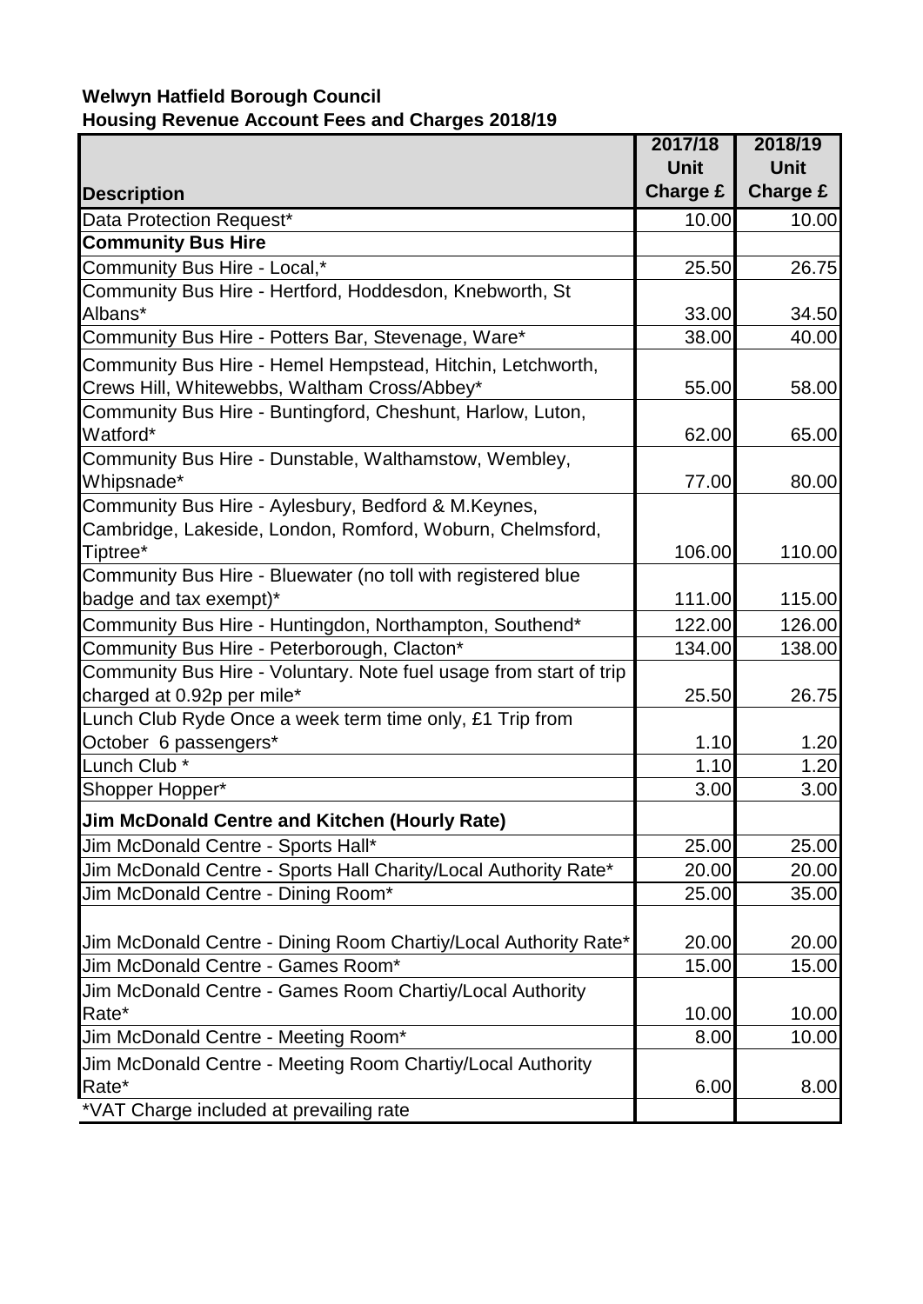## **Welwyn Hatfield Borough Council Housing Revenue Account Fees and Charges 2018/19**

|                                                                                                                              | 2017/18         | 2018/19         |
|------------------------------------------------------------------------------------------------------------------------------|-----------------|-----------------|
|                                                                                                                              | <b>Unit</b>     | <b>Unit</b>     |
| <b>Description</b>                                                                                                           | <b>Charge £</b> | <b>Charge £</b> |
| Data Protection Request*                                                                                                     | 10.00           | 10.00           |
| <b>Community Bus Hire</b>                                                                                                    |                 |                 |
| Community Bus Hire - Local,*                                                                                                 | 25.50           | 26.75           |
| Community Bus Hire - Hertford, Hoddesdon, Knebworth, St                                                                      |                 |                 |
| Albans*                                                                                                                      | 33.00           | 34.50           |
| Community Bus Hire - Potters Bar, Stevenage, Ware*                                                                           | 38.00           | 40.00           |
| Community Bus Hire - Hemel Hempstead, Hitchin, Letchworth,<br>Crews Hill, Whitewebbs, Waltham Cross/Abbey*                   | 55.00           | 58.00           |
| Community Bus Hire - Buntingford, Cheshunt, Harlow, Luton,<br>Watford*                                                       | 62.00           | 65.00           |
| Community Bus Hire - Dunstable, Walthamstow, Wembley,<br>Whipsnade*                                                          | 77.00           | 80.00           |
| Community Bus Hire - Aylesbury, Bedford & M.Keynes,<br>Cambridge, Lakeside, London, Romford, Woburn, Chelmsford,<br>Tiptree* | 106.00          | 110.00          |
| Community Bus Hire - Bluewater (no toll with registered blue                                                                 |                 |                 |
| badge and tax exempt)*                                                                                                       | 111.00          | 115.00          |
| Community Bus Hire - Huntingdon, Northampton, Southend*                                                                      | 122.00          | 126.00          |
| Community Bus Hire - Peterborough, Clacton*                                                                                  | 134.00          | 138.00          |
| Community Bus Hire - Voluntary. Note fuel usage from start of trip<br>charged at 0.92p per mile*                             | 25.50           | 26.75           |
| Lunch Club Ryde Once a week term time only, £1 Trip from                                                                     |                 |                 |
| October 6 passengers*                                                                                                        | 1.10            | 1.20            |
| Lunch Club *                                                                                                                 | 1.10            | 1.20            |
| Shopper Hopper*                                                                                                              | 3.00            | 3.00            |
| <b>Jim McDonald Centre and Kitchen (Hourly Rate)</b>                                                                         |                 |                 |
| Jim McDonald Centre - Sports Hall*                                                                                           | 25.00           | 25.00           |
| Jim McDonald Centre - Sports Hall Charity/Local Authority Rate*                                                              | 20.00           | 20.00           |
| Jim McDonald Centre - Dining Room*                                                                                           | 25.00           | 35.00           |
|                                                                                                                              |                 |                 |
| Jim McDonald Centre - Dining Room Chartiy/Local Authority Rate*                                                              | 20.00           | 20.00           |
| Jim McDonald Centre - Games Room*                                                                                            | 15.00           | 15.00           |
| Jim McDonald Centre - Games Room Chartiy/Local Authority                                                                     |                 |                 |
| Rate*                                                                                                                        | 10.00           | 10.00           |
| Jim McDonald Centre - Meeting Room*                                                                                          | 8.00            | 10.00           |
| Jim McDonald Centre - Meeting Room Chartiy/Local Authority<br>Rate*                                                          | 6.00            | 8.00            |
| *VAT Charge included at prevailing rate                                                                                      |                 |                 |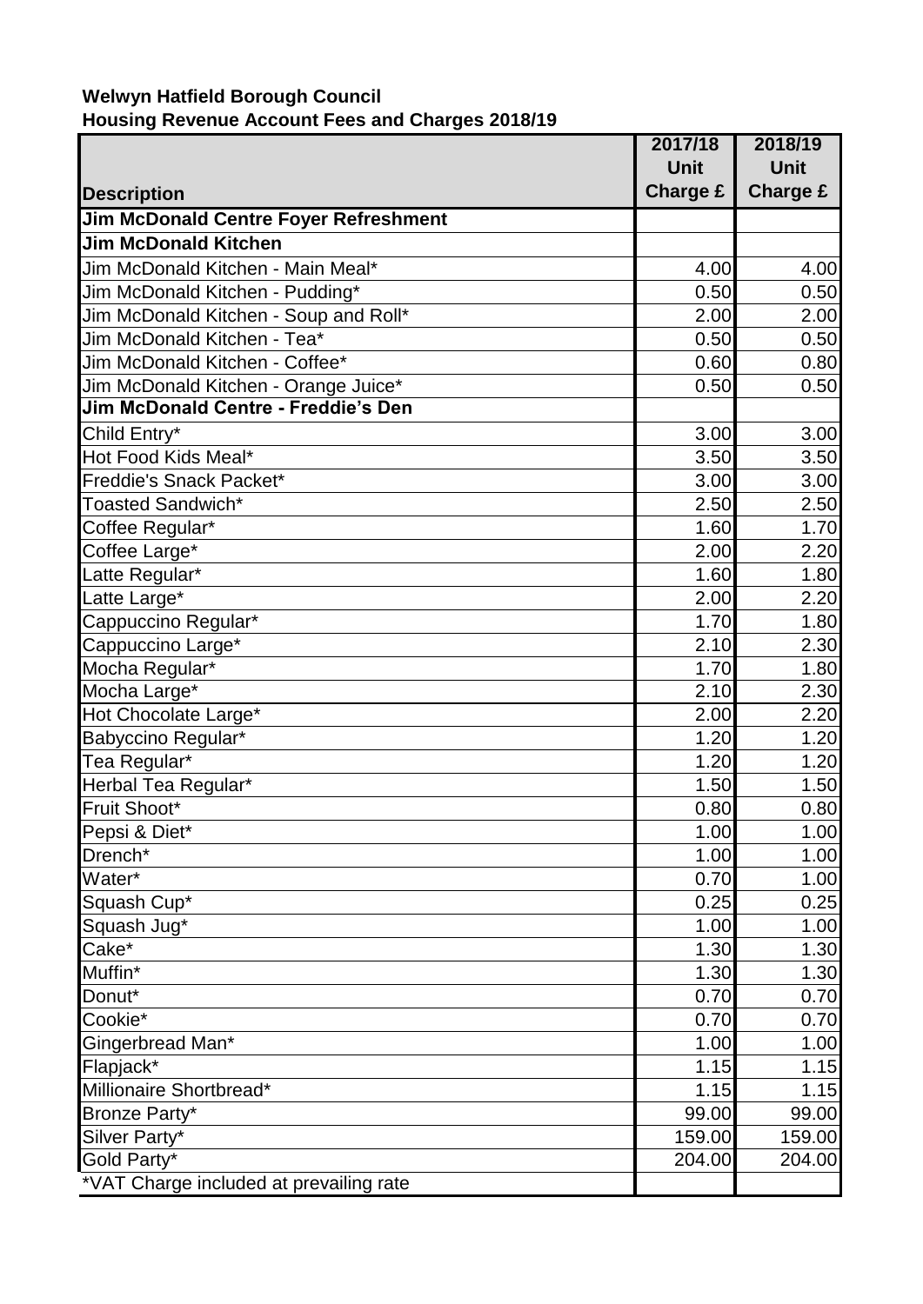### **Welwyn Hatfield Borough Council Housing Revenue Account Fees and Charges 2018/19**

|                                            | 2017/18     | 2018/19         |
|--------------------------------------------|-------------|-----------------|
|                                            | <b>Unit</b> | <b>Unit</b>     |
| <b>Description</b>                         | Charge £    | <b>Charge £</b> |
| Jim McDonald Centre Foyer Refreshment      |             |                 |
| <b>Jim McDonald Kitchen</b>                |             |                 |
| Jim McDonald Kitchen - Main Meal*          | 4.00        | 4.00            |
| Jim McDonald Kitchen - Pudding*            | 0.50        | 0.50            |
| Jim McDonald Kitchen - Soup and Roll*      | 2.00        | 2.00            |
| Jim McDonald Kitchen - Tea*                | 0.50        | 0.50            |
| Jim McDonald Kitchen - Coffee*             | 0.60        | 0.80            |
| Jim McDonald Kitchen - Orange Juice*       | 0.50        | 0.50            |
| <b>Jim McDonald Centre - Freddie's Den</b> |             |                 |
| Child Entry*                               | 3.00        | 3.00            |
| Hot Food Kids Meal*                        | 3.50        | 3.50            |
| Freddie's Snack Packet*                    | 3.00        | 3.00            |
| Toasted Sandwich*                          | 2.50        | 2.50            |
| Coffee Regular*                            | 1.60        | 1.70            |
| Coffee Large*                              | 2.00        | 2.20            |
| Latte Regular*                             | 1.60        | 1.80            |
| Latte Large*                               | 2.00        | 2.20            |
| Cappuccino Regular*                        | 1.70        | 1.80            |
| Cappuccino Large*                          | 2.10        | 2.30            |
| Mocha Regular*                             | 1.70        | 1.80            |
| Mocha Large*                               | 2.10        | 2.30            |
| Hot Chocolate Large*                       | 2.00        | 2.20            |
| Babyccino Regular*                         | 1.20        | 1.20            |
| Tea Regular*                               | 1.20        | 1.20            |
| Herbal Tea Regular*                        | 1.50        | 1.50            |
| Fruit Shoot*                               | 0.80        | 0.80            |
| Pepsi & Diet*                              | 1.00        | 1.00            |
| Drench*                                    | 1.00        | 1.00            |
| Water*                                     | 0.70        | 1.00            |
| Squash Cup*                                | 0.25        | 0.25            |
| Squash Jug*                                | 1.00        | 1.00            |
| $\overline{\mathsf{Cache}^*}$              | 1.30        | 1.30            |
| Muffin*                                    | 1.30        | 1.30            |
| Donut*                                     | 0.70        | 0.70            |
| Cookie*                                    | 0.70        | 0.70            |
| Gingerbread Man*                           | 1.00        | 1.00            |
| Flapjack*                                  | 1.15        | 1.15            |
| Millionaire Shortbread*                    | 1.15        | 1.15            |
| Bronze Party*                              | 99.00       | 99.00           |
| Silver Party*                              | 159.00      | 159.00          |
| Gold Party*                                | 204.00      | 204.00          |
| *VAT Charge included at prevailing rate    |             |                 |